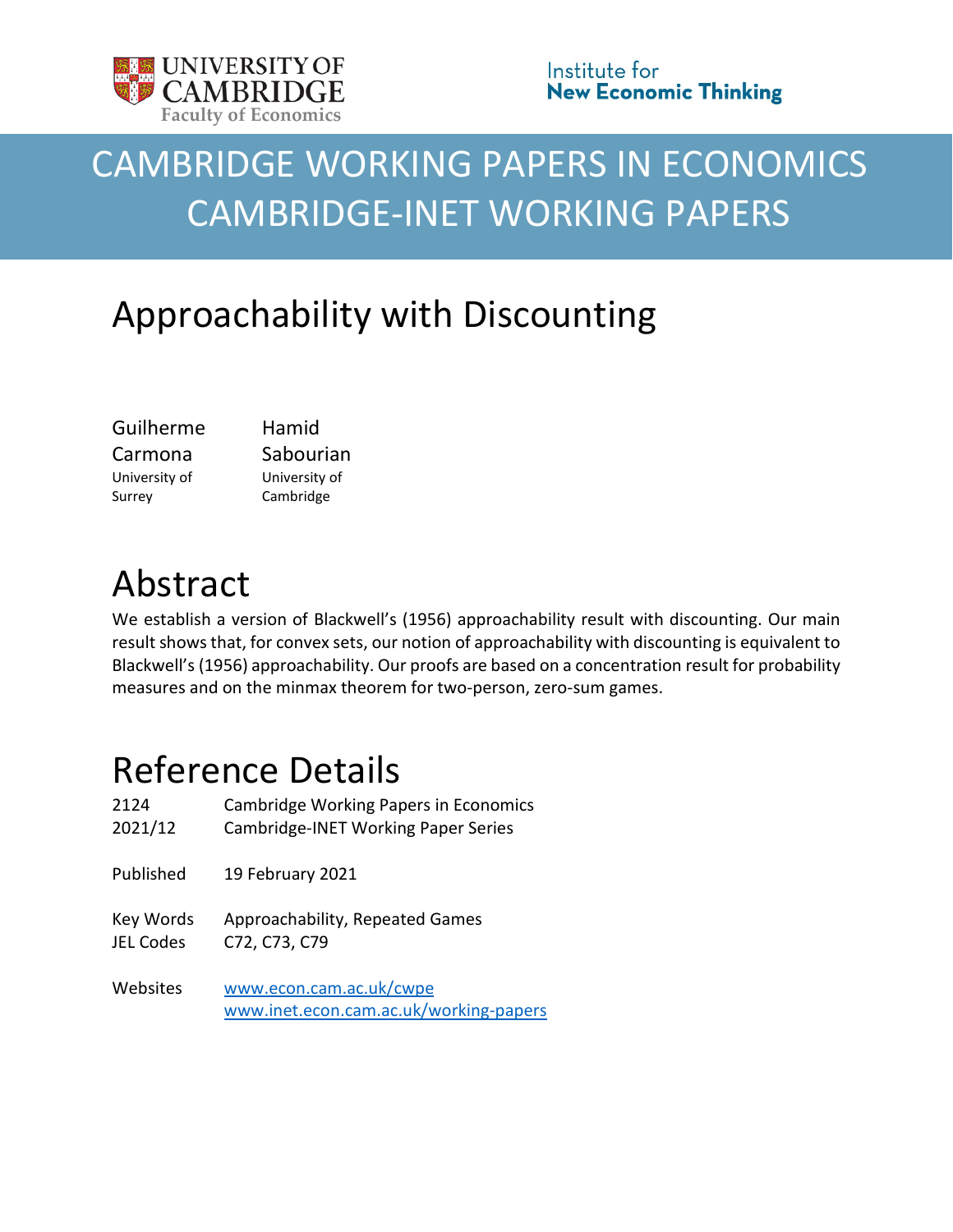

# CAMBRIDGE WORKING PAPERS IN ECONOMICS CAMBRIDGE-INET WORKING PAPERS

# Approachability with Discounting

| Guilherme     | Hamid         |
|---------------|---------------|
| Carmona       | Sabourian     |
| University of | University of |
| Surrey        | Cambridge     |

## Abstract

We establish a version of Blackwell's (1956) approachability result with discounting. Our main result shows that, for convex sets, our notion of approachability with discounting is equivalent to Blackwell's (1956) approachability. Our proofs are based on a concentration result for probability measures and on the minmax theorem for two-person, zero-sum games.

## Reference Details

| 2124      | <b>Cambridge Working Papers in Economics</b>                      |
|-----------|-------------------------------------------------------------------|
| 2021/12   | Cambridge-INET Working Paper Series                               |
| Published | 19 February 2021                                                  |
| Key Words | Approachability, Repeated Games                                   |
| JEL Codes | C72, C73, C79                                                     |
| Websites  | www.econ.cam.ac.uk/cwpe<br>www.inet.econ.cam.ac.uk/working-papers |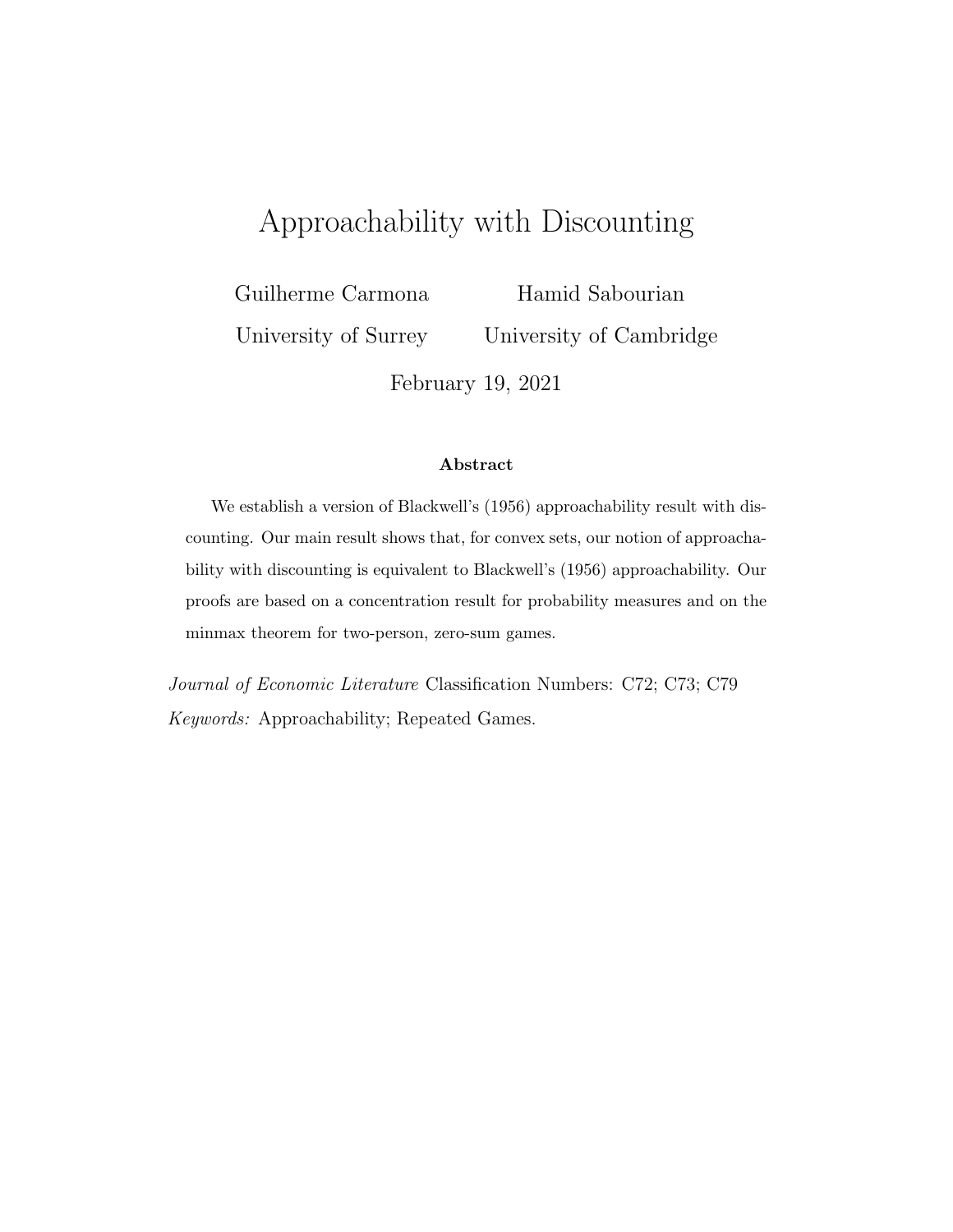## Approachability with Discounting

Guilherme Carmona

University of Surrey

Hamid Sabourian University of Cambridge

February 19, 2021

#### **Abstract**

We establish a version of Blackwell's (1956) approachability result with discounting. Our main result shows that, for convex sets, our notion of approachability with discounting is equivalent to Blackwell's (1956) approachability. Our proofs are based on a concentration result for probability measures and on the minmax theorem for two-person, zero-sum games.

*Journal of Economic Literature* Classification Numbers: C72; C73; C79 *Keywords:* Approachability; Repeated Games.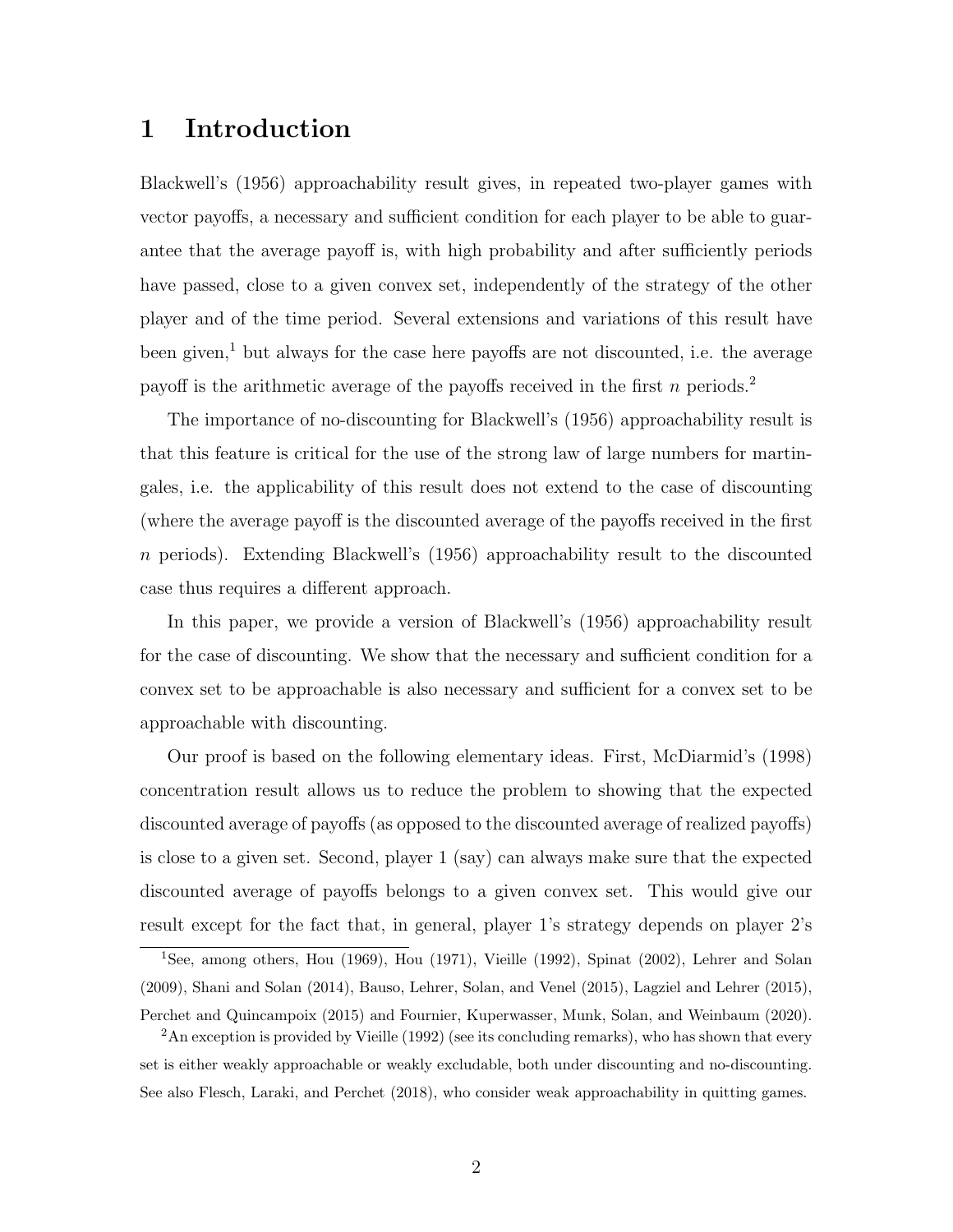## **1 Introduction**

Blackwell's (1956) approachability result gives, in repeated two-player games with vector payoffs, a necessary and sufficient condition for each player to be able to guarantee that the average payoff is, with high probability and after sufficiently periods have passed, close to a given convex set, independently of the strategy of the other player and of the time period. Several extensions and variations of this result have been given, $<sup>1</sup>$  but always for the case here payoffs are not discounted, i.e. the average</sup> payoff is the arithmetic average of the payoffs received in the first *n* periods.<sup>2</sup>

The importance of no-discounting for Blackwell's (1956) approachability result is that this feature is critical for the use of the strong law of large numbers for martingales, i.e. the applicability of this result does not extend to the case of discounting (where the average payoff is the discounted average of the payoffs received in the first *n* periods). Extending Blackwell's (1956) approachability result to the discounted case thus requires a different approach.

In this paper, we provide a version of Blackwell's (1956) approachability result for the case of discounting. We show that the necessary and sufficient condition for a convex set to be approachable is also necessary and sufficient for a convex set to be approachable with discounting.

Our proof is based on the following elementary ideas. First, McDiarmid's (1998) concentration result allows us to reduce the problem to showing that the expected discounted average of payoffs (as opposed to the discounted average of realized payoffs) is close to a given set. Second, player 1 (say) can always make sure that the expected discounted average of payoffs belongs to a given convex set. This would give our result except for the fact that, in general, player 1's strategy depends on player 2's

<sup>1</sup>See, among others, Hou (1969), Hou (1971), Vieille (1992), Spinat (2002), Lehrer and Solan (2009), Shani and Solan (2014), Bauso, Lehrer, Solan, and Venel (2015), Lagziel and Lehrer (2015), Perchet and Quincampoix (2015) and Fournier, Kuperwasser, Munk, Solan, and Weinbaum (2020).

<sup>&</sup>lt;sup>2</sup>An exception is provided by Vieille (1992) (see its concluding remarks), who has shown that every set is either weakly approachable or weakly excludable, both under discounting and no-discounting. See also Flesch, Laraki, and Perchet (2018), who consider weak approachability in quitting games.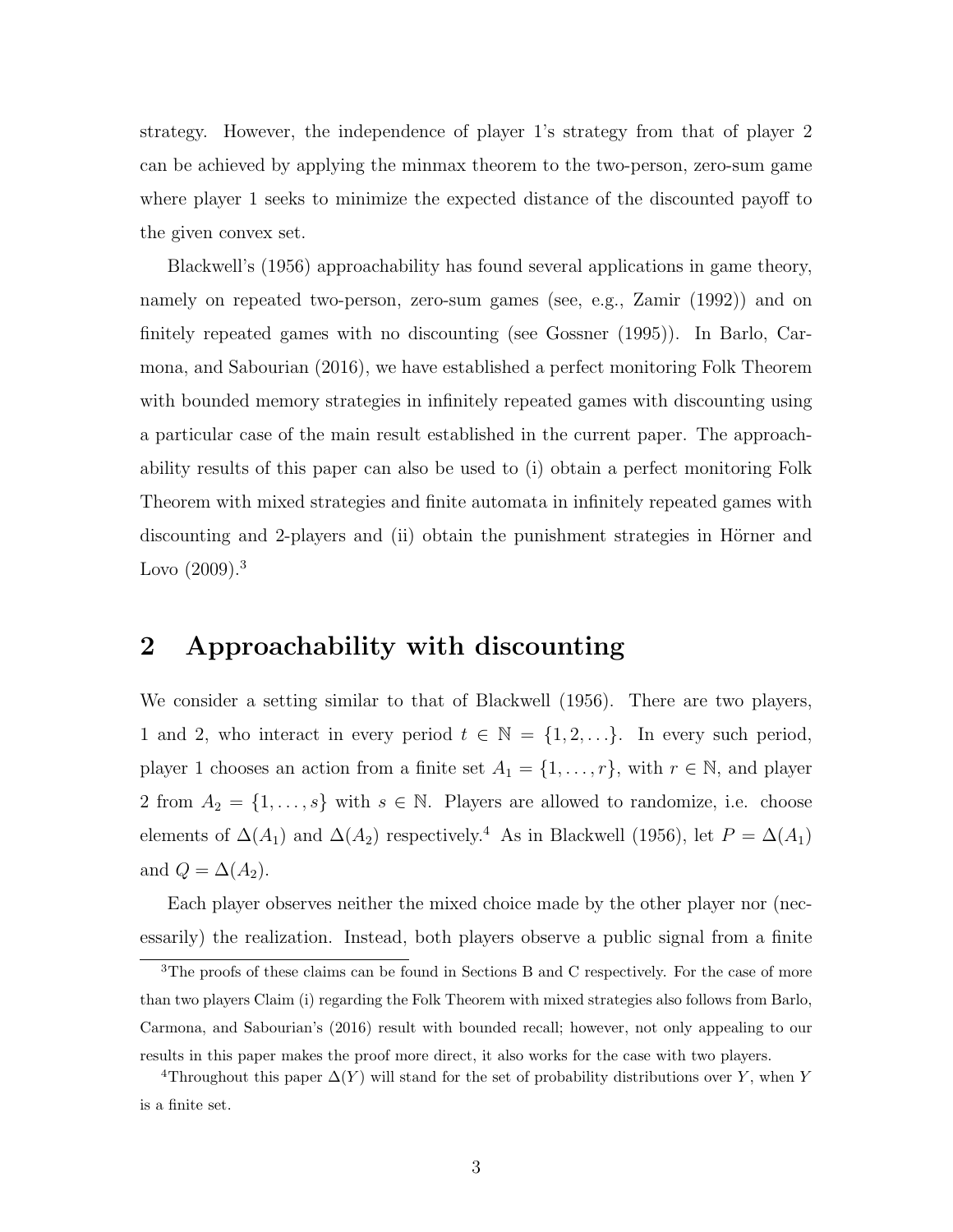strategy. However, the independence of player 1's strategy from that of player 2 can be achieved by applying the minmax theorem to the two-person, zero-sum game where player 1 seeks to minimize the expected distance of the discounted payoff to the given convex set.

Blackwell's (1956) approachability has found several applications in game theory, namely on repeated two-person, zero-sum games (see, e.g., Zamir (1992)) and on finitely repeated games with no discounting (see Gossner (1995)). In Barlo, Carmona, and Sabourian (2016), we have established a perfect monitoring Folk Theorem with bounded memory strategies in infinitely repeated games with discounting using a particular case of the main result established in the current paper. The approachability results of this paper can also be used to (i) obtain a perfect monitoring Folk Theorem with mixed strategies and finite automata in infinitely repeated games with discounting and 2-players and (ii) obtain the punishment strategies in Hörner and Lovo  $(2009)^3$ 

## **2 Approachability with discounting**

We consider a setting similar to that of Blackwell (1956). There are two players, 1 and 2, who interact in every period  $t \in \mathbb{N} = \{1, 2, \ldots\}$ . In every such period, player 1 chooses an action from a finite set  $A_1 = \{1, \ldots, r\}$ , with  $r \in \mathbb{N}$ , and player 2 from  $A_2 = \{1, \ldots, s\}$  with  $s \in \mathbb{N}$ . Players are allowed to randomize, i.e. choose elements of  $\Delta(A_1)$  and  $\Delta(A_2)$  respectively.<sup>4</sup> As in Blackwell (1956), let  $P = \Delta(A_1)$ and  $Q = \Delta(A_2)$ .

Each player observes neither the mixed choice made by the other player nor (necessarily) the realization. Instead, both players observe a public signal from a finite

<sup>&</sup>lt;sup>3</sup>The proofs of these claims can be found in Sections B and C respectively. For the case of more than two players Claim (i) regarding the Folk Theorem with mixed strategies also follows from Barlo, Carmona, and Sabourian's (2016) result with bounded recall; however, not only appealing to our results in this paper makes the proof more direct, it also works for the case with two players.

<sup>&</sup>lt;sup>4</sup>Throughout this paper  $\Delta(Y)$  will stand for the set of probability distributions over *Y*, when *Y* is a finite set.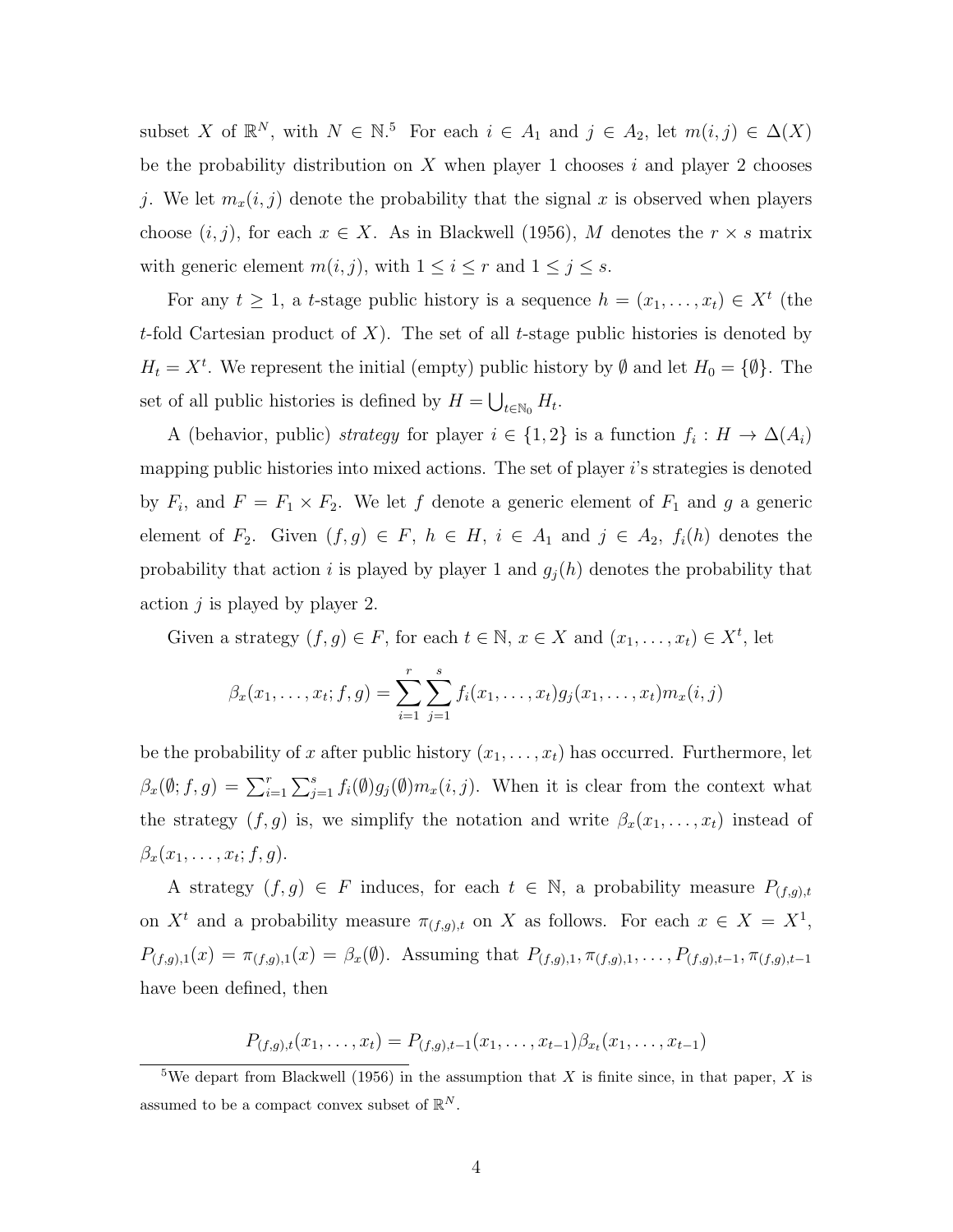subset *X* of  $\mathbb{R}^N$ , with  $N \in \mathbb{N}$ .<sup>5</sup> For each  $i \in A_1$  and  $j \in A_2$ , let  $m(i, j) \in \Delta(X)$ be the probability distribution on *X* when player 1 chooses *i* and player 2 chooses *j*. We let  $m_x(i, j)$  denote the probability that the signal *x* is observed when players choose  $(i, j)$ , for each  $x \in X$ . As in Blackwell (1956), M denotes the  $r \times s$  matrix with generic element  $m(i, j)$ , with  $1 \leq i \leq r$  and  $1 \leq j \leq s$ .

For any  $t \geq 1$ , a *t*-stage public history is a sequence  $h = (x_1, \ldots, x_t) \in X^t$  (the *t*-fold Cartesian product of *X*). The set of all *t*-stage public histories is denoted by  $H_t = X^t$ . We represent the initial (empty) public history by  $\emptyset$  and let  $H_0 = {\emptyset}$ . The set of all public histories is defined by  $H = \bigcup_{t \in \mathbb{N}_0} H_t$ .

A (behavior, public) *strategy* for player  $i \in \{1,2\}$  is a function  $f_i: H \to \Delta(A_i)$ mapping public histories into mixed actions. The set of player *i*'s strategies is denoted by  $F_i$ , and  $F = F_1 \times F_2$ . We let f denote a generic element of  $F_1$  and g a generic element of  $F_2$ . Given  $(f, g) \in F$ ,  $h \in H$ ,  $i \in A_1$  and  $j \in A_2$ ,  $f_i(h)$  denotes the probability that action *i* is played by player 1 and  $g_j(h)$  denotes the probability that action *j* is played by player 2.

Given a strategy  $(f, g) \in F$ , for each  $t \in \mathbb{N}$ ,  $x \in X$  and  $(x_1, \ldots, x_t) \in X^t$ , let

$$
\beta_x(x_1,\ldots,x_t; f,g) = \sum_{i=1}^r \sum_{j=1}^s f_i(x_1,\ldots,x_t)g_j(x_1,\ldots,x_t)m_x(i,j)
$$

be the probability of x after public history  $(x_1, \ldots, x_t)$  has occurred. Furthermore, let  $\beta_x(\emptyset; f, g) = \sum_{i=1}^r \sum_{j=1}^s f_i(\emptyset) g_j(\emptyset) m_x(i, j)$ . When it is clear from the context what the strategy  $(f, g)$  is, we simplify the notation and write  $\beta_x(x_1, \ldots, x_t)$  instead of  $\beta_x(x_1,\ldots,x_t;f,g).$ 

A strategy  $(f, g) \in F$  induces, for each  $t \in \mathbb{N}$ , a probability measure  $P_{(f,g),t}$ on  $X^t$  and a probability measure  $\pi_{(f,g),t}$  on *X* as follows. For each  $x \in X = X^1$ ,  $P_{(f,g),1}(x) = \pi_{(f,g),1}(x) = \beta_x(\emptyset)$ . Assuming that  $P_{(f,g),1}, \pi_{(f,g),1}, \ldots, P_{(f,g),t-1}, \pi_{(f,g),t-1}$ have been defined, then

$$
P_{(f,g),t}(x_1,\ldots,x_t)=P_{(f,g),t-1}(x_1,\ldots,x_{t-1})\beta_{x_t}(x_1,\ldots,x_{t-1})
$$

<sup>&</sup>lt;sup>5</sup>We depart from Blackwell (1956) in the assumption that *X* is finite since, in that paper, *X* is assumed to be a compact convex subset of  $\mathbb{R}^N$ .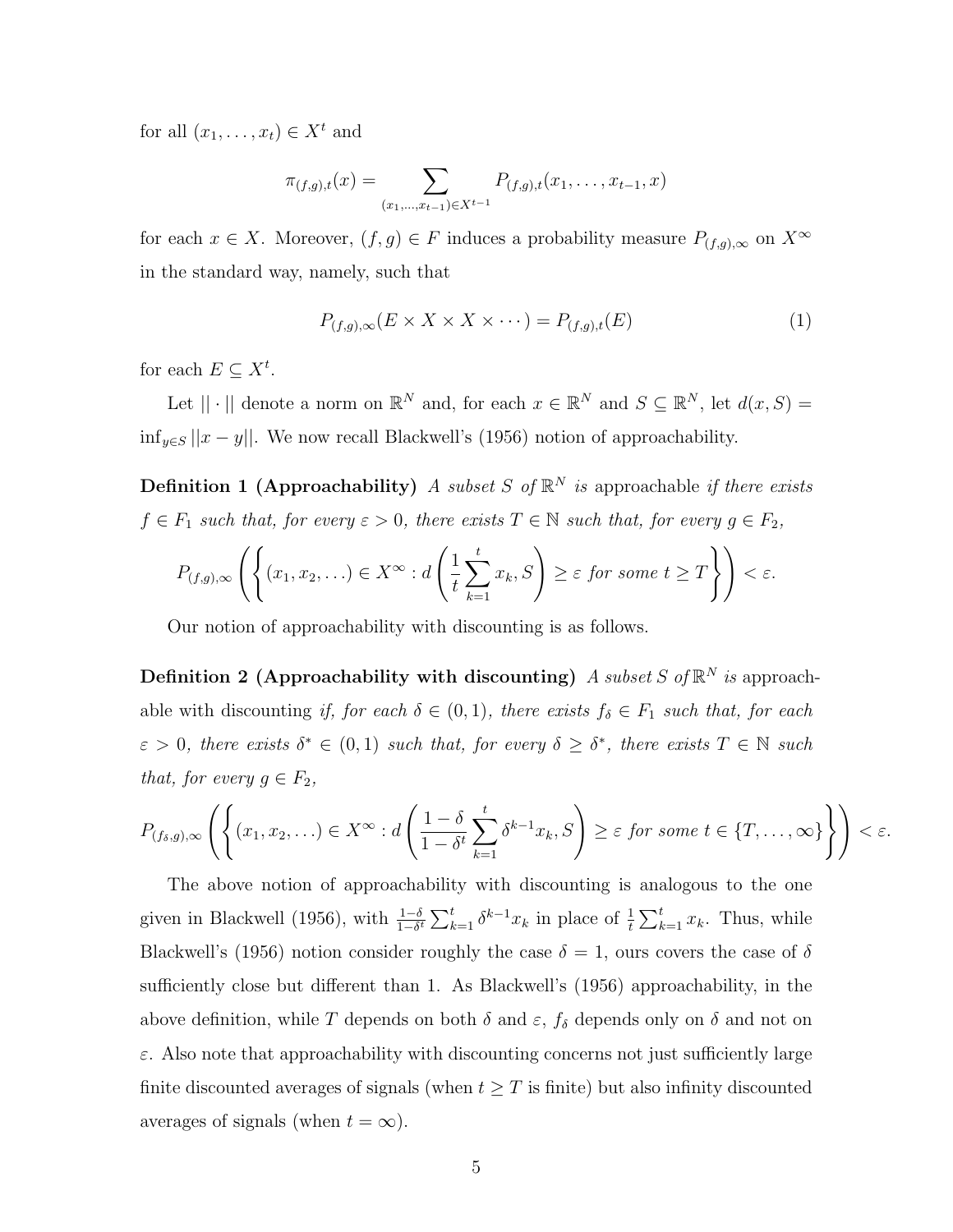for all  $(x_1, \ldots, x_t) \in X^t$  and

$$
\pi_{(f,g),t}(x) = \sum_{(x_1,\ldots,x_{t-1}) \in X^{t-1}} P_{(f,g),t}(x_1,\ldots,x_{t-1},x)
$$

for each  $x \in X$ . Moreover,  $(f, g) \in F$  induces a probability measure  $P_{(f,g),\infty}$  on  $X^{\infty}$ in the standard way, namely, such that

$$
P_{(f,g),\infty}(E \times X \times X \times \cdots) = P_{(f,g),t}(E) \tag{1}
$$

for each  $E \subseteq X^t$ .

Let  $|| \cdot ||$  denote a norm on  $\mathbb{R}^N$  and, for each  $x \in \mathbb{R}^N$  and  $S \subseteq \mathbb{R}^N$ , let  $d(x, S) =$ inf<sub>*y*∈</sub>*S* ||*x* − *y*||. We now recall Blackwell's (1956) notion of approachability.

**Definition 1 (Approachability)** *A subset S* of  $\mathbb{R}^N$  *is* approachable *if there exists*  $f \in F_1$  *such that, for every*  $\varepsilon > 0$ *, there exists*  $T \in \mathbb{N}$  *such that, for every*  $g \in F_2$ *,* 

$$
P_{(f,g),\infty}\left(\left\{(x_1,x_2,\ldots)\in X^\infty:d\left(\frac{1}{t}\sum_{k=1}^tx_k,S\right)\geq \varepsilon\text{ for some }t\geq T\right\}\right)<\varepsilon.
$$

Our notion of approachability with discounting is as follows.

**Definition 2 (Approachability with discounting)** *A subset S* of  $\mathbb{R}^N$  *is* approachable with discounting *if, for each*  $\delta \in (0,1)$ *, there exists*  $f_{\delta} \in F_1$  *such that, for each*  $\varepsilon > 0$ , there exists  $\delta^* \in (0,1)$  such that, for every  $\delta \geq \delta^*$ , there exists  $T \in \mathbb{N}$  such *that, for every*  $g \in F_2$ *,* 

$$
P_{(f_\delta,g),\infty}\left(\left\{(x_1,x_2,\ldots)\in X^\infty:d\left(\frac{1-\delta}{1-\delta^t}\sum_{k=1}^t\delta^{k-1}x_k,S\right)\geq\varepsilon\text{ for some }t\in\{T,\ldots,\infty\}\right\}\right)<\varepsilon.
$$

The above notion of approachability with discounting is analogous to the one given in Blackwell (1956), with  $\frac{1-\delta}{1-\delta^t} \sum_{k=1}^t \delta^{k-1} x_k$  in place of  $\frac{1}{t} \sum_{k=1}^t x_k$ . Thus, while Blackwell's (1956) notion consider roughly the case  $\delta = 1$ , ours covers the case of  $\delta$ sufficiently close but different than 1. As Blackwell's (1956) approachability, in the above definition, while *T* depends on both  $\delta$  and  $\varepsilon$ ,  $f_{\delta}$  depends only on  $\delta$  and not on *ε*. Also note that approachability with discounting concerns not just sufficiently large finite discounted averages of signals (when  $t \geq T$  is finite) but also infinity discounted averages of signals (when  $t = \infty$ ).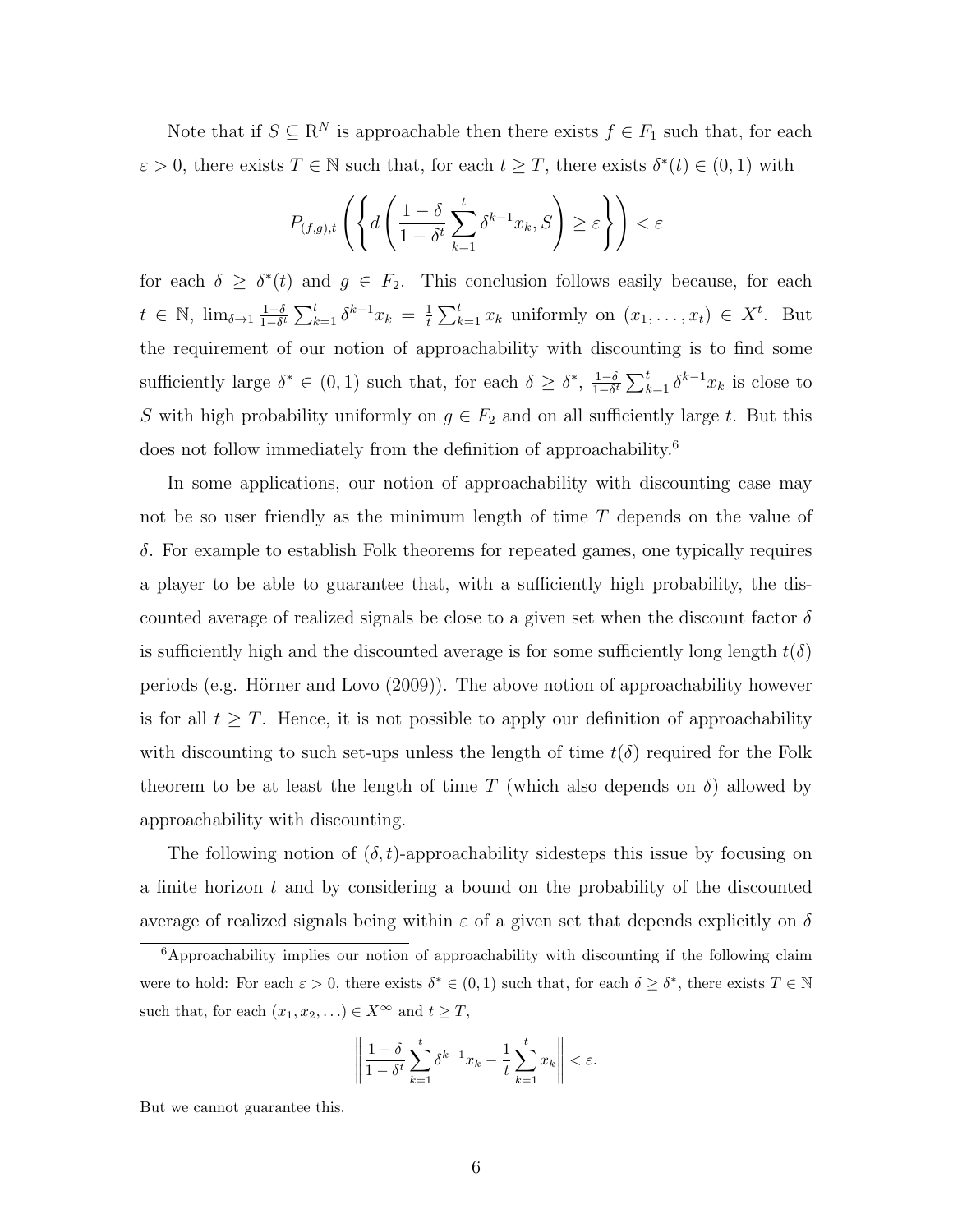Note that if  $S \subseteq \mathbb{R}^N$  is approachable then there exists  $f \in F_1$  such that, for each  $\varepsilon > 0$ , there exists  $T \in \mathbb{N}$  such that, for each  $t \geq T$ , there exists  $\delta^*(t) \in (0,1)$  with

$$
P_{(f,g),t}\left(\left\{d\left(\frac{1-\delta}{1-\delta^t}\sum_{k=1}^t \delta^{k-1}x_k, S\right) \geq \varepsilon\right\}\right) < \varepsilon
$$

for each  $\delta \geq \delta^*(t)$  and  $g \in F_2$ . This conclusion follows easily because, for each  $t \in \mathbb{N}$ , lim<sub> $\delta \rightarrow 1}$ </sub> $\frac{1-\delta}{1-\delta}$  $\frac{1-\delta}{1-\delta^t} \sum_{k=1}^t \delta^{k-1} x_k = \frac{1}{t}$  $\frac{1}{t} \sum_{k=1}^{t} x_k$  uniformly on  $(x_1, \ldots, x_t) \in X^t$ . But the requirement of our notion of approachability with discounting is to find some sufficiently large  $\delta^* \in (0,1)$  such that, for each  $\delta \geq \delta^*$ ,  $\frac{1-\delta}{1-\delta^*}$  $\frac{1-\delta}{1-\delta^t}$   $\sum_{k=1}^t \delta^{k-1} x_k$  is close to *S* with high probability uniformly on  $g \in F_2$  and on all sufficiently large *t*. But this does not follow immediately from the definition of approachability.<sup>6</sup>

In some applications, our notion of approachability with discounting case may not be so user friendly as the minimum length of time *T* depends on the value of *δ*. For example to establish Folk theorems for repeated games, one typically requires a player to be able to guarantee that, with a sufficiently high probability, the discounted average of realized signals be close to a given set when the discount factor *δ* is sufficiently high and the discounted average is for some sufficiently long length  $t(\delta)$ periods (e.g. Hörner and Lovo  $(2009)$ ). The above notion of approachability however is for all  $t \geq T$ . Hence, it is not possible to apply our definition of approachability with discounting to such set-ups unless the length of time  $t(\delta)$  required for the Folk theorem to be at least the length of time *T* (which also depends on  $\delta$ ) allowed by approachability with discounting.

The following notion of  $(\delta, t)$ -approachability sidesteps this issue by focusing on a finite horizon *t* and by considering a bound on the probability of the discounted average of realized signals being within *ε* of a given set that depends explicitly on *δ*

$$
\left\|\frac{1-\delta}{1-\delta^t}\sum_{k=1}^t \delta^{k-1}x_k - \frac{1}{t}\sum_{k=1}^t x_k\right\| < \varepsilon.
$$

But we cannot guarantee this.

<sup>6</sup>Approachability implies our notion of approachability with discounting if the following claim were to hold: For each  $\varepsilon > 0$ , there exists  $\delta^* \in (0,1)$  such that, for each  $\delta \geq \delta^*$ , there exists  $T \in \mathbb{N}$ such that, for each  $(x_1, x_2, \ldots) \in X^{\infty}$  and  $t \geq T$ ,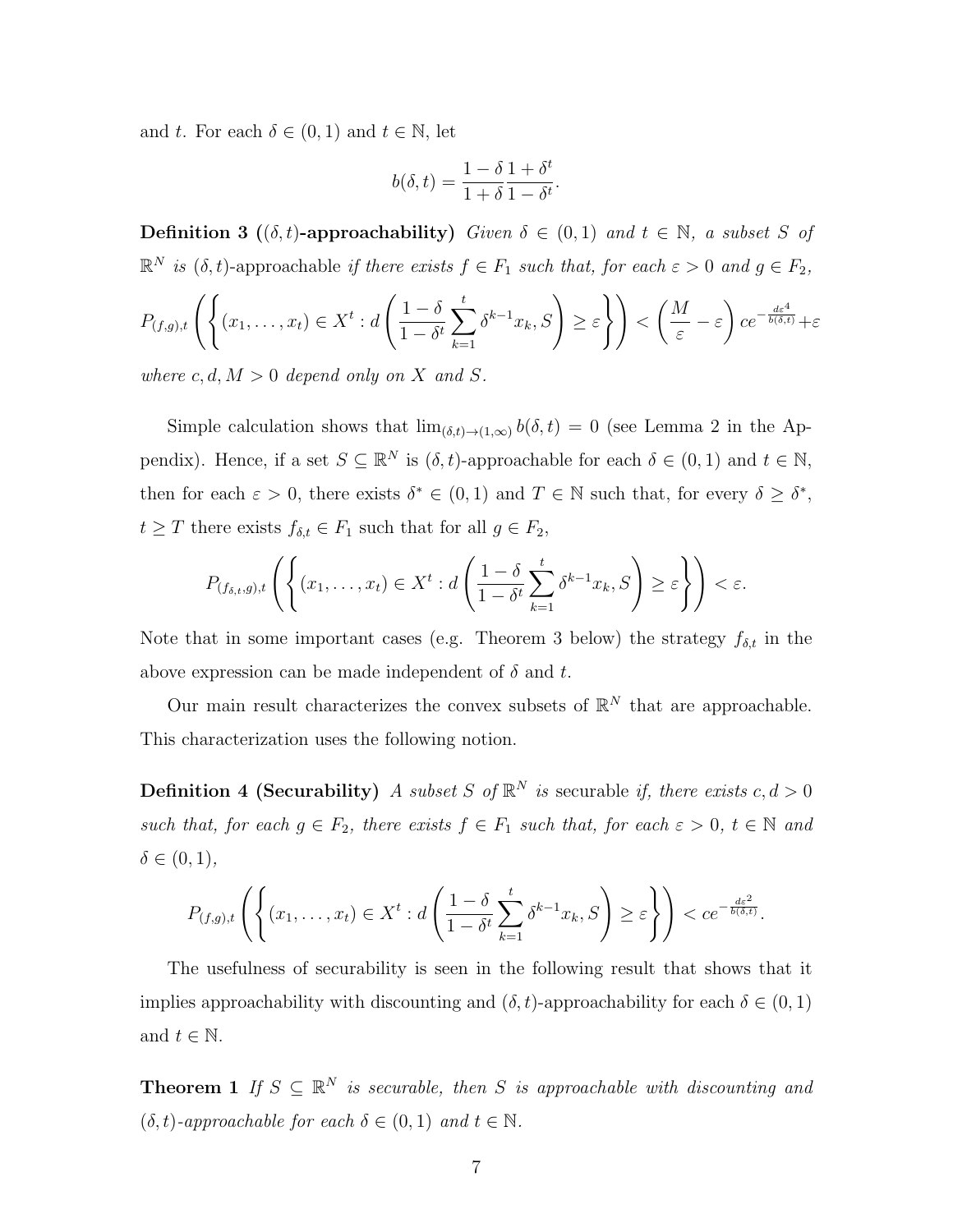and *t*. For each  $\delta \in (0,1)$  and  $t \in \mathbb{N}$ , let

$$
b(\delta, t) = \frac{1 - \delta}{1 + \delta} \frac{1 + \delta^t}{1 - \delta^t}.
$$

**Definition 3** ( $(\delta, t)$ **-approachability)** *Given*  $\delta \in (0, 1)$  *and*  $t \in \mathbb{N}$ *, a subset S of*  $\mathbb{R}^N$  *is* ( $\delta$ , *t*)-approachable *if there exists*  $f \in F_1$  *such that, for each*  $\varepsilon > 0$  *and*  $g \in F_2$ *,* 

$$
P_{(f,g),t}\left(\left\{(x_1,\ldots,x_t)\in X^t:d\left(\frac{1-\delta}{1-\delta^t}\sum_{k=1}^t\delta^{k-1}x_k,S\right)\geq\varepsilon\right\}\right)<\left(\frac{M}{\varepsilon}-\varepsilon\right)ce^{-\frac{d\varepsilon^4}{b(\delta,t)}}+\varepsilon
$$

*where*  $c, d, M > 0$  *depend only on X* and *S*.

Simple calculation shows that  $\lim_{(\delta,t)\to(1,\infty)} b(\delta,t) = 0$  (see Lemma 2 in the Appendix). Hence, if a set  $S \subseteq \mathbb{R}^N$  is  $(\delta, t)$ -approachable for each  $\delta \in (0, 1)$  and  $t \in \mathbb{N}$ , then for each  $\varepsilon > 0$ , there exists  $\delta^* \in (0,1)$  and  $T \in \mathbb{N}$  such that, for every  $\delta \geq \delta^*$ , *t*  $\geq$  *T* there exists *f*<sub> $\delta$ ,*t*</sub>  $\in$  *F*<sub>1</sub> such that for all *g*  $\in$  *F*<sub>2</sub>,

$$
P_{(f_{\delta,t},g),t}\left(\left\{(x_1,\ldots,x_t)\in X^t:d\left(\frac{1-\delta}{1-\delta^t}\sum_{k=1}^t\delta^{k-1}x_k,S\right)\geq\varepsilon\right\}\right)<\varepsilon.
$$

Note that in some important cases (e.g. Theorem 3 below) the strategy  $f_{\delta,t}$  in the above expression can be made independent of *δ* and *t*.

Our main result characterizes the convex subsets of  $\mathbb{R}^N$  that are approachable. This characterization uses the following notion.

**Definition 4 (Securability)** *A subset S* of  $\mathbb{R}^N$  *is* securable *if, there exists*  $c, d > 0$ *such that, for each*  $g \in F_2$ *, there exists*  $f \in F_1$  *such that, for each*  $\varepsilon > 0$ *,*  $t \in \mathbb{N}$  *and*  $\delta \in (0, 1)$ *,* 

$$
P_{(f,g),t}\left(\left\{(x_1,\ldots,x_t)\in X^t:d\left(\frac{1-\delta}{1-\delta^t}\sum_{k=1}^t\delta^{k-1}x_k,S\right)\geq \varepsilon\right\}\right)
$$

The usefulness of securability is seen in the following result that shows that it implies approachability with discounting and  $(\delta, t)$ -approachability for each  $\delta \in (0, 1)$ and  $t \in \mathbb{N}$ .

**Theorem 1** *If*  $S \subseteq \mathbb{R}^N$  *is securable, then S is approachable with discounting and*  $(\delta, t)$ -approachable for each  $\delta \in (0, 1)$  and  $t \in \mathbb{N}$ .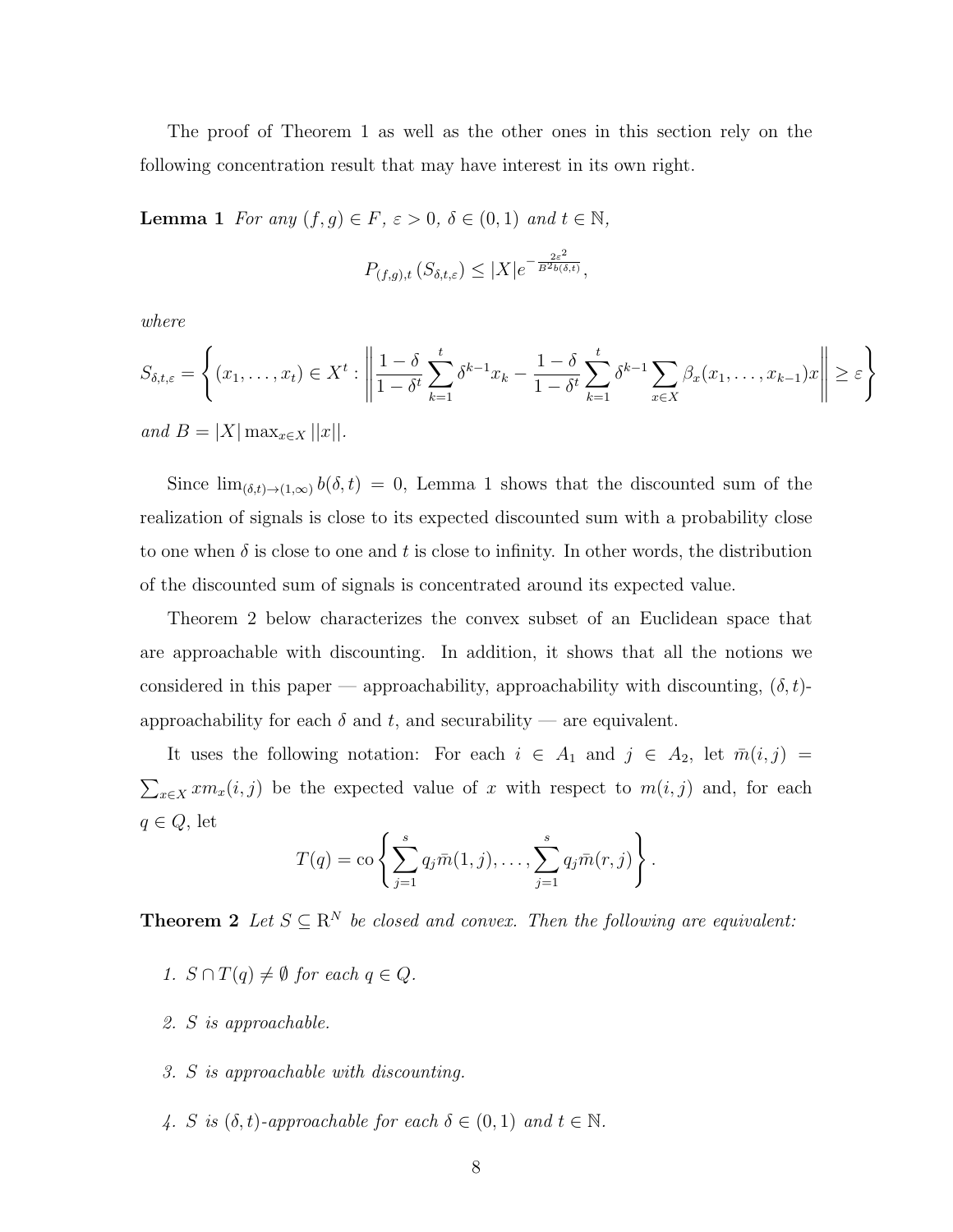The proof of Theorem 1 as well as the other ones in this section rely on the following concentration result that may have interest in its own right.

**Lemma 1** *For any*  $(f, g) \in F$ *, ε* > 0*,*  $\delta \in (0, 1)$  *and*  $t \in \mathbb{N}$ *,* 

$$
P_{(f,g),t} \left( S_{\delta,t,\varepsilon} \right) \leq |X| e^{-\frac{2\varepsilon^2}{B^2 b(\delta,t)}},
$$

*where*

$$
S_{\delta,t,\varepsilon} = \left\{ (x_1, \dots, x_t) \in X^t : \left\| \frac{1-\delta}{1-\delta^t} \sum_{k=1}^t \delta^{k-1} x_k - \frac{1-\delta}{1-\delta^t} \sum_{k=1}^t \delta^{k-1} \sum_{x \in X} \beta_x (x_1, \dots, x_{k-1}) x \right\| \ge \varepsilon \right\}
$$

 $and$   $B = |X| \max_{x \in X} |x|$ .

Since  $\lim_{(\delta,t)\to(1,\infty)} b(\delta,t) = 0$ , Lemma 1 shows that the discounted sum of the realization of signals is close to its expected discounted sum with a probability close to one when  $\delta$  is close to one and  $t$  is close to infinity. In other words, the distribution of the discounted sum of signals is concentrated around its expected value.

Theorem 2 below characterizes the convex subset of an Euclidean space that are approachable with discounting. In addition, it shows that all the notions we considered in this paper — approachability, approachability with discounting,  $(\delta, t)$ approachability for each  $\delta$  and  $t$ , and securability — are equivalent.

It uses the following notation: For each  $i \in A_1$  and  $j \in A_2$ , let  $\overline{m}(i, j) =$  $\sum_{x \in X} x m_x(i, j)$  be the expected value of *x* with respect to  $m(i, j)$  and, for each *q ∈ Q*, let

$$
T(q) = \cos \left\{ \sum_{j=1}^{s} q_j \bar{m}(1, j), \dots, \sum_{j=1}^{s} q_j \bar{m}(r, j) \right\}.
$$

**Theorem 2** Let  $S \subseteq \mathbb{R}^N$  be closed and convex. Then the following are equivalent:

- *1.*  $S \cap T(q) \neq ∅$  *for each*  $q \in Q$ *.*
- *2. S is approachable.*
- *3. S is approachable with discounting.*
- *4. S is*  $(\delta, t)$ *-approachable for each*  $\delta \in (0, 1)$  *and*  $t \in \mathbb{N}$ *.*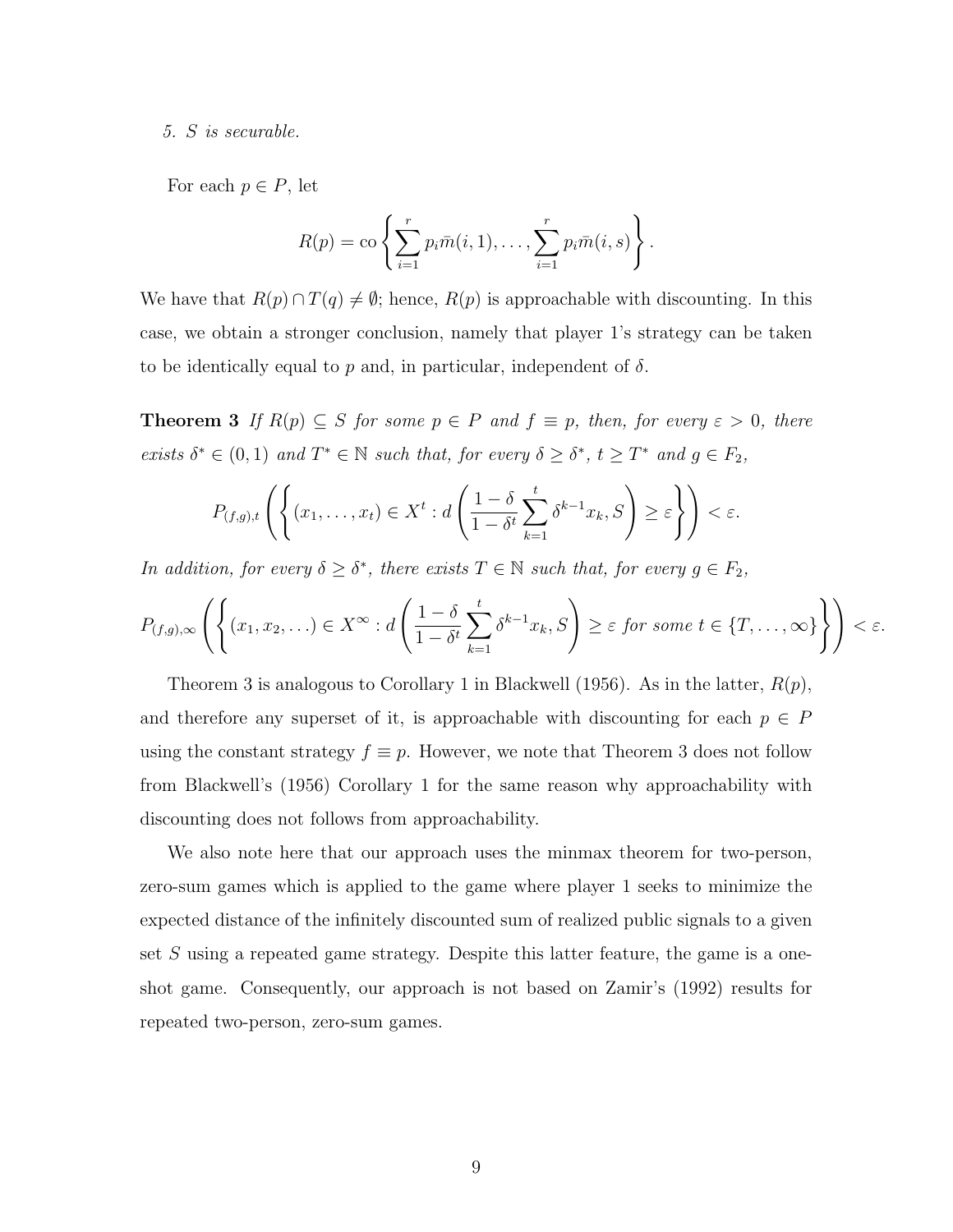*5. S is securable.*

For each  $p \in P$ , let

$$
R(p) = \mathrm{co}\left\{\sum_{i=1}^r p_i \bar{m}(i,1),\ldots,\sum_{i=1}^r p_i \bar{m}(i,s)\right\}.
$$

We have that  $R(p) \cap T(q) \neq \emptyset$ ; hence,  $R(p)$  is approachable with discounting. In this case, we obtain a stronger conclusion, namely that player 1's strategy can be taken to be identically equal to  $p$  and, in particular, independent of  $\delta$ .

**Theorem 3** *If*  $R(p) \subseteq S$  *for some*  $p \in P$  *and*  $f \equiv p$ *, then, for every*  $\varepsilon > 0$ *, there* exists  $\delta^* \in (0,1)$  and  $T^* \in \mathbb{N}$  such that, for every  $\delta \geq \delta^*$ ,  $t \geq T^*$  and  $g \in F_2$ ,

$$
P_{(f,g),t}\left(\left\{(x_1,\ldots,x_t)\in X^t:d\left(\frac{1-\delta}{1-\delta^t}\sum_{k=1}^t\delta^{k-1}x_k,S\right)\geq\varepsilon\right\}\right)<\varepsilon.
$$

*In addition, for every*  $\delta \geq \delta^*$ *, there exists*  $T \in \mathbb{N}$  *such that, for every*  $g \in F_2$ *,* 

$$
P_{(f,g),\infty}\left(\left\{(x_1,x_2,\ldots)\in X^\infty:d\left(\frac{1-\delta}{1-\delta^t}\sum_{k=1}^t\delta^{k-1}x_k,S\right)\geq\varepsilon\text{ for some }t\in\{T,\ldots,\infty\}\right\}\right)<\varepsilon.
$$

Theorem 3 is analogous to Corollary 1 in Blackwell (1956). As in the latter, *R*(*p*), and therefore any superset of it, is approachable with discounting for each  $p \in P$ using the constant strategy  $f \equiv p$ . However, we note that Theorem 3 does not follow from Blackwell's (1956) Corollary 1 for the same reason why approachability with discounting does not follows from approachability.

We also note here that our approach uses the minmax theorem for two-person, zero-sum games which is applied to the game where player 1 seeks to minimize the expected distance of the infinitely discounted sum of realized public signals to a given set *S* using a repeated game strategy. Despite this latter feature, the game is a oneshot game. Consequently, our approach is not based on Zamir's (1992) results for repeated two-person, zero-sum games.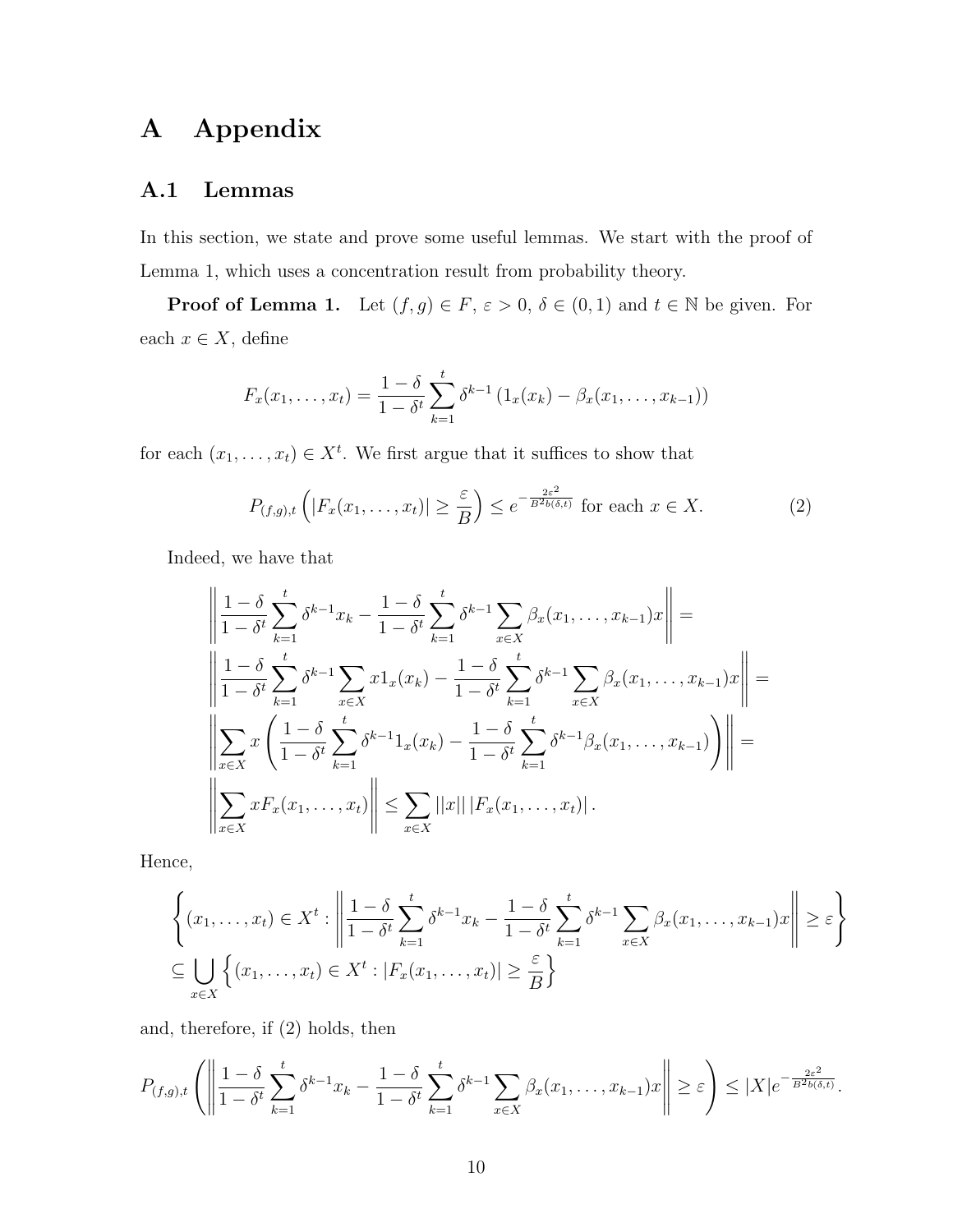## **A Appendix**

### **A.1 Lemmas**

In this section, we state and prove some useful lemmas. We start with the proof of Lemma 1, which uses a concentration result from probability theory.

**Proof of Lemma 1.** Let  $(f, g) \in F$ ,  $\varepsilon > 0$ ,  $\delta \in (0, 1)$  and  $t \in \mathbb{N}$  be given. For each  $x \in X$ , define

$$
F_x(x_1,...,x_t) = \frac{1-\delta}{1-\delta^t} \sum_{k=1}^t \delta^{k-1} (1_x(x_k) - \beta_x(x_1,...,x_{k-1}))
$$

for each  $(x_1, \ldots, x_t) \in X^t$ . We first argue that it suffices to show that

$$
P_{(f,g),t}\left(|F_x(x_1,\ldots,x_t)|\geq \frac{\varepsilon}{B}\right)\leq e^{-\frac{2\varepsilon^2}{B^2b(\delta,t)}}\text{ for each }x\in X.\tag{2}
$$

Indeed, we have that

$$
\left\| \frac{1-\delta}{1-\delta^t} \sum_{k=1}^t \delta^{k-1} x_k - \frac{1-\delta}{1-\delta^t} \sum_{k=1}^t \delta^{k-1} \sum_{x \in X} \beta_x (x_1, \dots, x_{k-1}) x \right\| =
$$
\n
$$
\left\| \frac{1-\delta}{1-\delta^t} \sum_{k=1}^t \delta^{k-1} \sum_{x \in X} x 1_x (x_k) - \frac{1-\delta}{1-\delta^t} \sum_{k=1}^t \delta^{k-1} \sum_{x \in X} \beta_x (x_1, \dots, x_{k-1}) x \right\| =
$$
\n
$$
\left\| \sum_{x \in X} x \left( \frac{1-\delta}{1-\delta^t} \sum_{k=1}^t \delta^{k-1} 1_x (x_k) - \frac{1-\delta}{1-\delta^t} \sum_{k=1}^t \delta^{k-1} \beta_x (x_1, \dots, x_{k-1}) \right) \right\| =
$$
\n
$$
\left\| \sum_{x \in X} x F_x (x_1, \dots, x_t) \right\| \le \sum_{x \in X} ||x|| \left| F_x (x_1, \dots, x_t) \right|.
$$

Hence,

$$
\left\{ (x_1, \ldots, x_t) \in X^t : \left\| \frac{1 - \delta}{1 - \delta^t} \sum_{k=1}^t \delta^{k-1} x_k - \frac{1 - \delta}{1 - \delta^t} \sum_{k=1}^t \delta^{k-1} \sum_{x \in X} \beta_x (x_1, \ldots, x_{k-1}) x \right\| \ge \varepsilon \right\}
$$
  

$$
\subseteq \bigcup_{x \in X} \left\{ (x_1, \ldots, x_t) \in X^t : |F_x(x_1, \ldots, x_t)| \ge \frac{\varepsilon}{B} \right\}
$$

and, therefore, if (2) holds, then

$$
P_{(f,g),t}\left(\left\|\frac{1-\delta}{1-\delta^t}\sum_{k=1}^t \delta^{k-1}x_k - \frac{1-\delta}{1-\delta^t}\sum_{k=1}^t \delta^{k-1}\sum_{x\in X}\beta_x(x_1,\ldots,x_{k-1})x\right\| \geq \varepsilon\right) \leq |X|e^{-\frac{2\varepsilon^2}{B^2b(\delta,t)}}.
$$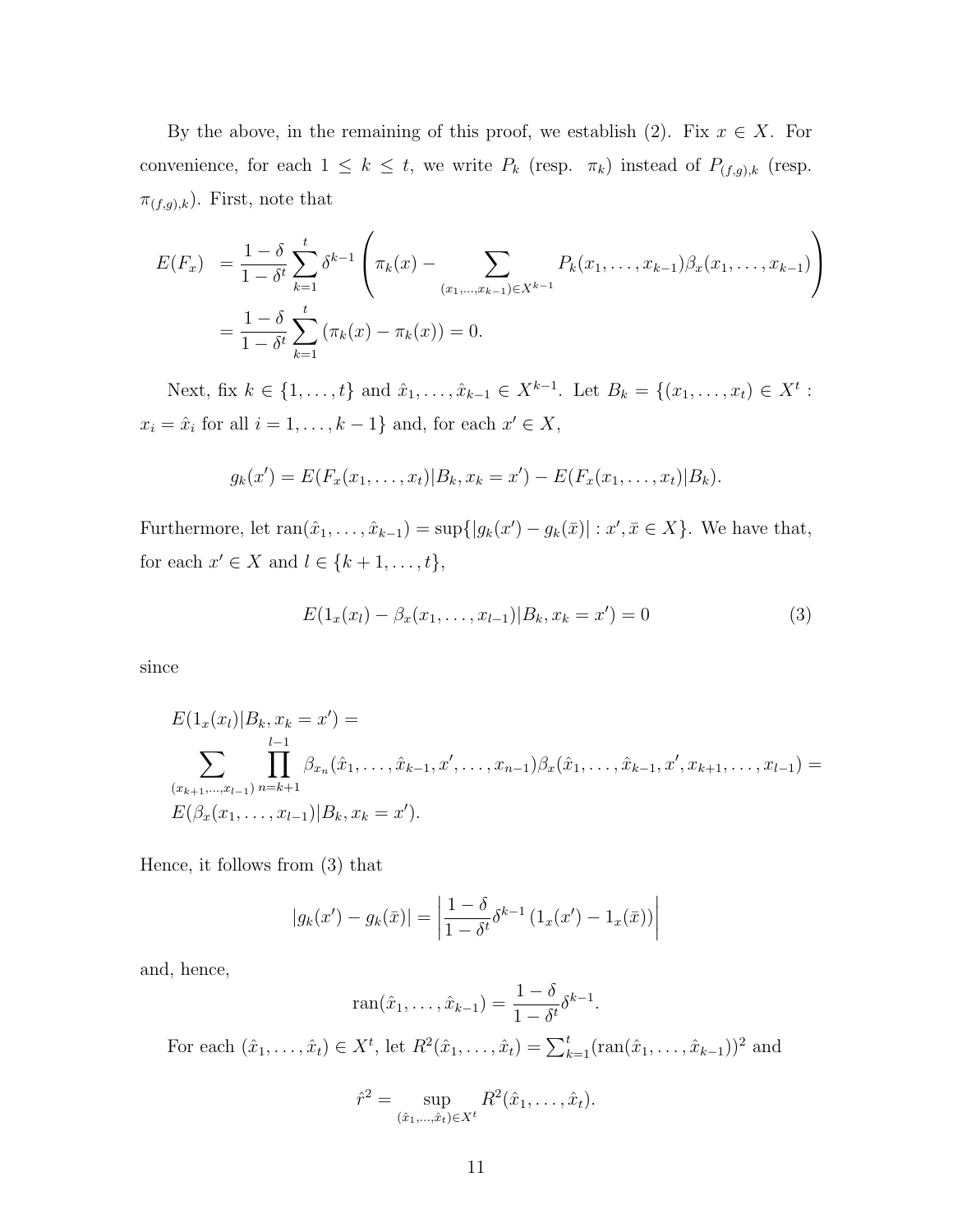By the above, in the remaining of this proof, we establish  $(2)$ . Fix  $x \in X$ . For convenience, for each  $1 \leq k \leq t$ , we write  $P_k$  (resp.  $\pi_k$ ) instead of  $P_{(f,g),k}$  (resp.  $\pi_{(f,g),k}$ ). First, note that

$$
E(F_x) = \frac{1 - \delta}{1 - \delta^t} \sum_{k=1}^t \delta^{k-1} \left( \pi_k(x) - \sum_{(x_1, \dots, x_{k-1}) \in X^{k-1}} P_k(x_1, \dots, x_{k-1}) \beta_x(x_1, \dots, x_{k-1}) \right)
$$
  
=  $\frac{1 - \delta}{1 - \delta^t} \sum_{k=1}^t (\pi_k(x) - \pi_k(x)) = 0.$ 

Next, fix  $k \in \{1, ..., t\}$  and  $\hat{x}_1, ..., \hat{x}_{k-1} \in X^{k-1}$ . Let  $B_k = \{(x_1, ..., x_t) \in X^t :$  $x_i = \hat{x}_i$  for all  $i = 1, \ldots, k-1$ } and, for each  $x' \in X$ ,

$$
g_k(x') = E(F_x(x_1, ..., x_t)|B_k, x_k = x') - E(F_x(x_1, ..., x_t)|B_k).
$$

Furthermore, let  $ran(\hat{x}_1, ..., \hat{x}_{k-1}) = sup\{|g_k(x') - g_k(\bar{x})| : x', \bar{x} \in X\}$ . We have that, for each  $x' \in X$  and  $l \in \{k+1, ..., t\}$ ,

$$
E(1_x(x_l) - \beta_x(x_1, \dots, x_{l-1}) | B_k, x_k = x') = 0
$$
\n(3)

since

$$
E(1_x(x_l)|B_k, x_k = x') =
$$
  

$$
\sum_{(x_{k+1},...,x_{l-1})} \prod_{n=k+1}^{l-1} \beta_{x_n}(\hat{x}_1,..., \hat{x}_{k-1}, x', ..., x_{n-1}) \beta_x(\hat{x}_1,..., \hat{x}_{k-1}, x', x_{k+1}, ..., x_{l-1}) =
$$
  

$$
E(\beta_x(x_1,...,x_{l-1})|B_k, x_k = x').
$$

Hence, it follows from (3) that

$$
|g_k(x') - g_k(\bar{x})| = \left| \frac{1 - \delta}{1 - \delta t} \delta^{k-1} (1_x(x') - 1_x(\bar{x})) \right|
$$

and, hence,

$$
\operatorname{ran}(\hat{x}_1,\ldots,\hat{x}_{k-1}) = \frac{1-\delta}{1-\delta^t}\delta^{k-1}.
$$

For each  $(\hat{x}_1, ..., \hat{x}_t) \in X^t$ , let  $R^2(\hat{x}_1, ..., \hat{x}_t) = \sum_{k=1}^t (ran(\hat{x}_1, ..., \hat{x}_{k-1}))^2$  and

$$
\hat{r}^2 = \sup_{(\hat{x}_1, \dots, \hat{x}_t) \in X^t} R^2(\hat{x}_1, \dots, \hat{x}_t).
$$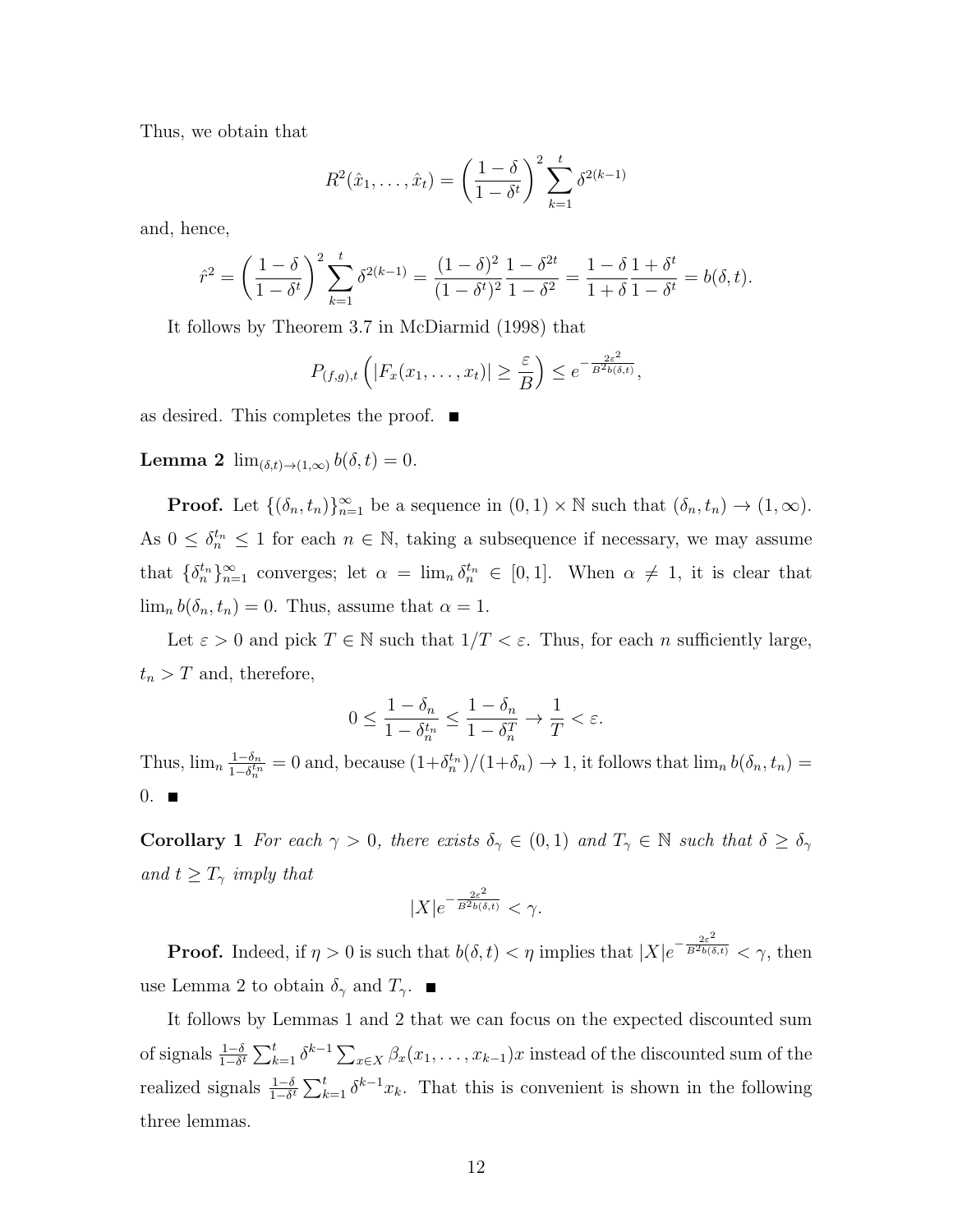Thus, we obtain that

$$
R^{2}(\hat{x}_{1},...,\hat{x}_{t}) = \left(\frac{1-\delta}{1-\delta^{t}}\right)^{2} \sum_{k=1}^{t} \delta^{2(k-1)}
$$

and, hence,

$$
\hat{r}^2 = \left(\frac{1-\delta}{1-\delta^t}\right)^2 \sum_{k=1}^t \delta^{2(k-1)} = \frac{(1-\delta)^2}{(1-\delta^t)^2} \frac{1-\delta^{2t}}{1-\delta^2} = \frac{1-\delta}{1+\delta} \frac{1+\delta^t}{1-\delta^t} = b(\delta, t).
$$

It follows by Theorem 3.7 in McDiarmid (1998) that

$$
P_{(f,g),t}\left(|F_x(x_1,\ldots,x_t)|\geq \frac{\varepsilon}{B}\right)\leq e^{-\frac{2\varepsilon^2}{B^2b(\delta,t)}},
$$

as desired. This completes the proof.  $\blacksquare$ 

**Lemma 2**  $\lim_{(\delta,t)\to(1,\infty)} b(\delta,t) = 0.$ 

**Proof.** Let  $\{(\delta_n, t_n)\}_{n=1}^{\infty}$  be a sequence in  $(0, 1) \times \mathbb{N}$  such that  $(\delta_n, t_n) \to (1, \infty)$ . As  $0 \leq \delta_n^{t_n} \leq 1$  for each  $n \in \mathbb{N}$ , taking a subsequence if necessary, we may assume that  $\{\delta_n^{t_n}\}_{n=1}^{\infty}$  converges; let  $\alpha = \lim_n \delta_n^{t_n} \in [0,1].$  When  $\alpha \neq 1$ , it is clear that  $\lim_{n} b(\delta_n, t_n) = 0$ . Thus, assume that  $\alpha = 1$ .

Let  $\varepsilon > 0$  and pick  $T \in \mathbb{N}$  such that  $1/T < \varepsilon$ . Thus, for each *n* sufficiently large,  $t_n > T$  and, therefore,

$$
0 \le \frac{1 - \delta_n}{1 - \delta_n^{t_n}} \le \frac{1 - \delta_n}{1 - \delta_n^T} \to \frac{1}{T} < \varepsilon.
$$

Thus,  $\lim_{n} \frac{1-\delta_n}{1-\delta^{t_n}}$  $\frac{1-\delta_n}{1-\delta_n^{t_n}} = 0$  and, because  $(1+\delta_n^{t_n})/(1+\delta_n) \to 1$ , it follows that  $\lim_n b(\delta_n, t_n) =$  $0.$ 

**Corollary 1** *For each*  $\gamma > 0$ *, there exists*  $\delta_{\gamma} \in (0,1)$  *and*  $T_{\gamma} \in \mathbb{N}$  *such that*  $\delta \geq \delta_{\gamma}$ *and*  $t \geq T_\gamma$  *imply that* 

$$
|X|e^{-\frac{2\varepsilon^2}{B^2b(\delta,t)}} < \gamma.
$$

**Proof.** Indeed, if  $\eta > 0$  is such that  $b(\delta, t) < \eta$  implies that  $|X|e^{-\frac{2\varepsilon^2}{B^2b(\delta,t)}} < \gamma$ , then use Lemma 2 to obtain  $\delta_{\gamma}$  and  $T_{\gamma}$ .

It follows by Lemmas 1 and 2 that we can focus on the expected discounted sum of signals  $\frac{1-\delta}{1-\delta^t} \sum_{k=1}^t \delta^{k-1} \sum_{x \in X} \beta_x(x_1, \dots, x_{k-1}) x$  instead of the discounted sum of the realized signals  $\frac{1-\delta}{1-\delta^t} \sum_{k=1}^t \delta^{k-1} x_k$ . That this is convenient is shown in the following three lemmas.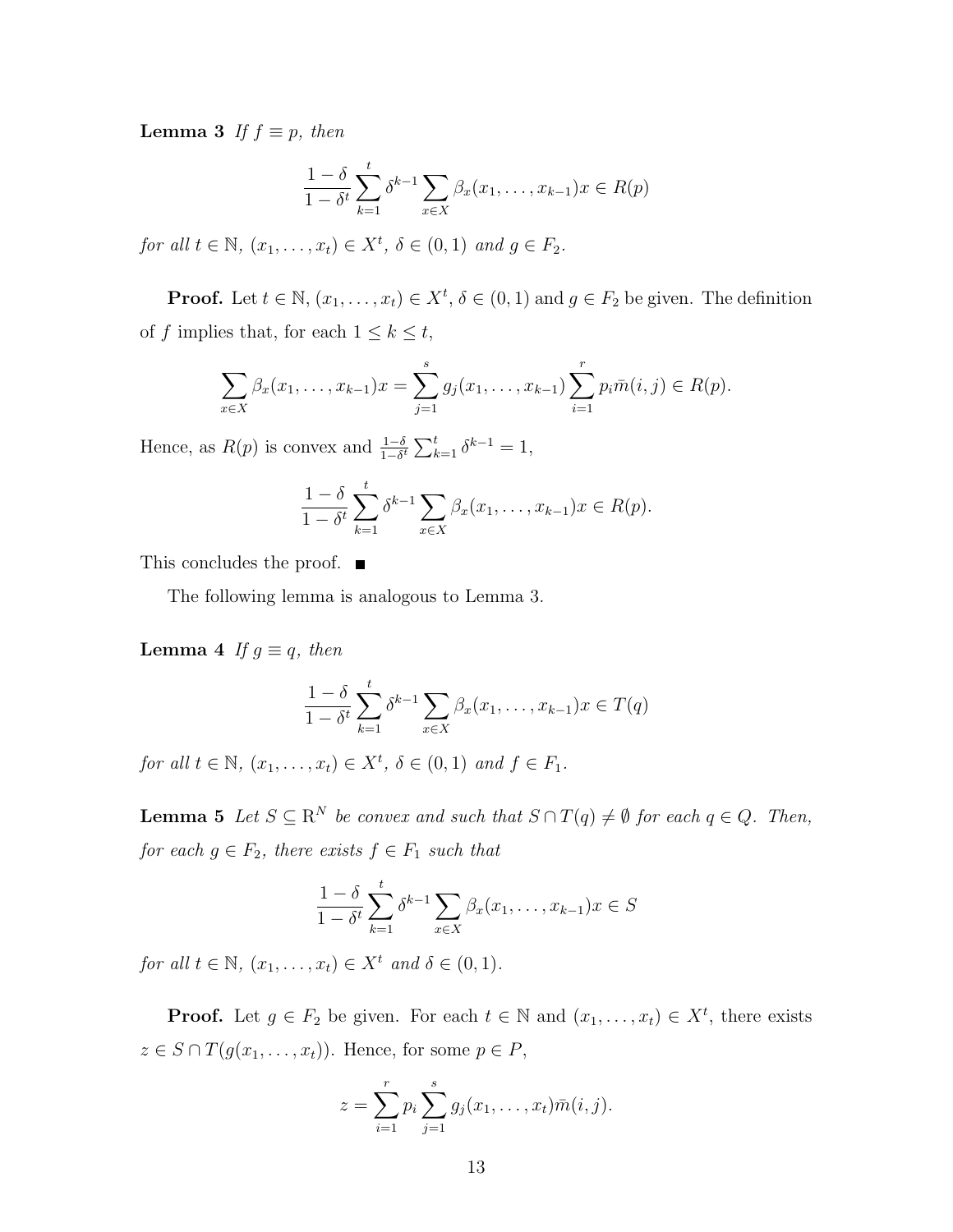**Lemma 3** *If*  $f \equiv p$ *, then* 

$$
\frac{1-\delta}{1-\delta^t} \sum_{k=1}^t \delta^{k-1} \sum_{x \in X} \beta_x(x_1, \dots, x_{k-1}) x \in R(p)
$$

*for all*  $t \in \mathbb{N}$ ,  $(x_1, \ldots, x_t) \in X^t$ ,  $\delta \in (0, 1)$  *and*  $g \in F_2$ .

**Proof.** Let  $t \in \mathbb{N}$ ,  $(x_1, \ldots, x_t) \in X^t$ ,  $\delta \in (0, 1)$  and  $g \in F_2$  be given. The definition of *f* implies that, for each  $1 \leq k \leq t$ ,

$$
\sum_{x \in X} \beta_x(x_1, \dots, x_{k-1})x = \sum_{j=1}^s g_j(x_1, \dots, x_{k-1}) \sum_{i=1}^r p_i \bar{m}(i, j) \in R(p).
$$

Hence, as  $R(p)$  is convex and  $\frac{1-\delta}{1-\delta^t} \sum_{k=1}^t \delta^{k-1} = 1$ ,

$$
\frac{1-\delta}{1-\delta^t}\sum_{k=1}^t \delta^{k-1} \sum_{x\in X} \beta_x(x_1,\ldots,x_{k-1})x \in R(p).
$$

This concludes the proof.  $\blacksquare$ 

The following lemma is analogous to Lemma 3.

**Lemma 4** *If*  $g \equiv q$ *, then* 

$$
\frac{1-\delta}{1-\delta^t} \sum_{k=1}^t \delta^{k-1} \sum_{x \in X} \beta_x(x_1, \dots, x_{k-1}) x \in T(q)
$$

*for all*  $t \in \mathbb{N}$ ,  $(x_1, ..., x_t) \in X^t$ ,  $\delta \in (0, 1)$  *and*  $f \in F_1$ .

**Lemma 5** *Let*  $S \subseteq \mathbb{R}^N$  *be convex and such that*  $S \cap T(q) \neq \emptyset$  *for each*  $q \in Q$ *. Then, for each*  $g \in F_2$ *, there exists*  $f \in F_1$  *such that* 

$$
\frac{1-\delta}{1-\delta^t} \sum_{k=1}^t \delta^{k-1} \sum_{x \in X} \beta_x(x_1, \dots, x_{k-1}) x \in S
$$

*for all*  $t \in \mathbb{N}$ *,*  $(x_1, ..., x_t) \in X^t$  *and*  $\delta \in (0, 1)$ *.* 

**Proof.** Let  $g \in F_2$  be given. For each  $t \in \mathbb{N}$  and  $(x_1, \ldots, x_t) \in X^t$ , there exists  $z \in S \cap T(g(x_1, \ldots, x_t))$ . Hence, for some  $p \in P$ ,

$$
z = \sum_{i=1}^{r} p_i \sum_{j=1}^{s} g_j(x_1, \dots, x_t) \bar{m}(i, j).
$$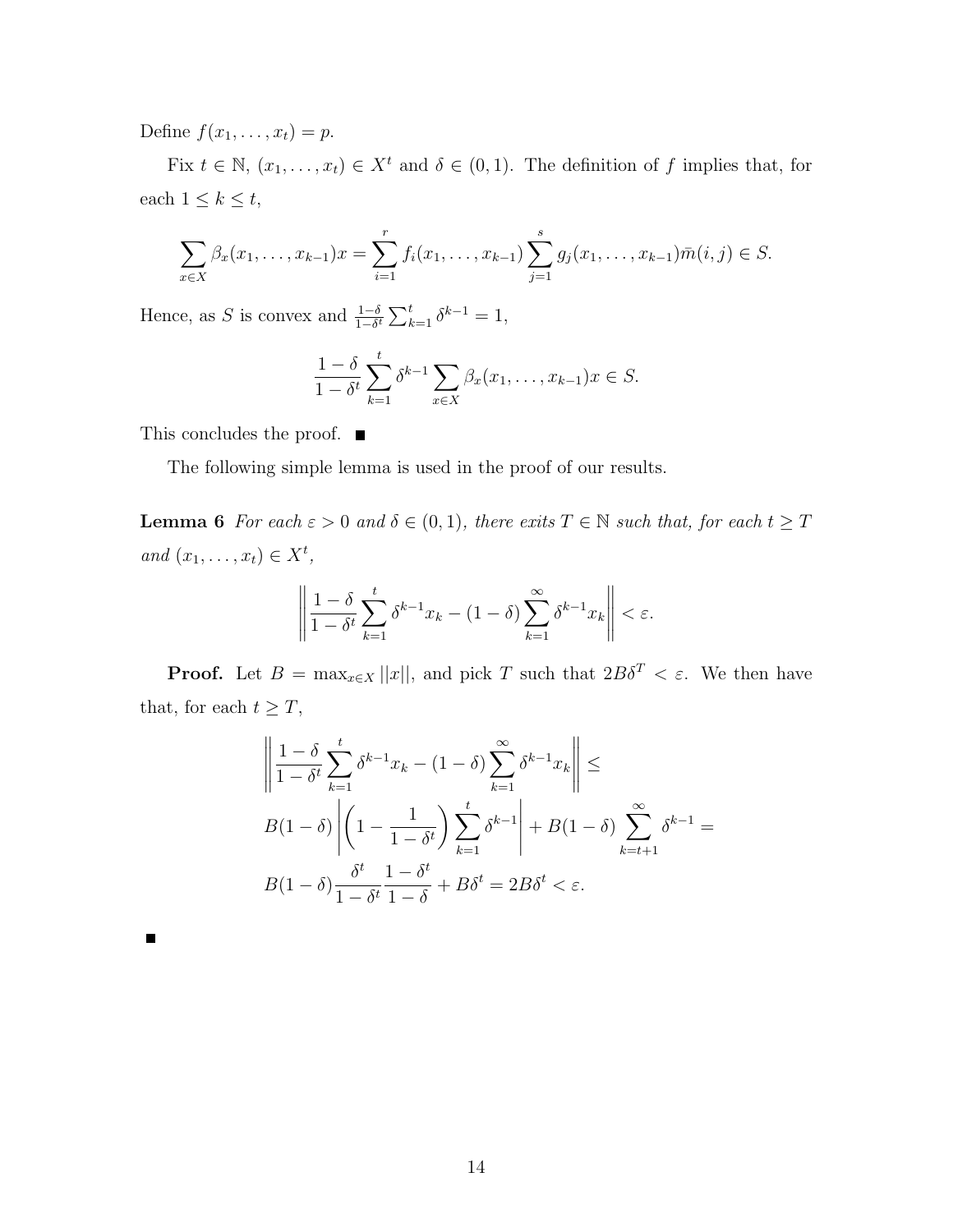Define  $f(x_1, ..., x_t) = p$ .

Fix  $t \in \mathbb{N}$ ,  $(x_1, \ldots, x_t) \in X^t$  and  $\delta \in (0, 1)$ . The definition of *f* implies that, for each  $1 \leq k \leq t$ ,

$$
\sum_{x \in X} \beta_x(x_1, \dots, x_{k-1})x = \sum_{i=1}^r f_i(x_1, \dots, x_{k-1}) \sum_{j=1}^s g_j(x_1, \dots, x_{k-1}) \overline{m}(i, j) \in S.
$$

Hence, as *S* is convex and  $\frac{1-\delta}{1-\delta^t} \sum_{k=1}^t \delta^{k-1} = 1$ ,

$$
\frac{1-\delta}{1-\delta^t}\sum_{k=1}^t \delta^{k-1} \sum_{x\in X} \beta_x(x_1,\ldots,x_{k-1})x \in S.
$$

This concludes the proof.  $\blacksquare$ 

The following simple lemma is used in the proof of our results.

**Lemma 6** *For each*  $\varepsilon > 0$  *and*  $\delta \in (0,1)$ *, there exits*  $T \in \mathbb{N}$  *such that, for each*  $t \geq T$ *and*  $(x_1, ..., x_t) \in X^t$ ,

$$
\left\|\frac{1-\delta}{1-\delta^t}\sum_{k=1}^t \delta^{k-1}x_k - (1-\delta)\sum_{k=1}^\infty \delta^{k-1}x_k\right\| < \varepsilon.
$$

**Proof.** Let  $B = \max_{x \in X} ||x||$ , and pick *T* such that  $2B\delta^T < \varepsilon$ . We then have that, for each  $t \geq T$ ,

$$
\left\| \frac{1-\delta}{1-\delta^t} \sum_{k=1}^t \delta^{k-1} x_k - (1-\delta) \sum_{k=1}^\infty \delta^{k-1} x_k \right\| \le
$$
  

$$
B(1-\delta) \left| \left(1 - \frac{1}{1-\delta^t}\right) \sum_{k=1}^t \delta^{k-1} \right| + B(1-\delta) \sum_{k=t+1}^\infty \delta^{k-1} =
$$
  

$$
B(1-\delta) \frac{\delta^t}{1-\delta^t} \frac{1-\delta^t}{1-\delta} + B\delta^t = 2B\delta^t < \varepsilon.
$$

П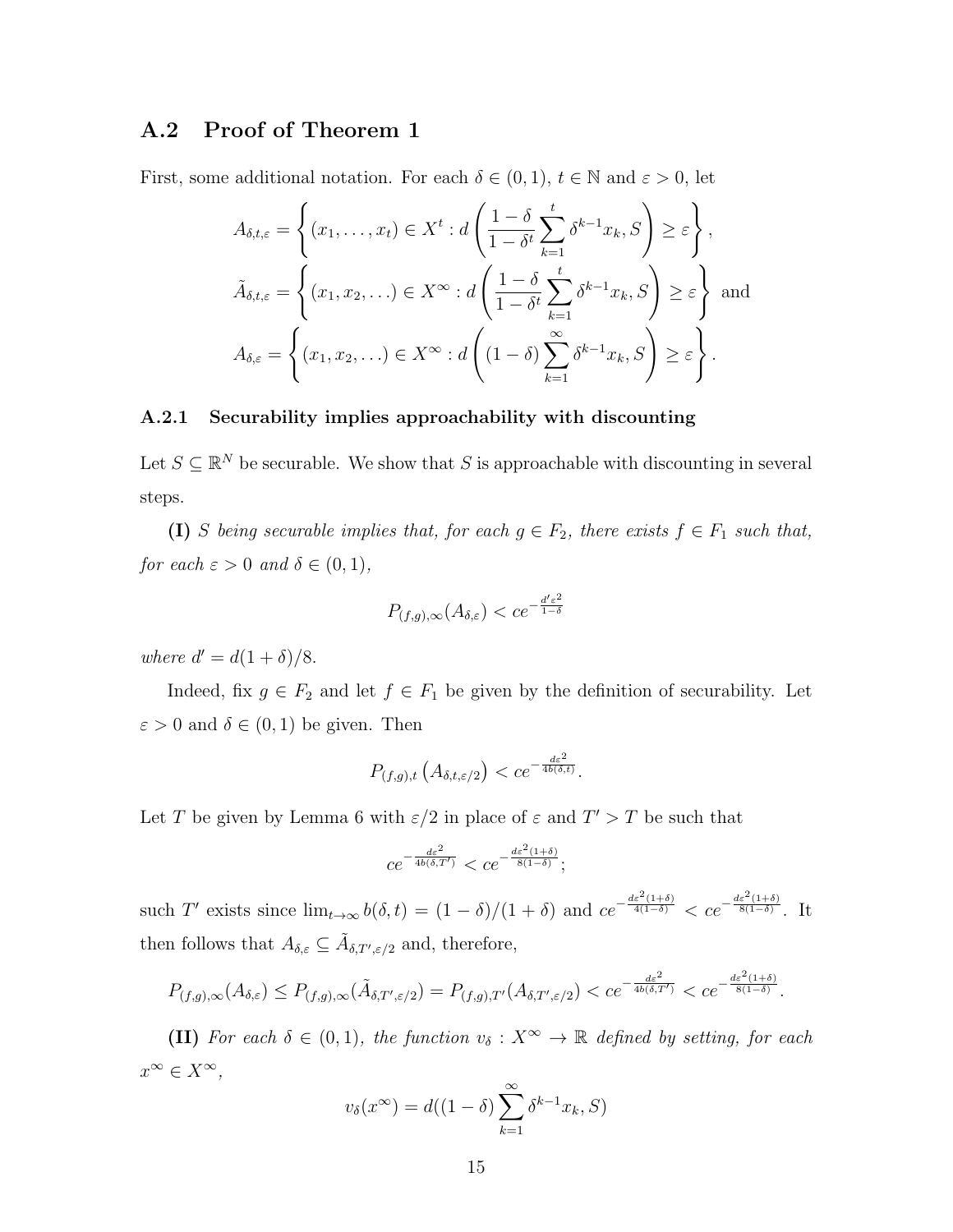### **A.2 Proof of Theorem 1**

First, some additional notation. For each  $\delta \in (0,1)$ ,  $t \in \mathbb{N}$  and  $\varepsilon > 0$ , let

$$
A_{\delta,t,\varepsilon} = \left\{ (x_1, \dots, x_t) \in X^t : d \left( \frac{1 - \delta}{1 - \delta^t} \sum_{k=1}^t \delta^{k-1} x_k, S \right) \ge \varepsilon \right\},
$$
  

$$
\tilde{A}_{\delta,t,\varepsilon} = \left\{ (x_1, x_2, \dots) \in X^\infty : d \left( \frac{1 - \delta}{1 - \delta^t} \sum_{k=1}^t \delta^{k-1} x_k, S \right) \ge \varepsilon \right\} \text{ and }
$$
  

$$
A_{\delta,\varepsilon} = \left\{ (x_1, x_2, \dots) \in X^\infty : d \left( (1 - \delta) \sum_{k=1}^\infty \delta^{k-1} x_k, S \right) \ge \varepsilon \right\}.
$$

#### **A.2.1 Securability implies approachability with discounting**

Let  $S \subseteq \mathbb{R}^N$  be securable. We show that *S* is approachable with discounting in several steps.

**(I)** *S being securable implies that, for each*  $g \in F_2$ *, there exists*  $f \in F_1$  *such that, for each*  $\varepsilon > 0$  *and*  $\delta \in (0, 1)$ *,* 

$$
P_{(f,g),\infty}(A_{\delta,\varepsilon}) < ce^{-\frac{d'\varepsilon^2}{1-\delta}}
$$

*where*  $d' = d(1 + \delta)/8$ .

Indeed, fix  $g \in F_2$  and let  $f \in F_1$  be given by the definition of securability. Let  $\varepsilon > 0$  and  $\delta \in (0, 1)$  be given. Then

$$
P_{(f,g),t}\left(A_{\delta,t,\varepsilon/2}\right) < c e^{-\frac{d\varepsilon^2}{4b(\delta,t)}}.
$$

Let *T* be given by Lemma 6 with  $\varepsilon/2$  in place of  $\varepsilon$  and  $T' > T$  be such that

$$
ce^{-\frac{d\varepsilon^2}{4b(\delta,T')}} < ce^{-\frac{d\varepsilon^2(1+\delta)}{8(1-\delta)}};
$$

such T' exists since  $\lim_{t\to\infty} b(\delta,t) = (1-\delta)/(1+\delta)$  and  $ce^{-\frac{de^2(1+\delta)}{4(1-\delta)}} < ce^{-\frac{de^2(1+\delta)}{8(1-\delta)}}$ 8(1*−δ*) . It then follows that  $A_{\delta,\varepsilon} \subseteq \tilde{A}_{\delta,T',\varepsilon/2}$  and, therefore,

$$
P_{(f,g),\infty}(A_{\delta,\varepsilon}) \le P_{(f,g),\infty}(\tilde{A}_{\delta,T',\varepsilon/2}) = P_{(f,g),T'}(A_{\delta,T',\varepsilon/2}) < ce^{-\frac{d\varepsilon^2}{4b(\delta,T')}} < ce^{-\frac{d\varepsilon^2(1+\delta)}{8(1-\delta)}}.
$$

**(II)** For each  $\delta \in (0,1)$ , the function  $v_{\delta}: X^{\infty} \to \mathbb{R}$  defined by setting, for each *x <sup>∞</sup> ∈ X<sup>∞</sup>,*

$$
v_{\delta}(x^{\infty}) = d((1 - \delta) \sum_{k=1}^{\infty} \delta^{k-1} x_k, S)
$$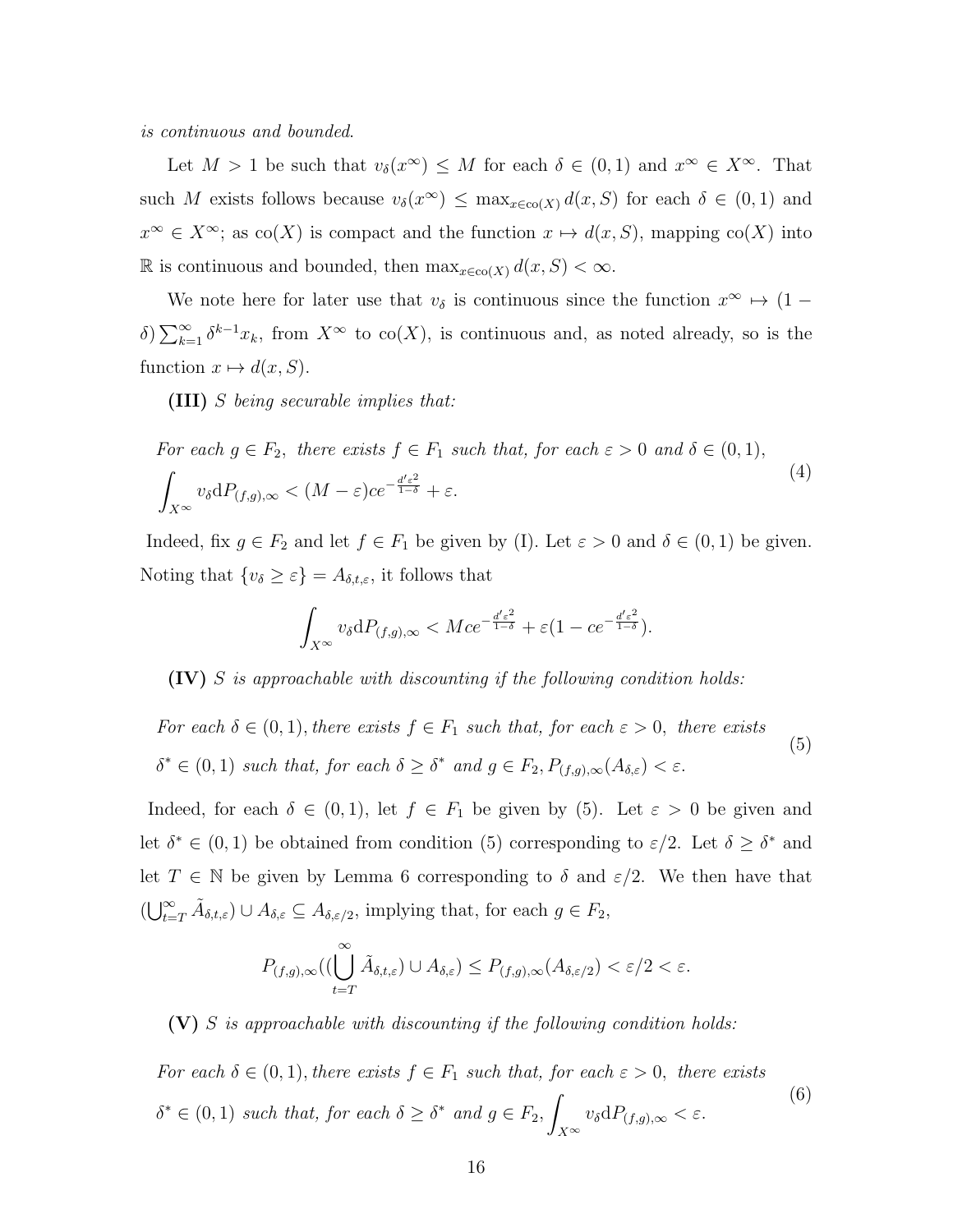*is continuous and bounded*.

Let  $M > 1$  be such that  $v_{\delta}(x^{\infty}) \leq M$  for each  $\delta \in (0,1)$  and  $x^{\infty} \in X^{\infty}$ . That such *M* exists follows because  $v_{\delta}(x^{\infty}) \leq \max_{x \in \text{co}(X)} d(x, S)$  for each  $\delta \in (0, 1)$  and  $x^{\infty} \in X^{\infty}$ ; as co(*X*) is compact and the function  $x \mapsto d(x, S)$ , mapping co(*X*) into R is continuous and bounded, then  $\max_{x \in \text{co}(X)} d(x, S) < \infty$ .

We note here for later use that  $v_{\delta}$  is continuous since the function  $x^{\infty} \mapsto (1$ *δ*)  $\sum_{k=1}^{\infty} δ^{k-1}x_k$ , from *X*<sup>∞</sup> to co(*X*), is continuous and, as noted already, so is the function  $x \mapsto d(x, S)$ .

**(III)** *S being securable implies that:*

For each 
$$
g \in F_2
$$
, there exists  $f \in F_1$  such that, for each  $\varepsilon > 0$  and  $\delta \in (0, 1)$ ,  
\n
$$
\int_{X^{\infty}} v_{\delta} dP_{(f,g),\infty} < (M - \varepsilon)ce^{-\frac{d' \varepsilon^2}{1 - \delta}} + \varepsilon.
$$
\n(4)

Indeed, fix  $g \in F_2$  and let  $f \in F_1$  be given by (I). Let  $\varepsilon > 0$  and  $\delta \in (0,1)$  be given. Noting that  $\{v_{\delta} \geq \varepsilon\} = A_{\delta,t,\varepsilon}$ , it follows that

$$
\int_{X^{\infty}} v_{\delta} dP_{(f,g),\infty} < Mce^{-\frac{d'\varepsilon^2}{1-\delta}} + \varepsilon (1 - ce^{-\frac{d'\varepsilon^2}{1-\delta}}).
$$

**(IV)** *S is approachable with discounting if the following condition holds:*

*For each*  $\delta \in (0,1)$ *, there exists*  $f \in F_1$  *such that, for each*  $\varepsilon > 0$ *, there exists*  $\delta^* \in (0,1)$  *such that, for each*  $\delta \geq \delta^*$  *and*  $g \in F_2, P_{(f,g),\infty}(A_{\delta,\varepsilon}) < \varepsilon$ . (5)

Indeed, for each  $\delta \in (0,1)$ , let  $f \in F_1$  be given by (5). Let  $\varepsilon > 0$  be given and let  $\delta^* \in (0,1)$  be obtained from condition (5) corresponding to  $\varepsilon/2$ . Let  $\delta \geq \delta^*$  and let  $T \in \mathbb{N}$  be given by Lemma 6 corresponding to  $\delta$  and  $\varepsilon/2$ . We then have that  $(\bigcup_{t=T}^{\infty} \tilde{A}_{\delta,t,\varepsilon}) \cup A_{\delta,\varepsilon} \subseteq A_{\delta,\varepsilon/2}$ , implying that, for each  $g \in F_2$ ,

$$
P_{(f,g),\infty}((\bigcup_{t=T}^{\infty} \tilde{A}_{\delta,t,\varepsilon}) \cup A_{\delta,\varepsilon}) \leq P_{(f,g),\infty}(A_{\delta,\varepsilon/2}) < \varepsilon/2 < \varepsilon.
$$

**(V)** *S is approachable with discounting if the following condition holds:*

*For each*  $\delta \in (0,1)$ *, there exists*  $f \in F_1$  *such that, for each*  $\varepsilon > 0$ *, there exists*  $\delta^* \in (0,1)$  *such that, for each*  $\delta \geq \delta^*$  *and*  $g \in F_2$ , *X∞*  $v_{\delta} dP_{(f,g),\infty} < \varepsilon$ . (6)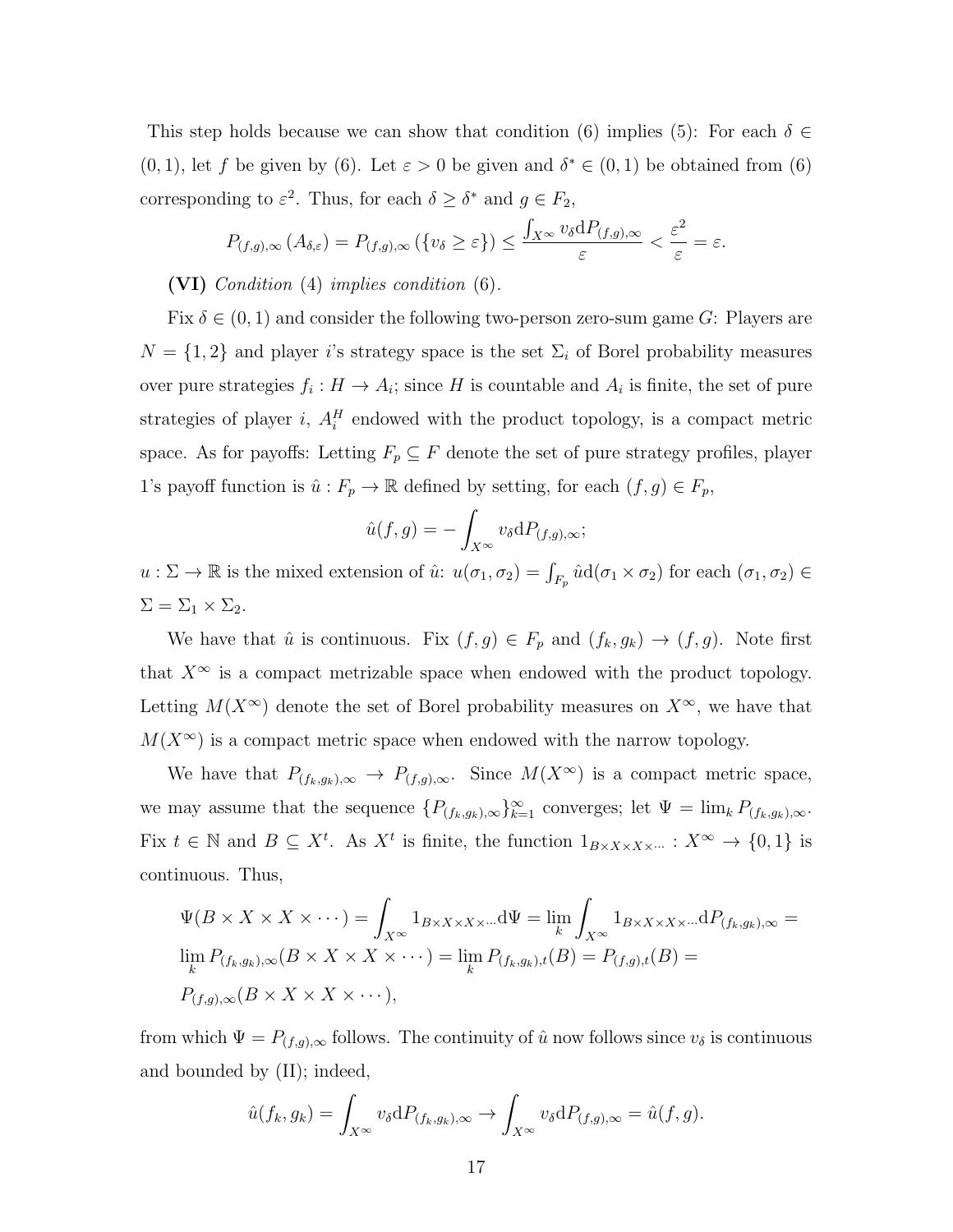This step holds because we can show that condition (6) implies (5): For each  $\delta \in$ (0, 1), let *f* be given by (6). Let  $\varepsilon > 0$  be given and  $\delta^* \in (0,1)$  be obtained from (6) corresponding to  $\varepsilon^2$ . Thus, for each  $\delta \geq \delta^*$  and  $g \in F_2$ ,

$$
P_{(f,g),\infty}(A_{\delta,\varepsilon}) = P_{(f,g),\infty}(\{v_{\delta} \geq \varepsilon\}) \leq \frac{\int_{X^{\infty}} v_{\delta} dP_{(f,g),\infty}}{\varepsilon} < \frac{\varepsilon^2}{\varepsilon} = \varepsilon.
$$

**(VI)** *Condition* (4) *implies condition* (6)*.*

Fix  $\delta \in (0,1)$  and consider the following two-person zero-sum game *G*: Players are  $N = \{1, 2\}$  and player *i*'s strategy space is the set  $\Sigma_i$  of Borel probability measures over pure strategies  $f_i: H \to A_i$ ; since H is countable and  $A_i$  is finite, the set of pure strategies of player  $i$ ,  $A_i^H$  endowed with the product topology, is a compact metric space. As for payoffs: Letting  $F_p \subseteq F$  denote the set of pure strategy profiles, player 1's payoff function is  $\hat{u}: F_p \to \mathbb{R}$  defined by setting, for each  $(f, g) \in F_p$ ,

$$
\hat{u}(f,g) = -\int_{X^{\infty}} v_{\delta} dP_{(f,g),\infty};
$$

 $u : \Sigma \to \mathbb{R}$  is the mixed extension of  $\hat{u} : u(\sigma_1, \sigma_2) = \int_{F_p} \hat{u} d(\sigma_1 \times \sigma_2)$  for each  $(\sigma_1, \sigma_2) \in$  $\Sigma = \Sigma_1 \times \Sigma_2$ .

We have that  $\hat{u}$  is continuous. Fix  $(f, g) \in F_p$  and  $(f_k, g_k) \to (f, g)$ . Note first that  $X^{\infty}$  is a compact metrizable space when endowed with the product topology. Letting  $M(X^{\infty})$  denote the set of Borel probability measures on  $X^{\infty}$ , we have that  $M(X^{\infty})$  is a compact metric space when endowed with the narrow topology.

We have that  $P_{(f_k,g_k),\infty} \to P_{(f,g),\infty}$ . Since  $M(X^{\infty})$  is a compact metric space, we may assume that the sequence  ${P_{(f_k,g_k),\infty}}_{k=1}^{\infty}$  converges; let  $\Psi = \lim_k P_{(f_k,g_k),\infty}$ . Fix  $t \in \mathbb{N}$  and  $B \subseteq X^t$ . As  $X^t$  is finite, the function  $1_{B \times X \times X \times \dots} : X^{\infty} \to \{0,1\}$  is continuous. Thus,

$$
\Psi(B \times X \times X \times \cdots) = \int_{X^{\infty}} 1_{B \times X \times X \times \cdots} d\Psi = \lim_{k} \int_{X^{\infty}} 1_{B \times X \times X \times \cdots} dP_{(f_k, g_k), \infty} =
$$
  
\n
$$
\lim_{k} P_{(f_k, g_k), \infty}(B \times X \times X \times \cdots) = \lim_{k} P_{(f_k, g_k), t}(B) = P_{(f, g), t}(B) =
$$
  
\n
$$
P_{(f, g), \infty}(B \times X \times X \times \cdots),
$$

from which  $\Psi = P_{(f,g),\infty}$  follows. The continuity of  $\hat{u}$  now follows since  $v_{\delta}$  is continuous and bounded by (II); indeed,

$$
\hat{u}(f_k, g_k) = \int_{X^{\infty}} v_{\delta} dP_{(f_k, g_k), \infty} \to \int_{X^{\infty}} v_{\delta} dP_{(f,g), \infty} = \hat{u}(f, g).
$$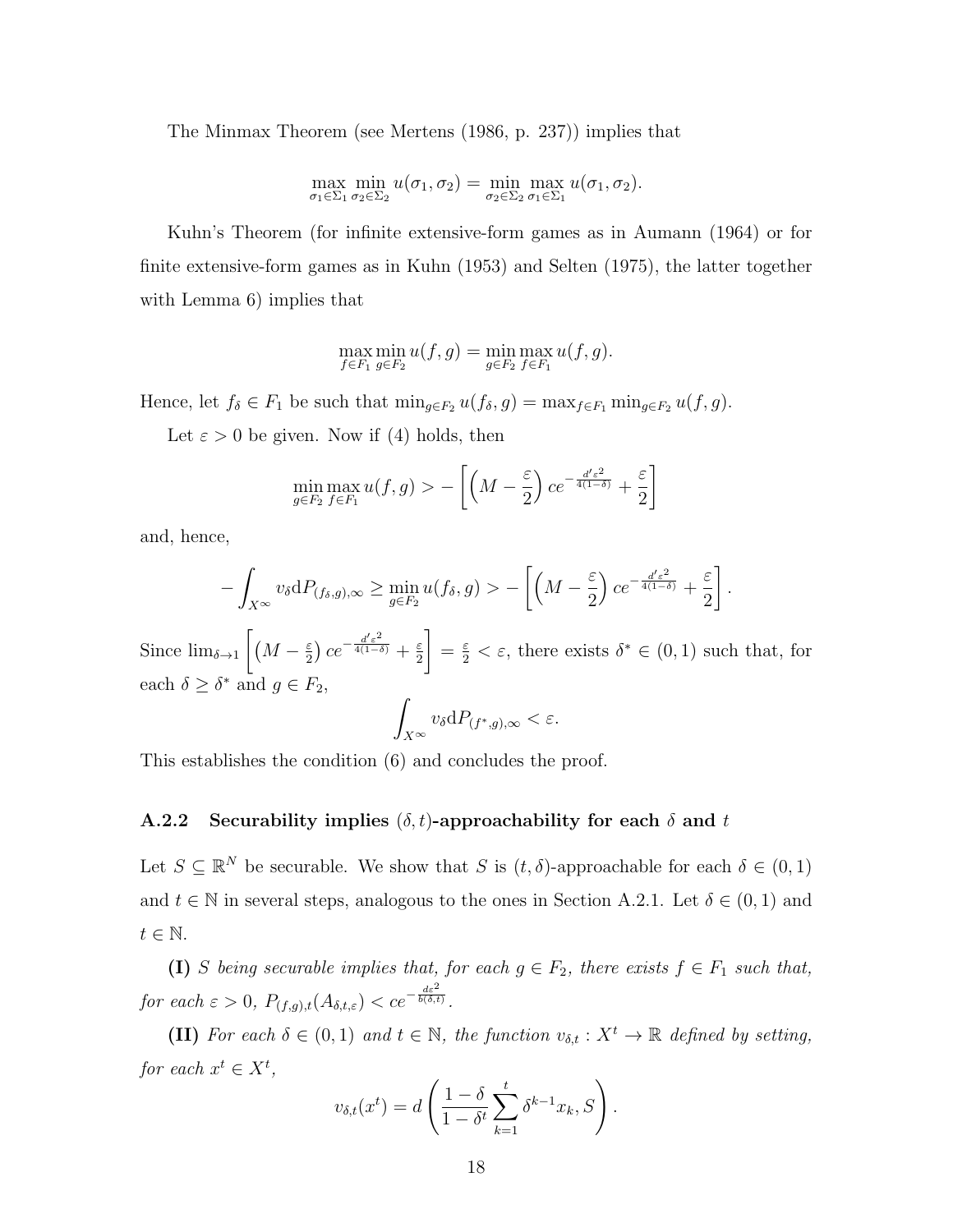The Minmax Theorem (see Mertens (1986, p. 237)) implies that

$$
\max_{\sigma_1 \in \Sigma_1} \min_{\sigma_2 \in \Sigma_2} u(\sigma_1, \sigma_2) = \min_{\sigma_2 \in \Sigma_2} \max_{\sigma_1 \in \Sigma_1} u(\sigma_1, \sigma_2).
$$

Kuhn's Theorem (for infinite extensive-form games as in Aumann (1964) or for finite extensive-form games as in Kuhn (1953) and Selten (1975), the latter together with Lemma 6) implies that

$$
\max_{f \in F_1} \min_{g \in F_2} u(f, g) = \min_{g \in F_2} \max_{f \in F_1} u(f, g).
$$

Hence, let  $f_{\delta} \in F_1$  be such that  $\min_{g \in F_2} u(f_{\delta}, g) = \max_{f \in F_1} \min_{g \in F_2} u(f, g)$ .

Let  $\varepsilon > 0$  be given. Now if (4) holds, then

$$
\min_{g \in F_2} \max_{f \in F_1} u(f,g) > -\left[ \left( M - \frac{\varepsilon}{2} \right) c e^{-\frac{d' \varepsilon^2}{4(1-\delta)}} + \frac{\varepsilon}{2} \right]
$$

and, hence,

$$
-\int_{X^{\infty}} v_{\delta} dP_{(f_{\delta}, g), \infty} \geq \min_{g \in F_2} u(f_{\delta}, g) > -\left[ \left(M - \frac{\varepsilon}{2}\right) c e^{-\frac{d' \varepsilon^2}{4(1 - \delta)}} + \frac{\varepsilon}{2} \right].
$$

Since  $\lim_{\delta \to 1} \left[ (M - \frac{\varepsilon}{2}) \right]$  $\frac{\varepsilon}{2}$ )  $ce^{-\frac{d'\varepsilon^2}{4(1-\delta)}} + \frac{\varepsilon}{2}$ 2  $\left[\frac{\varepsilon}{2} < \varepsilon$ , there exists  $\delta^* \in (0,1)$  such that, for each  $\delta \geq \delta^*$  and  $g \in F_2$ ,

$$
\int_{X^{\infty}} v_{\delta} \mathrm{d} P_{(f^*, g), \infty} < \varepsilon.
$$

This establishes the condition (6) and concludes the proof.

#### **A.2.2** Securability implies  $(\delta, t)$ -approachability for each  $\delta$  and  $t$

Let  $S \subseteq \mathbb{R}^N$  be securable. We show that *S* is  $(t, \delta)$ -approachable for each  $\delta \in (0, 1)$ and  $t \in \mathbb{N}$  in several steps, analogous to the ones in Section A.2.1. Let  $\delta \in (0,1)$  and *t ∈* N.

**(I)** *S being securable implies that, for each*  $g \in F_2$ *, there exists*  $f \in F_1$  *such that, for each*  $\varepsilon > 0$ ,  $P_{(f,g),t}(A_{\delta,t,\varepsilon}) < ce^{-\frac{d\varepsilon^2}{b(\delta,t)}}$ .

**(II)** For each  $\delta \in (0,1)$  and  $t \in \mathbb{N}$ , the function  $v_{\delta,t} : X^t \to \mathbb{R}$  defined by setting, *for each*  $x^t \in X^t$ ,

$$
v_{\delta,t}(x^t) = d\left(\frac{1-\delta}{1-\delta^t}\sum_{k=1}^t \delta^{k-1}x_k, S\right).
$$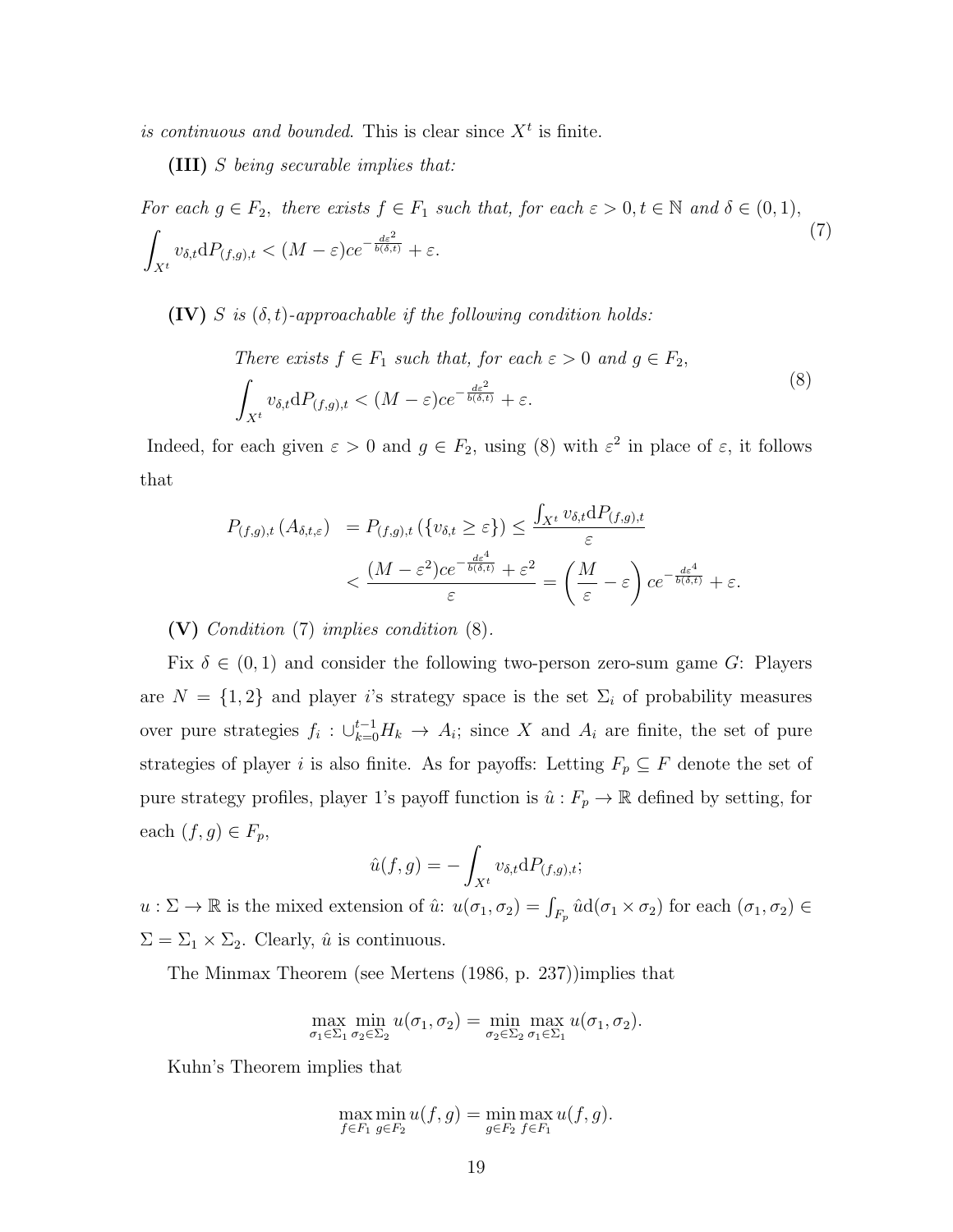is continuous and bounded. This is clear since  $X<sup>t</sup>$  is finite.

**(III)** *S being securable implies that:*

For each 
$$
g \in F_2
$$
, there exists  $f \in F_1$  such that, for each  $\varepsilon > 0$ ,  $t \in \mathbb{N}$  and  $\delta \in (0, 1)$ ,  
\n
$$
\int_{X^t} v_{\delta,t} dP_{(f,g),t} < (M - \varepsilon)ce^{-\frac{d\varepsilon^2}{b(\delta,t)}} + \varepsilon.
$$
\n(7)

**(IV)**  $S$  *is*  $(\delta, t)$ *-approachable if the following condition holds:* 

There exists 
$$
f \in F_1
$$
 such that, for each  $\varepsilon > 0$  and  $g \in F_2$ ,  
\n
$$
\int_{X^t} v_{\delta,t} dP_{(f,g),t} < (M - \varepsilon)ce^{-\frac{d\varepsilon^2}{b(\delta,t)}} + \varepsilon.
$$
\n(8)

Indeed, for each given  $\varepsilon > 0$  and  $g \in F_2$ , using (8) with  $\varepsilon^2$  in place of  $\varepsilon$ , it follows that

$$
P_{(f,g),t}(A_{\delta,t,\varepsilon}) = P_{(f,g),t}(\{v_{\delta,t} \ge \varepsilon\}) \le \frac{\int_{X^t} v_{\delta,t} dP_{(f,g),t}}{\varepsilon}
$$

$$
< \frac{(M - \varepsilon^2)ce^{-\frac{d\varepsilon^4}{b(\delta,t)}} + \varepsilon^2}{\varepsilon} = \left(\frac{M}{\varepsilon} - \varepsilon\right)ce^{-\frac{d\varepsilon^4}{b(\delta,t)}} + \varepsilon.
$$

**(V)** *Condition* (7) *implies condition* (8)*.*

Fix  $\delta \in (0,1)$  and consider the following two-person zero-sum game *G*: Players are  $N = \{1, 2\}$  and player *i*'s strategy space is the set  $\Sigma_i$  of probability measures over pure strategies  $f_i: \bigcup_{k=0}^{t-1} H_k \to A_i$ ; since X and  $A_i$  are finite, the set of pure strategies of player *i* is also finite. As for payoffs: Letting  $F_p \subseteq F$  denote the set of pure strategy profiles, player 1's payoff function is  $\hat{u}: F_p \to \mathbb{R}$  defined by setting, for each  $(f, g) \in F_p$ ,

$$
\hat{u}(f,g) = -\int_{X^t} v_{\delta,t} \mathrm{d}P_{(f,g),t};
$$

 $u : \Sigma \to \mathbb{R}$  is the mixed extension of  $\hat{u} : u(\sigma_1, \sigma_2) = \int_{F_p} \hat{u} d(\sigma_1 \times \sigma_2)$  for each  $(\sigma_1, \sigma_2) \in$  $\Sigma = \Sigma_1 \times \Sigma_2$ . Clearly,  $\hat{u}$  is continuous.

The Minmax Theorem (see Mertens (1986, p. 237))implies that

$$
\max_{\sigma_1 \in \Sigma_1} \min_{\sigma_2 \in \Sigma_2} u(\sigma_1, \sigma_2) = \min_{\sigma_2 \in \Sigma_2} \max_{\sigma_1 \in \Sigma_1} u(\sigma_1, \sigma_2).
$$

Kuhn's Theorem implies that

$$
\max_{f \in F_1} \min_{g \in F_2} u(f,g) = \min_{g \in F_2} \max_{f \in F_1} u(f,g).
$$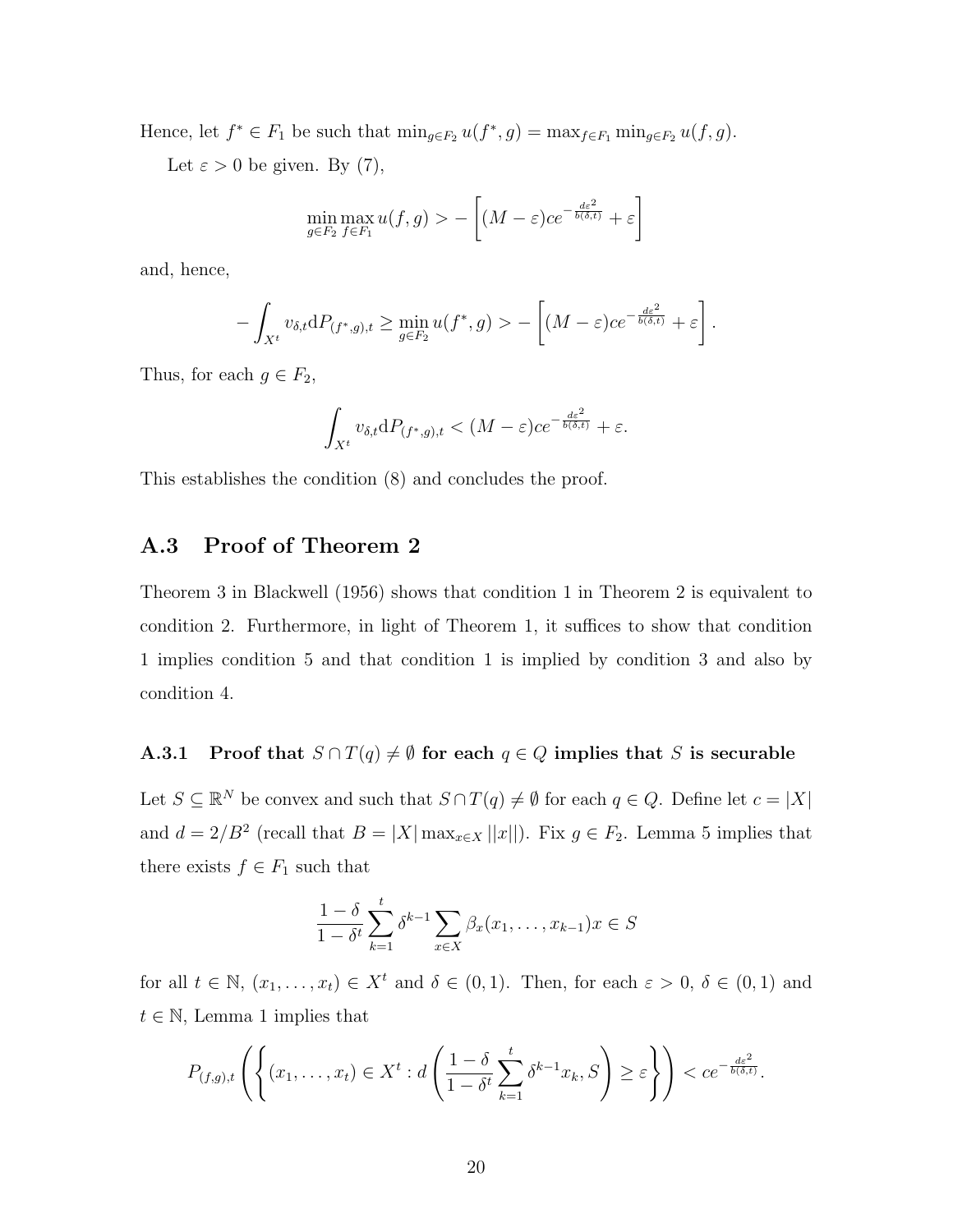Hence, let  $f^* \in F_1$  be such that  $\min_{g \in F_2} u(f^*, g) = \max_{f \in F_1} \min_{g \in F_2} u(f, g)$ .

Let  $\varepsilon > 0$  be given. By (7),

$$
\min_{g \in F_2} \max_{f \in F_1} u(f, g) > - \left[ (M - \varepsilon) c e^{-\frac{d\varepsilon^2}{b(\delta, t)}} + \varepsilon \right]
$$

and, hence,

$$
-\int_{X^t} v_{\delta,t} dP_{(f^*,g),t} \geq \min_{g \in F_2} u(f^*,g) > -\left[ (M-\varepsilon)ce^{-\frac{d\varepsilon^2}{b(\delta,t)}} + \varepsilon \right].
$$

Thus, for each  $g \in F_2$ ,

$$
\int_{X^t} v_{\delta,t} \mathrm{d} P_{(f^*,g),t} < (M-\varepsilon)ce^{-\frac{d\varepsilon^2}{b(\delta,t)}} + \varepsilon.
$$

This establishes the condition (8) and concludes the proof.

### **A.3 Proof of Theorem 2**

Theorem 3 in Blackwell (1956) shows that condition 1 in Theorem 2 is equivalent to condition 2. Furthermore, in light of Theorem 1, it suffices to show that condition 1 implies condition 5 and that condition 1 is implied by condition 3 and also by condition 4.

#### **A.3.1** Proof that  $S \cap T(q) \neq \emptyset$  for each  $q \in Q$  implies that *S* is securable

Let  $S \subseteq \mathbb{R}^N$  be convex and such that  $S \cap T(q) \neq \emptyset$  for each  $q \in Q$ . Define let  $c = |X|$ and  $d = 2/B^2$  (recall that  $B = |X| \max_{x \in X} ||x||$ ). Fix  $g \in F_2$ . Lemma 5 implies that there exists  $f \in F_1$  such that

$$
\frac{1-\delta}{1-\delta^t} \sum_{k=1}^t \delta^{k-1} \sum_{x \in X} \beta_x(x_1, \dots, x_{k-1}) x \in S
$$

for all  $t \in \mathbb{N}$ ,  $(x_1, \ldots, x_t) \in X^t$  and  $\delta \in (0,1)$ . Then, for each  $\varepsilon > 0$ ,  $\delta \in (0,1)$  and  $t \in \mathbb{N}$ , Lemma 1 implies that

$$
P_{(f,g),t}\left(\left\{(x_1,\ldots,x_t)\in X^t:d\left(\frac{1-\delta}{1-\delta^t}\sum_{k=1}^t\delta^{k-1}x_k,S\right)\geq \varepsilon\right\}\right)
$$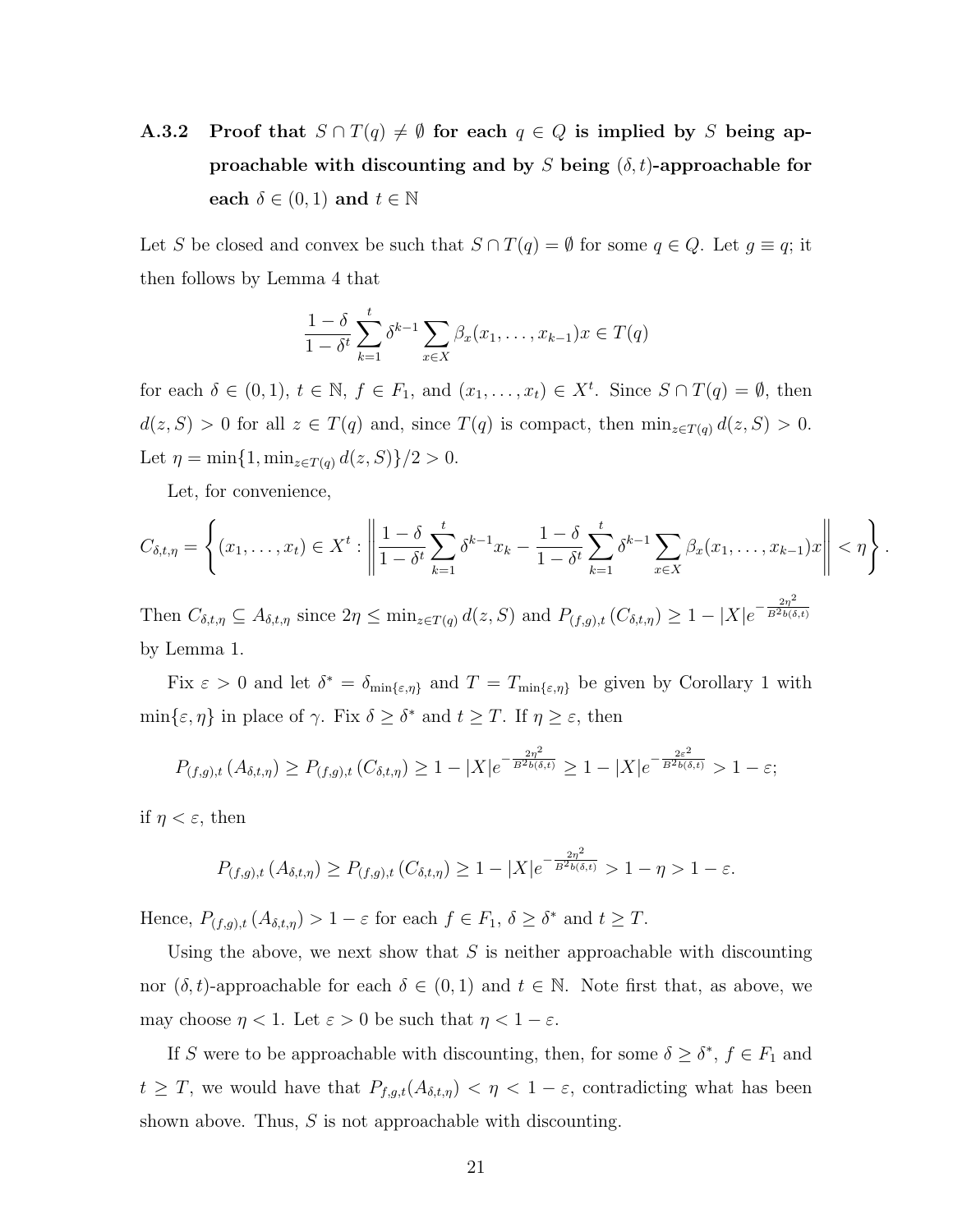**A.3.2** Proof that  $S \cap T(q) \neq \emptyset$  for each  $q \in Q$  is implied by *S* being ap**proachable with discounting and by** *S* **being**  $(\delta, t)$ **-approachable for each**  $\delta \in (0,1)$  **and**  $t \in \mathbb{N}$ 

Let *S* be closed and convex be such that  $S \cap T(q) = \emptyset$  for some  $q \in Q$ . Let  $g \equiv q$ ; it then follows by Lemma 4 that

$$
\frac{1-\delta}{1-\delta^t} \sum_{k=1}^t \delta^{k-1} \sum_{x \in X} \beta_x(x_1, \dots, x_{k-1}) x \in T(q)
$$

for each  $\delta \in (0,1)$ ,  $t \in \mathbb{N}$ ,  $f \in F_1$ , and  $(x_1, \ldots, x_t) \in X^t$ . Since  $S \cap T(q) = \emptyset$ , then  $d(z, S) > 0$  for all  $z \in T(q)$  and, since  $T(q)$  is compact, then  $\min_{z \in T(q)} d(z, S) > 0$ . Let  $\eta = \min\{1, \min_{z \in T(q)} d(z, S)\}/2 > 0.$ 

Let, for convenience,

$$
C_{\delta,t,\eta} = \left\{ (x_1,\ldots,x_t) \in X^t : \left\| \frac{1-\delta}{1-\delta^t} \sum_{k=1}^t \delta^{k-1} x_k - \frac{1-\delta}{1-\delta^t} \sum_{k=1}^t \delta^{k-1} \sum_{x \in X} \beta_x (x_1,\ldots,x_{k-1}) x \right\| < \eta \right\}.
$$
  
Then  $C = \mathcal{A}$  gives  $2\pi \leq \min_{\theta \in \mathcal{A}} \mathcal{A}(\alpha, \theta)$  and  $B = \mathcal{A}(\alpha, \theta) > 1 - |\mathbf{V}| \sqrt{\frac{2\eta^2}{B^2 \log \delta}}.$ 

Then  $C_{\delta,t,\eta} \subseteq A_{\delta,t,\eta}$  since  $2\eta \le \min_{z \in T(q)} d(z, S)$  and  $P_{(f,g),t}(C_{\delta,t,\eta}) \ge 1 - |X|e^{-\frac{2\eta}{B^2 b(\delta,t)}}$ by Lemma 1.

Fix  $\varepsilon > 0$  and let  $\delta^* = \delta_{\min\{\varepsilon,\eta\}}$  and  $T = T_{\min\{\varepsilon,\eta\}}$  be given by Corollary 1 with  $\min\{\varepsilon, \eta\}$  in place of  $\gamma$ . Fix  $\delta \geq \delta^*$  and  $t \geq T$ . If  $\eta \geq \varepsilon$ , then

$$
P_{(f,g),t}(A_{\delta,t,\eta}) \ge P_{(f,g),t}(C_{\delta,t,\eta}) \ge 1 - |X|e^{-\frac{2\eta^2}{B^2b(\delta,t)}} \ge 1 - |X|e^{-\frac{2\varepsilon^2}{B^2b(\delta,t)}} > 1 - \varepsilon;
$$

if  $\eta < \varepsilon$ , then

$$
P_{(f,g),t}(A_{\delta,t,\eta}) \ge P_{(f,g),t}(C_{\delta,t,\eta}) \ge 1 - |X|e^{-\frac{2\eta^2}{B^2b(\delta,t)}} > 1 - \eta > 1 - \varepsilon.
$$

Hence,  $P_{(f,g),t}(A_{\delta,t,\eta}) > 1 - \varepsilon$  for each  $f \in F_1$ ,  $\delta \geq \delta^*$  and  $t \geq T$ .

Using the above, we next show that *S* is neither approachable with discounting nor  $(\delta, t)$ -approachable for each  $\delta \in (0, 1)$  and  $t \in \mathbb{N}$ . Note first that, as above, we may choose  $\eta < 1$ . Let  $\varepsilon > 0$  be such that  $\eta < 1 - \varepsilon$ .

If *S* were to be approachable with discounting, then, for some  $\delta \geq \delta^*$ ,  $f \in F_1$  and *t*  $\geq T$ , we would have that  $P_{f,g,t}(A_{\delta,t,\eta}) < \eta < 1-\varepsilon$ , contradicting what has been shown above. Thus, *S* is not approachable with discounting.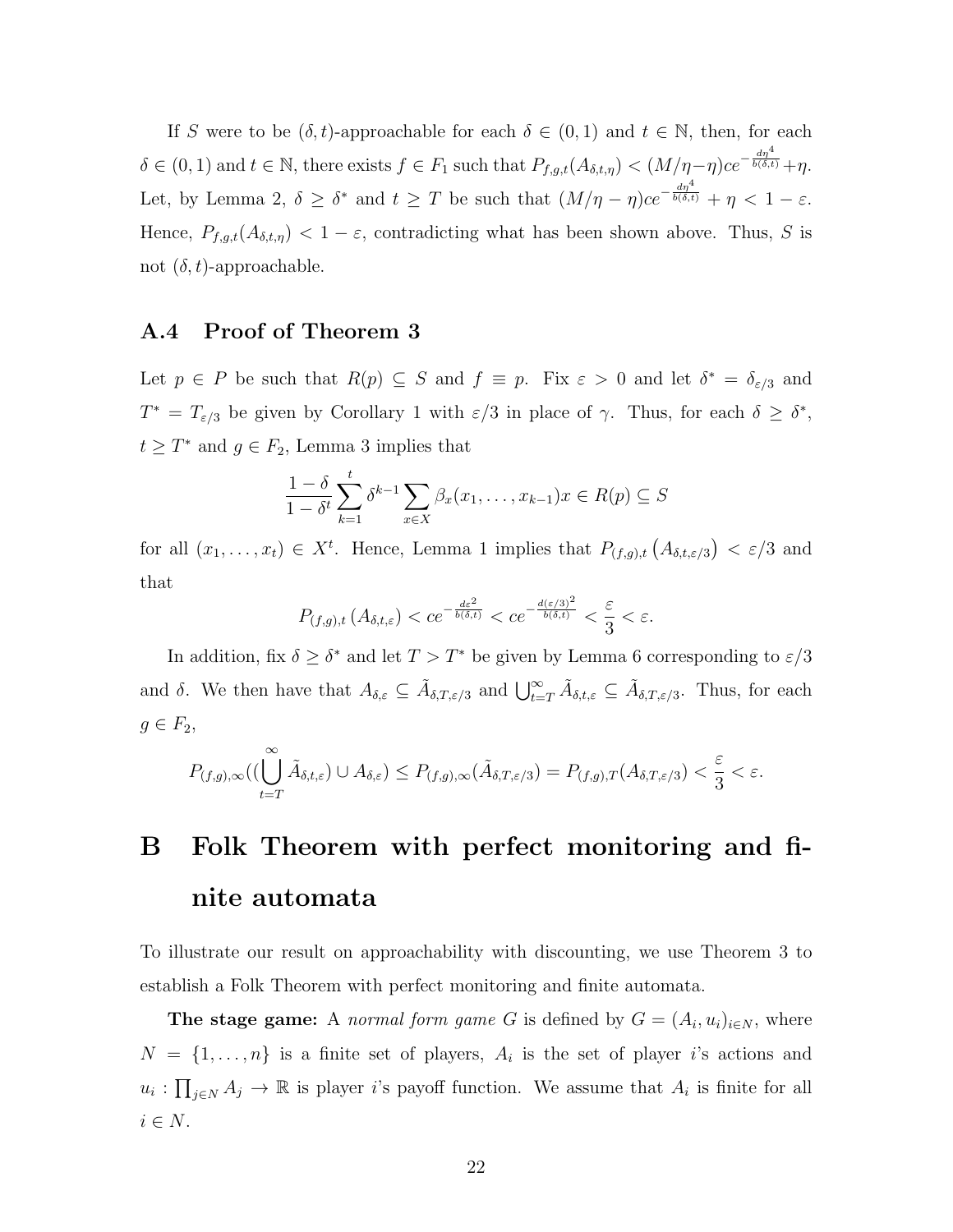If *S* were to be  $(\delta, t)$ -approachable for each  $\delta \in (0, 1)$  and  $t \in \mathbb{N}$ , then, for each  $\delta \in (0,1)$  and  $t \in \mathbb{N}$ , there exists  $f \in F_1$  such that  $P_{f,g,t}(A_{\delta,t,\eta}) < (M/\eta - \eta)ce^{-\frac{d\eta^4}{b(\delta,t)}} + \eta$ . Let, by Lemma 2,  $\delta \geq \delta^*$  and  $t \geq T$  be such that  $(M/\eta - \eta)ce^{-\frac{d\eta^4}{b(\delta,t)}} + \eta < 1 - \varepsilon$ . Hence,  $P_{f,g,t}(A_{\delta,t,\eta}) < 1 - \varepsilon$ , contradicting what has been shown above. Thus, *S* is not  $(\delta, t)$ -approachable.

#### **A.4 Proof of Theorem 3**

Let  $p \in P$  be such that  $R(p) \subseteq S$  and  $f \equiv p$ . Fix  $\varepsilon > 0$  and let  $\delta^* = \delta_{\varepsilon/3}$  and *T*<sup>\*</sup> = *T*<sub>*ε/*3</sub> be given by Corollary 1 with  $\varepsilon/3$  in place of *γ*. Thus, for each  $\delta \geq \delta^*$ ,  $t \geq T^*$  and  $g \in F_2$ , Lemma 3 implies that

$$
\frac{1-\delta}{1-\delta^t} \sum_{k=1}^t \delta^{k-1} \sum_{x \in X} \beta_x(x_1, \dots, x_{k-1}) x \in R(p) \subseteq S
$$

for all  $(x_1, \ldots, x_t) \in X^t$ . Hence, Lemma 1 implies that  $P_{(f,g),t}(A_{\delta,t,\varepsilon/3}) < \varepsilon/3$  and that

$$
P_{(f,g),t}\left(A_{\delta,t,\varepsilon}\right) < c e^{-\frac{d\varepsilon^2}{b(\delta,t)}} < c e^{-\frac{d(\varepsilon/3)^2}{b(\delta,t)}} < \frac{\varepsilon}{3} < \varepsilon.
$$

In addition, fix  $\delta \geq \delta^*$  and let  $T > T^*$  be given by Lemma 6 corresponding to  $\varepsilon/3$ and  $\delta$ . We then have that  $A_{\delta,\varepsilon} \subseteq \tilde{A}_{\delta,T,\varepsilon/3}$  and  $\bigcup_{t=T}^{\infty} \tilde{A}_{\delta,t,\varepsilon} \subseteq \tilde{A}_{\delta,T,\varepsilon/3}$ . Thus, for each  $g \in F_2$ ,

$$
P_{(f,g),\infty}((\bigcup_{t=T}^{\infty}\tilde{A}_{\delta,t,\varepsilon})\cup A_{\delta,\varepsilon})\leq P_{(f,g),\infty}(\tilde{A}_{\delta,T,\varepsilon/3})=P_{(f,g),T}(A_{\delta,T,\varepsilon/3})<\frac{\varepsilon}{3}<\varepsilon.
$$

## **B Folk Theorem with perfect monitoring and finite automata**

To illustrate our result on approachability with discounting, we use Theorem 3 to establish a Folk Theorem with perfect monitoring and finite automata.

**The stage game:** A *normal form game G* is defined by  $G = (A_i, u_i)_{i \in N}$ , where  $N = \{1, \ldots, n\}$  is a finite set of players,  $A_i$  is the set of player *i*'s actions and  $u_i: \prod_{j\in N} A_j \to \mathbb{R}$  is player *i*'s payoff function. We assume that  $A_i$  is finite for all *i ∈ N*.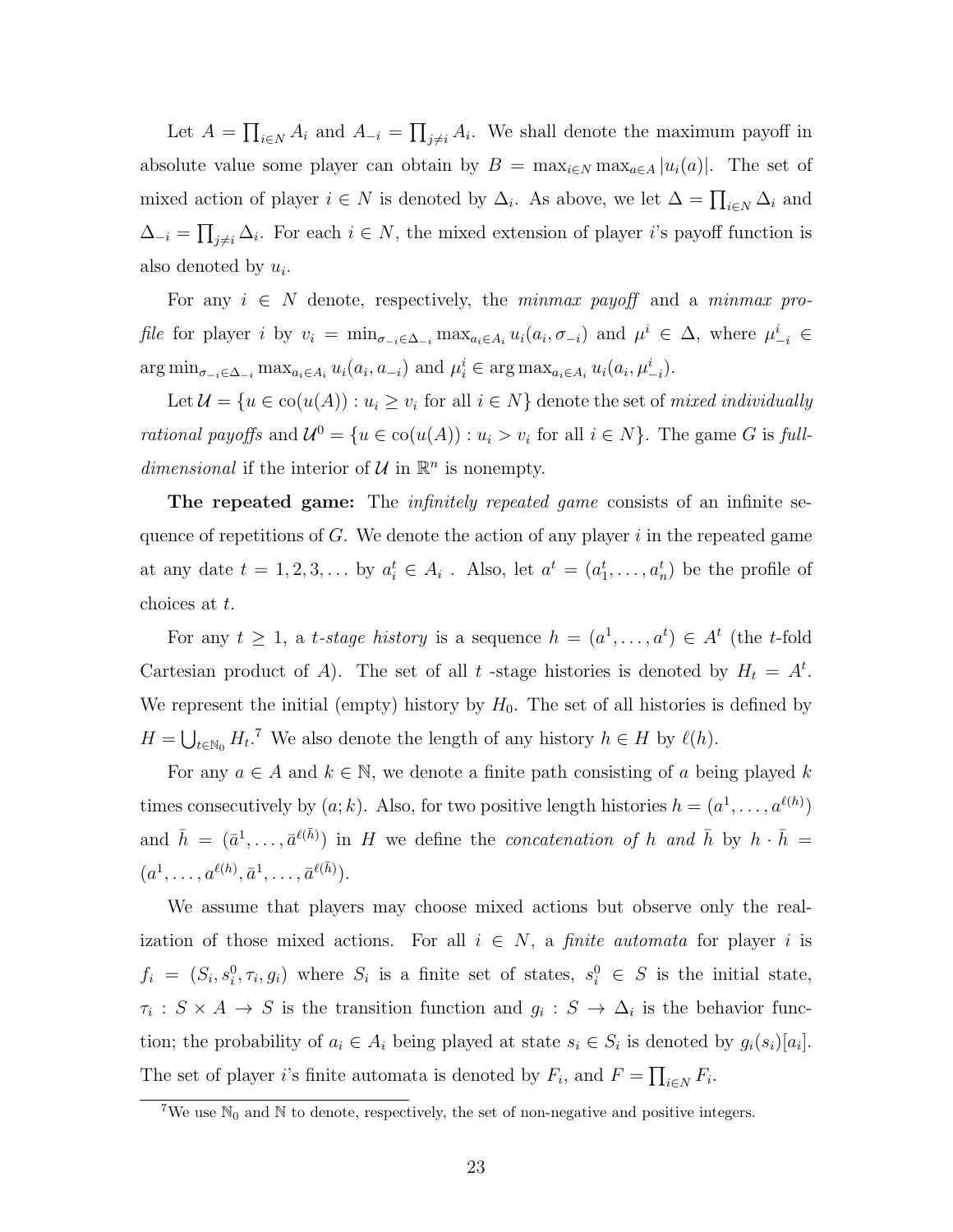Let  $A = \prod_{i \in N} A_i$  and  $A_{-i} = \prod_{j \neq i} A_i$ . We shall denote the maximum payoff in absolute value some player can obtain by  $B = \max_{i \in N} \max_{a \in A} |u_i(a)|$ . The set of mixed action of player  $i \in N$  is denoted by  $\Delta_i$ . As above, we let  $\Delta = \prod_{i \in N} \Delta_i$  and  $\Delta_{-i} = \prod_{j \neq i} \Delta_i$ . For each  $i \in N$ , the mixed extension of player *i*'s payoff function is also denoted by *u<sup>i</sup>* .

For any  $i \in N$  denote, respectively, the *minmax payoff* and a *minmax pro*file for player i by  $v_i = \min_{\sigma_{-i} \in \Delta_{-i}} \max_{a_i \in A_i} u_i(a_i, \sigma_{-i})$  and  $\mu^i \in \Delta$ , where  $\mu^i_{-i} \in$  $\arg\min_{\sigma_{-i}\in\Delta_{-i}} \max_{a_i\in A_i} u_i(a_i, a_{-i})$  and  $\mu_i^i \in \arg\max_{a_i\in A_i} u_i(a_i, \mu_{-i}^i)$ .

Let  $\mathcal{U} = \{u \in \text{co}(u(A)) : u_i \ge v_i \text{ for all } i \in N\}$  denote the set of *mixed individually rational payoffs* and  $\mathcal{U}^0 = \{u \in \text{co}(u(A)) : u_i > v_i \text{ for all } i \in N\}$ . The game *G* is *fulldimensional* if the interior of  $U$  in  $\mathbb{R}^n$  is nonempty.

**The repeated game:** The *infinitely repeated game* consists of an infinite sequence of repetitions of *G*. We denote the action of any player *i* in the repeated game at any date  $t = 1, 2, 3, \ldots$  by  $a_i^t \in A_i$ . Also, let  $a^t = (a_1^t, \ldots, a_n^t)$  be the profile of choices at *t*.

For any  $t \geq 1$ , a *t-stage history* is a sequence  $h = (a^1, \ldots, a^t) \in A^t$  (the *t*-fold Cartesian product of *A*). The set of all *t*-stage histories is denoted by  $H_t = A^t$ . We represent the initial (empty) history by  $H_0$ . The set of all histories is defined by  $H = \bigcup_{t \in \mathbb{N}_0} H_t$ <sup>7</sup> We also denote the length of any history  $h \in H$  by  $\ell(h)$ .

For any  $a \in A$  and  $k \in \mathbb{N}$ , we denote a finite path consisting of a being played k times consecutively by  $(a; k)$ . Also, for two positive length histories  $h = (a^1, \ldots, a^{\ell(h)})$ and  $\bar{h} = (\bar{a}^1, \ldots, \bar{a}^{\ell(\bar{h})})$  in *H* we define the *concatenation of h* and  $\bar{h}$  by  $h \cdot \bar{h} =$  $(a^1, \ldots, a^{\ell(h)}, \bar{a}^1, \ldots, \bar{a}^{\ell(\bar{h})}).$ 

We assume that players may choose mixed actions but observe only the realization of those mixed actions. For all  $i \in N$ , a *finite automata* for player *i* is  $f_i = (S_i, s_i^0, \tau_i, g_i)$  where  $S_i$  is a finite set of states,  $s_i^0 \in S$  is the initial state,  $\tau_i$  :  $S \times A \to S$  is the transition function and  $g_i : S \to \Delta_i$  is the behavior function; the probability of  $a_i \in A_i$  being played at state  $s_i \in S_i$  is denoted by  $g_i(s_i)[a_i]$ . The set of player *i*'s finite automata is denoted by  $F_i$ , and  $F = \prod_{i \in N} F_i$ .

<sup>&</sup>lt;sup>7</sup>We use  $\mathbb{N}_0$  and  $\mathbb N$  to denote, respectively, the set of non-negative and positive integers.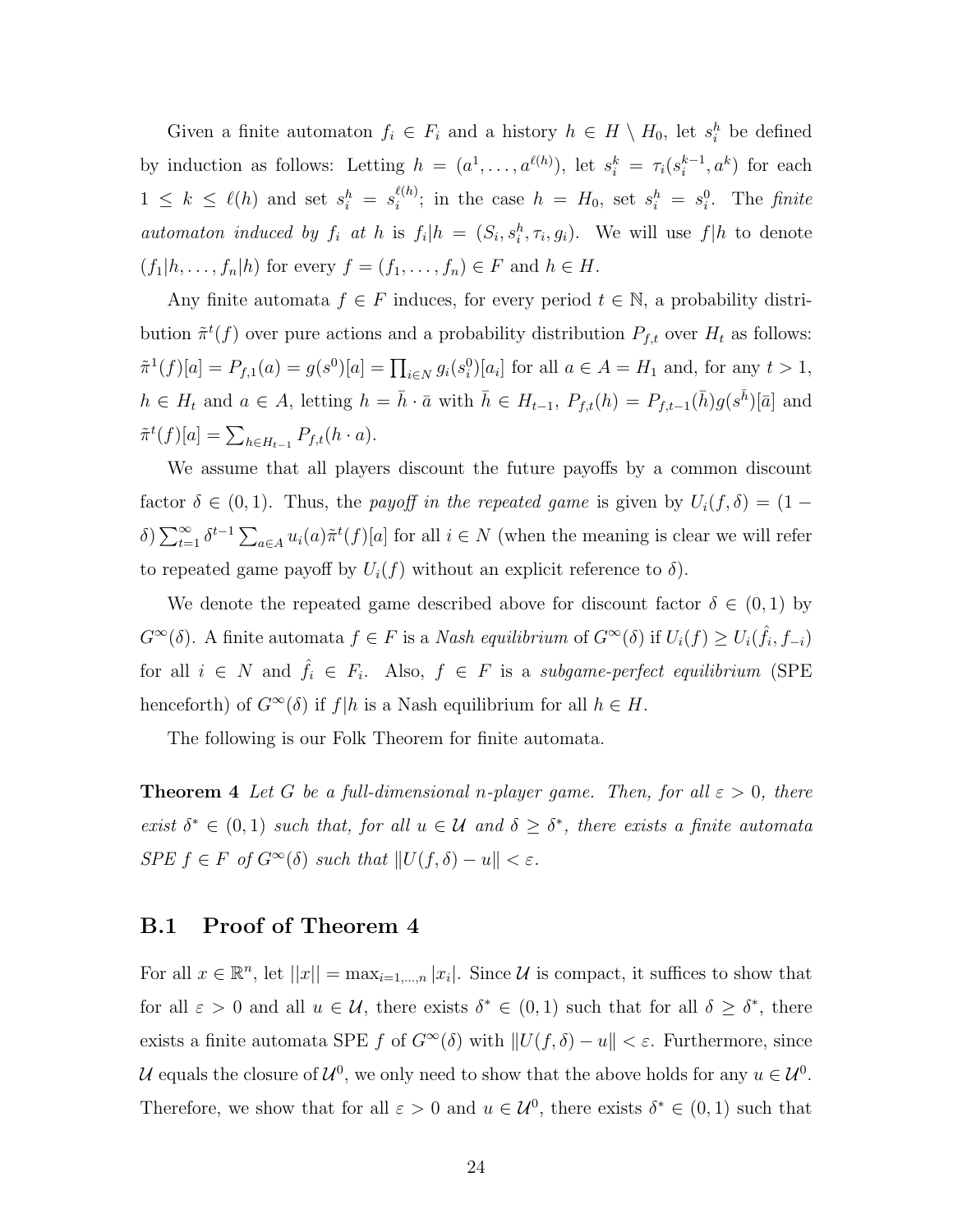Given a finite automaton  $f_i \in F_i$  and a history  $h \in H \setminus H_0$ , let  $s_i^h$  be defined by induction as follows: Letting  $h = (a^1, \ldots, a^{\ell(h)})$ , let  $s_i^k = \tau_i(s_i^{k-1}, a^k)$  for each  $1 \leq k \leq \ell(h)$  and set  $s_i^h = s_i^{\ell(h)}$  $\binom{\ell(h)}{i}$ ; in the case  $h = H_0$ , set  $s_i^h = s_i^0$ . The *finite* automaton induced by  $f_i$  at h is  $f_i|h = (S_i, s_i^h, \tau_i, g_i)$ . We will use  $f|h$  to denote  $(f_1 | h, \ldots, f_n | h)$  for every  $f = (f_1, \ldots, f_n) \in F$  and  $h \in H$ .

Any finite automata  $f \in F$  induces, for every period  $t \in \mathbb{N}$ , a probability distribution  $\tilde{\pi}^t(f)$  over pure actions and a probability distribution  $P_{f,t}$  over  $H_t$  as follows:  $\tilde{\pi}^{1}(f)[a] = P_{f,1}(a) = g(s^{0})[a] = \prod_{i \in N} g_{i}(s_{i}^{0})[a_{i}]$  for all  $a \in A = H_{1}$  and, for any  $t > 1$ ,  $h \in H_t$  and  $a \in A$ , letting  $h = \overline{h} \cdot \overline{a}$  with  $\overline{h} \in H_{t-1}$ ,  $P_{f,t}(h) = P_{f,t-1}(\overline{h})g(s^{\overline{h}})[\overline{a}]$  and  $\tilde{\pi}^t(f)[a] = \sum_{h \in H_{t-1}} P_{f,t}(h \cdot a).$ 

We assume that all players discount the future payoffs by a common discount factor  $\delta \in (0,1)$ . Thus, the *payoff in the repeated game* is given by  $U_i(f, \delta) = (1 \delta$ )  $\sum_{t=1}^{\infty} \delta^{t-1} \sum_{a \in A} u_i(a) \tilde{\pi}^t(f)[a]$  for all  $i \in N$  (when the meaning is clear we will refer to repeated game payoff by  $U_i(f)$  without an explicit reference to  $\delta$ ).

We denote the repeated game described above for discount factor  $\delta \in (0,1)$  by  $G^{\infty}(\delta)$ . A finite automata  $f \in F$  is a *Nash equilibrium* of  $G^{\infty}(\delta)$  if  $U_i(f) \ge U_i(\hat{f}_i, f_{-i})$ for all  $i \in N$  and  $\hat{f}_i \in F_i$ . Also,  $f \in F$  is a *subgame-perfect equilibrium* (SPE) henceforth) of  $G^{\infty}(\delta)$  if  $f|h$  is a Nash equilibrium for all  $h \in H$ .

The following is our Folk Theorem for finite automata.

**Theorem 4** *Let G be a full-dimensional n-player game. Then, for all*  $\varepsilon > 0$ *, there exist*  $\delta^* \in (0,1)$  *such that, for all*  $u \in \mathcal{U}$  *and*  $\delta \geq \delta^*$ , *there exists a finite automata SPE*  $f \in F$  *of*  $G^{\infty}(\delta)$  *such that*  $||U(f, \delta) - u|| < \varepsilon$ *.* 

#### **B.1 Proof of Theorem 4**

For all  $x \in \mathbb{R}^n$ , let  $||x|| = \max_{i=1,\dots,n} |x_i|$ . Since *U* is compact, it suffices to show that for all  $\varepsilon > 0$  and all  $u \in \mathcal{U}$ , there exists  $\delta^* \in (0,1)$  such that for all  $\delta \geq \delta^*$ , there exists a finite automata SPE *f* of  $G^{\infty}(\delta)$  with  $||U(f, \delta) - u|| < \varepsilon$ . Furthermore, since *U* equals the closure of  $\mathcal{U}^0$ , we only need to show that the above holds for any  $u \in \mathcal{U}^0$ . Therefore, we show that for all  $\varepsilon > 0$  and  $u \in \mathcal{U}^0$ , there exists  $\delta^* \in (0,1)$  such that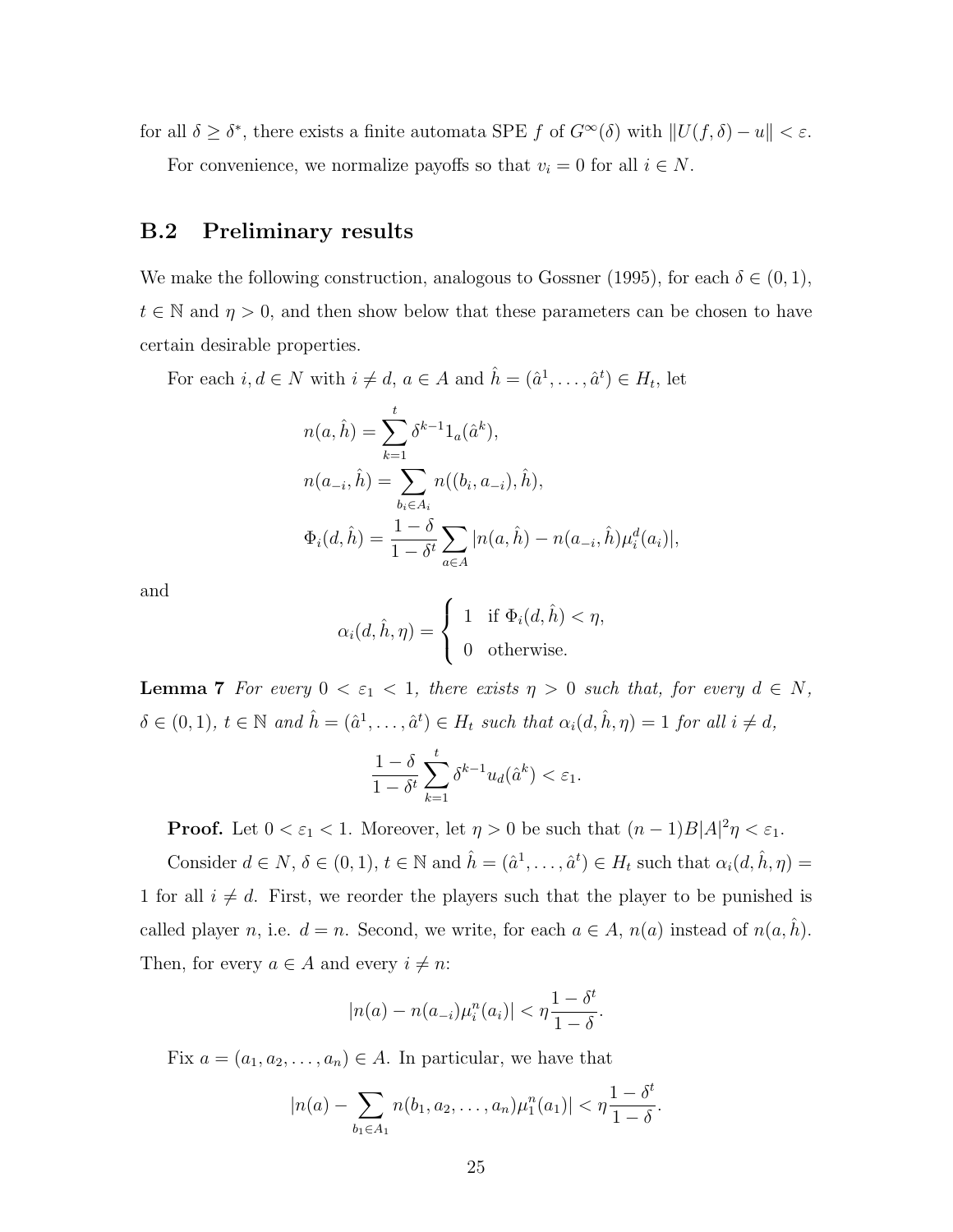for all  $\delta \geq \delta^*$ , there exists a finite automata SPE *f* of  $G^{\infty}(\delta)$  with  $||U(f, \delta) - u|| < \varepsilon$ . For convenience, we normalize payoffs so that  $v_i = 0$  for all  $i \in N$ .

#### **B.2 Preliminary results**

We make the following construction, analogous to Gossner (1995), for each  $\delta \in (0,1)$ ,  $t \in \mathbb{N}$  and  $\eta > 0$ , and then show below that these parameters can be chosen to have certain desirable properties.

For each  $i, d \in N$  with  $i \neq d$ ,  $a \in A$  and  $\hat{h} = (\hat{a}^1, \dots, \hat{a}^t) \in H_t$ , let

$$
n(a, \hat{h}) = \sum_{k=1}^{t} \delta^{k-1} 1_a(\hat{a}^k),
$$
  
\n
$$
n(a_{-i}, \hat{h}) = \sum_{b_i \in A_i} n((b_i, a_{-i}), \hat{h}),
$$
  
\n
$$
\Phi_i(d, \hat{h}) = \frac{1 - \delta}{1 - \delta^t} \sum_{a \in A} |n(a, \hat{h}) - n(a_{-i}, \hat{h}) \mu_i^d(a_i)|,
$$

and

$$
\alpha_i(d, \hat{h}, \eta) = \begin{cases} 1 & \text{if } \Phi_i(d, \hat{h}) < \eta, \\ 0 & \text{otherwise.} \end{cases}
$$

**Lemma 7** *For every*  $0 < \varepsilon_1 < 1$ *, there exists*  $\eta > 0$  *such that, for every*  $d \in N$ *,*  $\delta \in (0,1)$ ,  $t \in \mathbb{N}$  and  $\hat{h} = (\hat{a}^1, \dots, \hat{a}^t) \in H_t$  such that  $\alpha_i(d, \hat{h}, \eta) = 1$  for all  $i \neq d$ ,

$$
\frac{1-\delta}{1-\delta^t}\sum_{k=1}^t \delta^{k-1} u_d(\hat{a}^k) < \varepsilon_1.
$$

**Proof.** Let  $0 < \varepsilon_1 < 1$ . Moreover, let  $\eta > 0$  be such that  $(n-1)B|A|^2\eta < \varepsilon_1$ .

Consider  $d \in N$ ,  $\delta \in (0,1)$ ,  $t \in \mathbb{N}$  and  $\hat{h} = (\hat{a}^1, \dots, \hat{a}^t) \in H_t$  such that  $\alpha_i(d, \hat{h}, \eta) =$ 1 for all  $i \neq d$ . First, we reorder the players such that the player to be punished is called player *n*, i.e.  $d = n$ . Second, we write, for each  $a \in A$ ,  $n(a)$  instead of  $n(a, h)$ . Then, for every  $a \in A$  and every  $i \neq n$ :

$$
|n(a) - n(a_{-i})\mu_i^n(a_i)| < \eta \frac{1 - \delta^t}{1 - \delta}.
$$

Fix  $a = (a_1, a_2, \dots, a_n) \in A$ . In particular, we have that

$$
|n(a) - \sum_{b_1 \in A_1} n(b_1, a_2, \dots, a_n) \mu_1^n(a_1)| < \eta \frac{1 - \delta^t}{1 - \delta}.
$$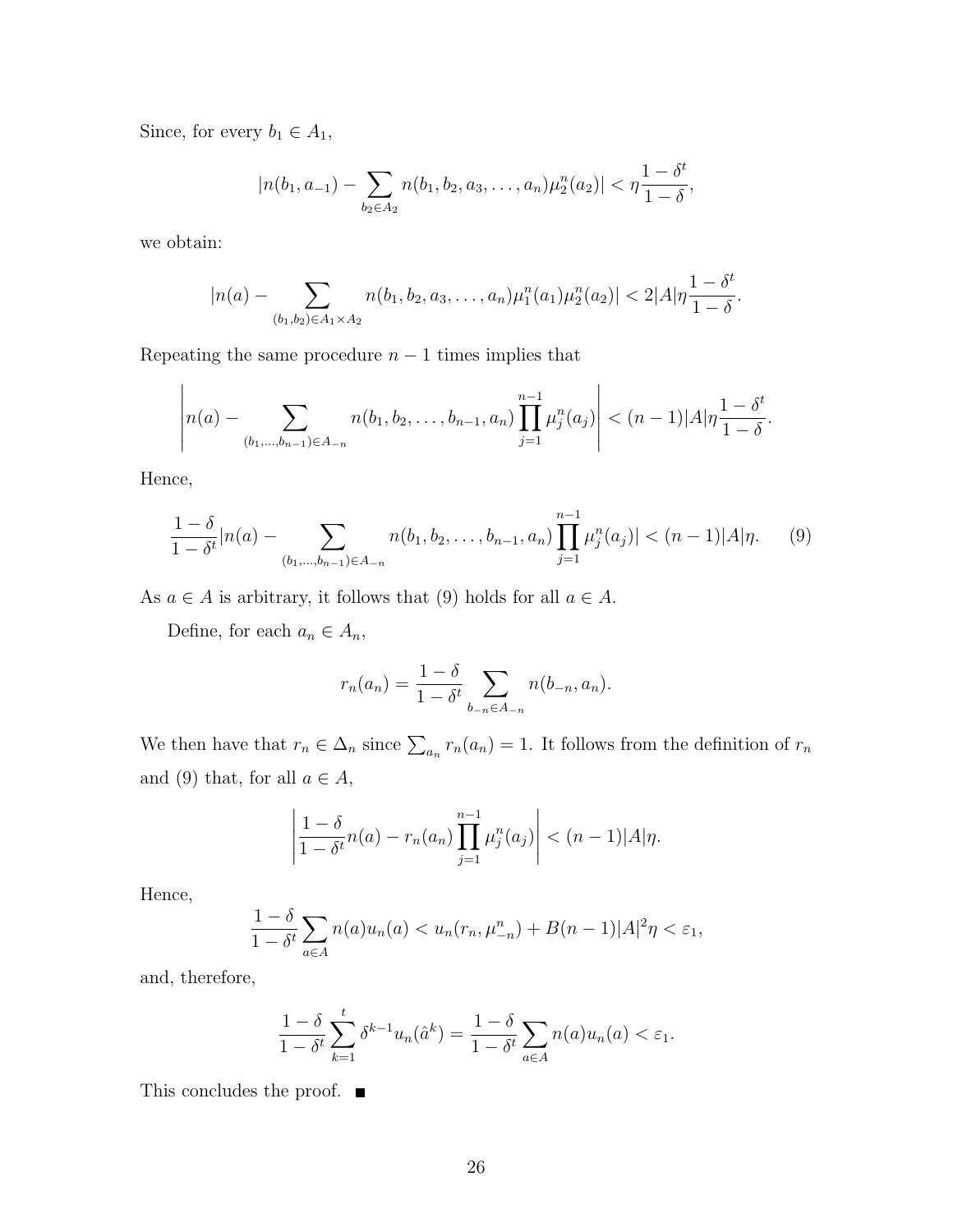Since, for every  $b_1 \in A_1$ ,

$$
|n(b_1, a_{-1}) - \sum_{b_2 \in A_2} n(b_1, b_2, a_3, \dots, a_n) \mu_2^n(a_2)| < \eta \frac{1 - \delta^t}{1 - \delta},
$$

we obtain:

$$
|n(a)-\sum_{(b_1,b_2)\in A_1\times A_2}n(b_1,b_2,a_3,\ldots,a_n)\mu_1^n(a_1)\mu_2^n(a_2)|<2|A|\eta\frac{1-\delta^t}{1-\delta}.
$$

Repeating the same procedure  $n-1$  times implies that

$$
\left| n(a) - \sum_{(b_1,\ldots,b_{n-1}) \in A_{-n}} n(b_1,b_2,\ldots,b_{n-1},a_n) \prod_{j=1}^{n-1} \mu_j^n(a_j) \right| < (n-1)|A|\eta \frac{1-\delta^t}{1-\delta}.
$$

Hence,

$$
\frac{1-\delta}{1-\delta^t}|n(a) - \sum_{(b_1,\dots,b_{n-1})\in A_{-n}} n(b_1,b_2,\dots,b_{n-1},a_n) \prod_{j=1}^{n-1} \mu_j^n(a_j)| < (n-1)|A|\eta.
$$
 (9)

As  $a \in A$  is arbitrary, it follows that (9) holds for all  $a \in A$ .

Define, for each  $a_n \in A_n$ ,

$$
r_n(a_n) = \frac{1 - \delta}{1 - \delta^t} \sum_{b_{-n} \in A_{-n}} n(b_{-n}, a_n).
$$

We then have that  $r_n \in \Delta_n$  since  $\sum_{a_n} r_n(a_n) = 1$ . It follows from the definition of  $r_n$ and (9) that, for all  $a \in A$ ,

$$
\left|\frac{1-\delta}{1-\delta^t}n(a)-r_n(a_n)\prod_{j=1}^{n-1}\mu_j^n(a_j)\right|<(n-1)|A|\eta.
$$

Hence,

$$
\frac{1-\delta}{1-\delta^t}\sum_{a\in A}n(a)u_n(a)< u_n(r_n,\mu_{-n}^n)+B(n-1)|A|^2\eta<\varepsilon_1,
$$

and, therefore,

$$
\frac{1-\delta}{1-\delta^t} \sum_{k=1}^t \delta^{k-1} u_n(\hat{a}^k) = \frac{1-\delta}{1-\delta^t} \sum_{a \in A} n(a) u_n(a) < \varepsilon_1.
$$

This concludes the proof.  $\blacksquare$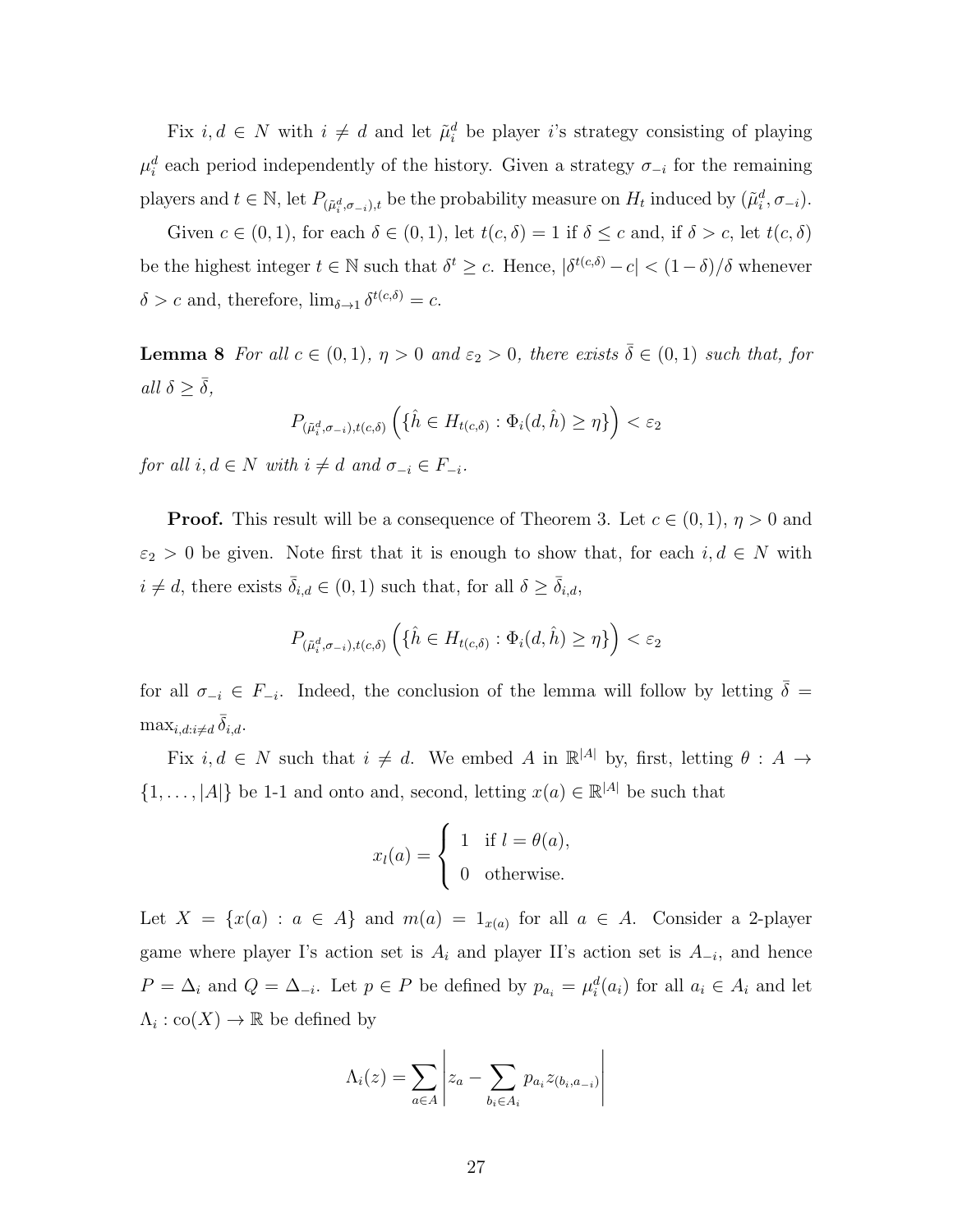Fix  $i, d \in N$  with  $i \neq d$  and let  $\tilde{\mu}_i^d$  be player *i*'s strategy consisting of playing  $\mu_i^d$  each period independently of the history. Given a strategy  $\sigma_{-i}$  for the remaining players and  $t \in \mathbb{N}$ , let  $P_{(\tilde{\mu}_i^d, \sigma_{-i}), t}$  be the probability measure on  $H_t$  induced by  $(\tilde{\mu}_i^d, \sigma_{-i})$ .

Given  $c \in (0,1)$ , for each  $\delta \in (0,1)$ , let  $t(c, \delta) = 1$  if  $\delta \leq c$  and, if  $\delta > c$ , let  $t(c, \delta)$ be the highest integer  $t \in \mathbb{N}$  such that  $\delta^t \geq c$ . Hence,  $|\delta^{t(c,\delta)} - c| < (1 - \delta)/\delta$  whenever  $\delta > c$  and, therefore,  $\lim_{\delta \to 1} \delta^{t(c,\delta)} = c$ .

**Lemma 8** *For all*  $c \in (0,1)$ *,*  $\eta > 0$  *and*  $\varepsilon_2 > 0$ *, there exists*  $\overline{\delta} \in (0,1)$  *such that, for*  $all \delta \geq \overline{\delta}$ *,* 

$$
P_{(\tilde{\mu}_i^d, \sigma_{-i}), t(c,\delta)} \left( \{\hat{h} \in H_{t(c,\delta)} : \Phi_i(d, \hat{h}) \ge \eta \} \right) < \varepsilon_2
$$

*for all*  $i, d \in N$  *with*  $i \neq d$  *and*  $\sigma_{-i} \in F_{-i}$ *.* 

**Proof.** This result will be a consequence of Theorem 3. Let  $c \in (0,1)$ ,  $\eta > 0$  and  $\varepsilon_2$  > 0 be given. Note first that it is enough to show that, for each  $i, d \in N$  with  $i \neq d$ , there exists  $\bar{\delta}_{i,d} \in (0,1)$  such that, for all  $\delta \geq \bar{\delta}_{i,d}$ ,

$$
P_{(\tilde{\mu}_i^d, \sigma_{-i}), t(c,\delta)} \left( \{\hat{h} \in H_{t(c,\delta)} : \Phi_i(d, \hat{h}) \ge \eta \} \right) < \varepsilon_2
$$

for all  $\sigma_{-i} \in F_{-i}$ . Indeed, the conclusion of the lemma will follow by letting  $\overline{\delta}$  =  $\max_{i,d:i\neq d} \bar{\delta}_{i,d}.$ 

Fix  $i, d \in N$  such that  $i \neq d$ . We embed *A* in  $\mathbb{R}^{|A|}$  by, first, letting  $\theta : A \rightarrow$  $\{1, \ldots, |A|\}$  be 1-1 and onto and, second, letting  $x(a) \in \mathbb{R}^{|A|}$  be such that

$$
x_l(a) = \begin{cases} 1 & \text{if } l = \theta(a), \\ 0 & \text{otherwise.} \end{cases}
$$

Let  $X = \{x(a) : a \in A\}$  and  $m(a) = 1_{x(a)}$  for all  $a \in A$ . Consider a 2-player game where player I's action set is  $A_i$  and player II's action set is  $A_{-i}$ , and hence  $P = \Delta_i$  and  $Q = \Delta_{-i}$ . Let  $p \in P$  be defined by  $p_{a_i} = \mu_i^d(a_i)$  for all  $a_i \in A_i$  and let  $\Lambda_i: \text{co}(X) \to \mathbb{R}$  be defined by

$$
\Lambda_i(z) = \sum_{a \in A} \left| z_a - \sum_{b_i \in A_i} p_{a_i} z_{(b_i, a_{-i})} \right|
$$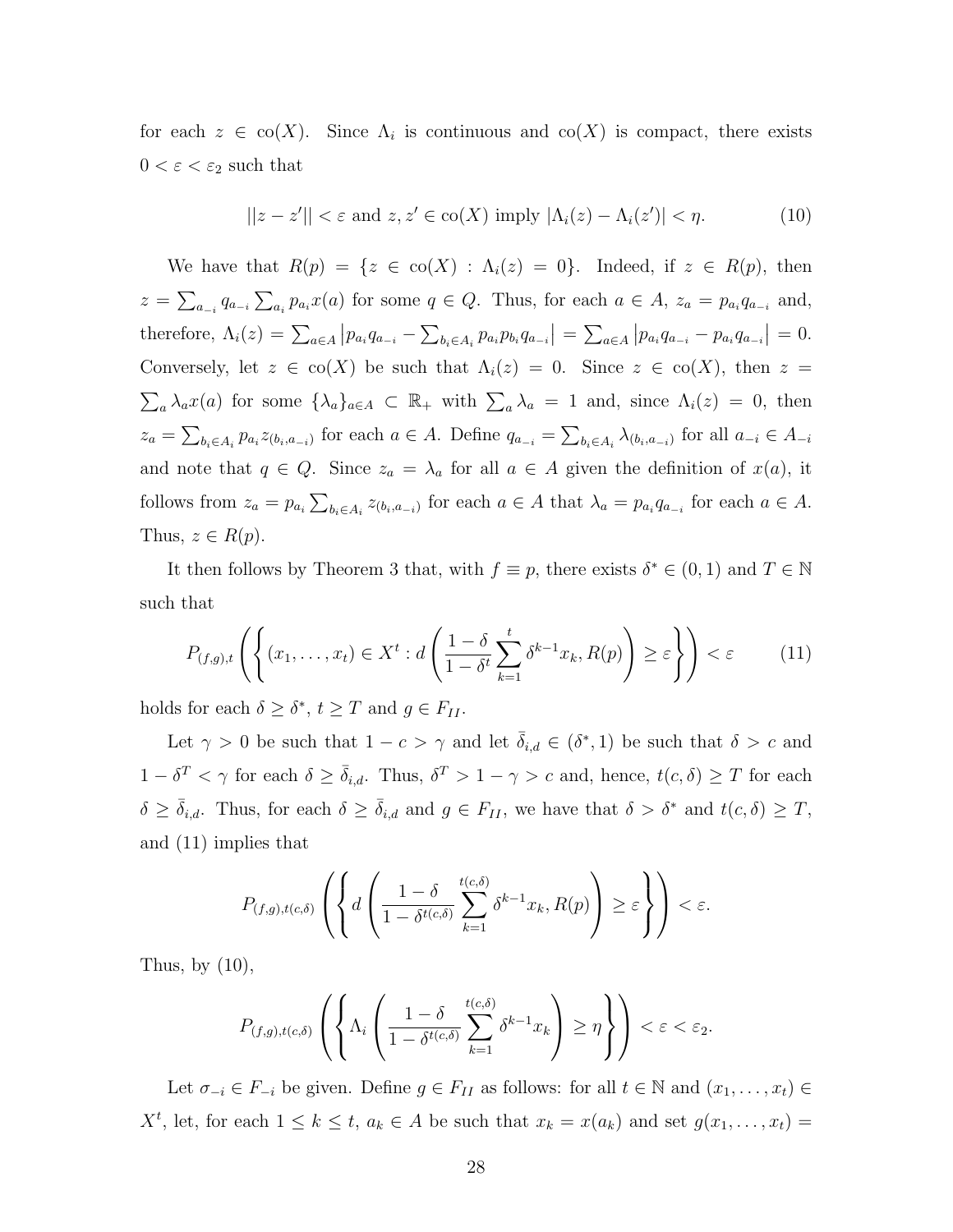for each  $z \in \text{co}(X)$ . Since  $\Lambda_i$  is continuous and  $\text{co}(X)$  is compact, there exists  $0<\varepsilon<\varepsilon_2$  such that

$$
||z - z'|| < \varepsilon \text{ and } z, z' \in \text{co}(X) \text{ imply } |\Lambda_i(z) - \Lambda_i(z')| < \eta. \tag{10}
$$

We have that  $R(p) = \{z \in \text{co}(X) : \Lambda_i(z) = 0\}$ . Indeed, if  $z \in R(p)$ , then  $z = \sum_{a_{-i}} q_{a_{-i}} \sum_{a_i} p_{a_i} x(a)$  for some  $q \in Q$ . Thus, for each  $a \in A$ ,  $z_a = p_{a_i} q_{a_{-i}}$  and, therefore,  $\Lambda_i(z) = \sum_{a \in A} |p_{a_i} q_{a_{-i}} - \sum_{b_i \in A_i} p_{a_i} p_{b_i} q_{a_{-i}}| = \sum_{a \in A} |p_{a_i} q_{a_{-i}} - p_{a_i} q_{a_{-i}}| = 0.$ Conversely, let  $z \in \text{co}(X)$  be such that  $\Lambda_i(z) = 0$ . Since  $z \in \text{co}(X)$ , then  $z =$  $\sum_{a} \lambda_a x(a)$  for some  $\{\lambda_a\}_{a \in A} \subset \mathbb{R}_+$  with  $\sum_{a} \lambda_a = 1$  and, since  $\Lambda_i(z) = 0$ , then  $z_a = \sum_{b_i \in A_i} p_{a_i} z_{(b_i, a_{-i})}$  for each  $a \in A$ . Define  $q_{a_{-i}} = \sum_{b_i \in A_i} \lambda_{(b_i, a_{-i})}$  for all  $a_{-i} \in A_{-i}$ and note that  $q \in Q$ . Since  $z_a = \lambda_a$  for all  $a \in A$  given the definition of  $x(a)$ , it follows from  $z_a = p_{a_i} \sum_{b_i \in A_i} z_{(b_i, a_{-i})}$  for each  $a \in A$  that  $\lambda_a = p_{a_i} q_{a_{-i}}$  for each  $a \in A$ . Thus,  $z \in R(p)$ .

It then follows by Theorem 3 that, with  $f \equiv p$ , there exists  $\delta^* \in (0,1)$  and  $T \in \mathbb{N}$ such that

$$
P_{(f,g),t}\left(\left\{(x_1,\ldots,x_t)\in X^t:d\left(\frac{1-\delta}{1-\delta^t}\sum_{k=1}^t\delta^{k-1}x_k,R(p)\right)\geq\varepsilon\right\}\right)<\varepsilon\qquad(11)
$$

holds for each  $\delta \geq \delta^*$ ,  $t \geq T$  and  $g \in F_{II}$ .

Let  $\gamma > 0$  be such that  $1 - c > \gamma$  and let  $\bar{\delta}_{i,d} \in (\delta^*, 1)$  be such that  $\delta > c$  and  $1 − δ<sup>T</sup> < η$  for each  $δ ≥ δ<sub>i,d</sub>$ . Thus,  $δ<sup>T</sup> > 1 − γ > c$  and, hence,  $t(c, δ) ≥ T$  for each  $\delta \geq \overline{\delta}_{i,d}$ . Thus, for each  $\delta \geq \overline{\delta}_{i,d}$  and  $g \in F_{II}$ , we have that  $\delta > \delta^*$  and  $t(c,\delta) \geq T$ , and (11) implies that

$$
P_{(f,g),t(c,\delta)}\left(\left\{d\left(\frac{1-\delta}{1-\delta^{t(c,\delta)}}\sum_{k=1}^{t(c,\delta)}\delta^{k-1}x_k,R(p)\right)\geq\varepsilon\right\}\right)<\varepsilon.
$$

Thus, by  $(10)$ ,

$$
P_{(f,g),t(c,\delta)}\left(\left\{\Lambda_i\left(\frac{1-\delta}{1-\delta^{t(c,\delta)}}\sum_{k=1}^{t(c,\delta)}\delta^{k-1}x_k\right)\geq\eta\right\}\right)<\varepsilon<\varepsilon_2.
$$

Let  $\sigma_{-i} \in F_{-i}$  be given. Define  $g \in F_{II}$  as follows: for all  $t \in \mathbb{N}$  and  $(x_1, \ldots, x_t) \in$ *X*<sup>*t*</sup>, let, for each  $1 \leq k \leq t$ ,  $a_k \in A$  be such that  $x_k = x(a_k)$  and set  $g(x_1, \ldots, x_t) =$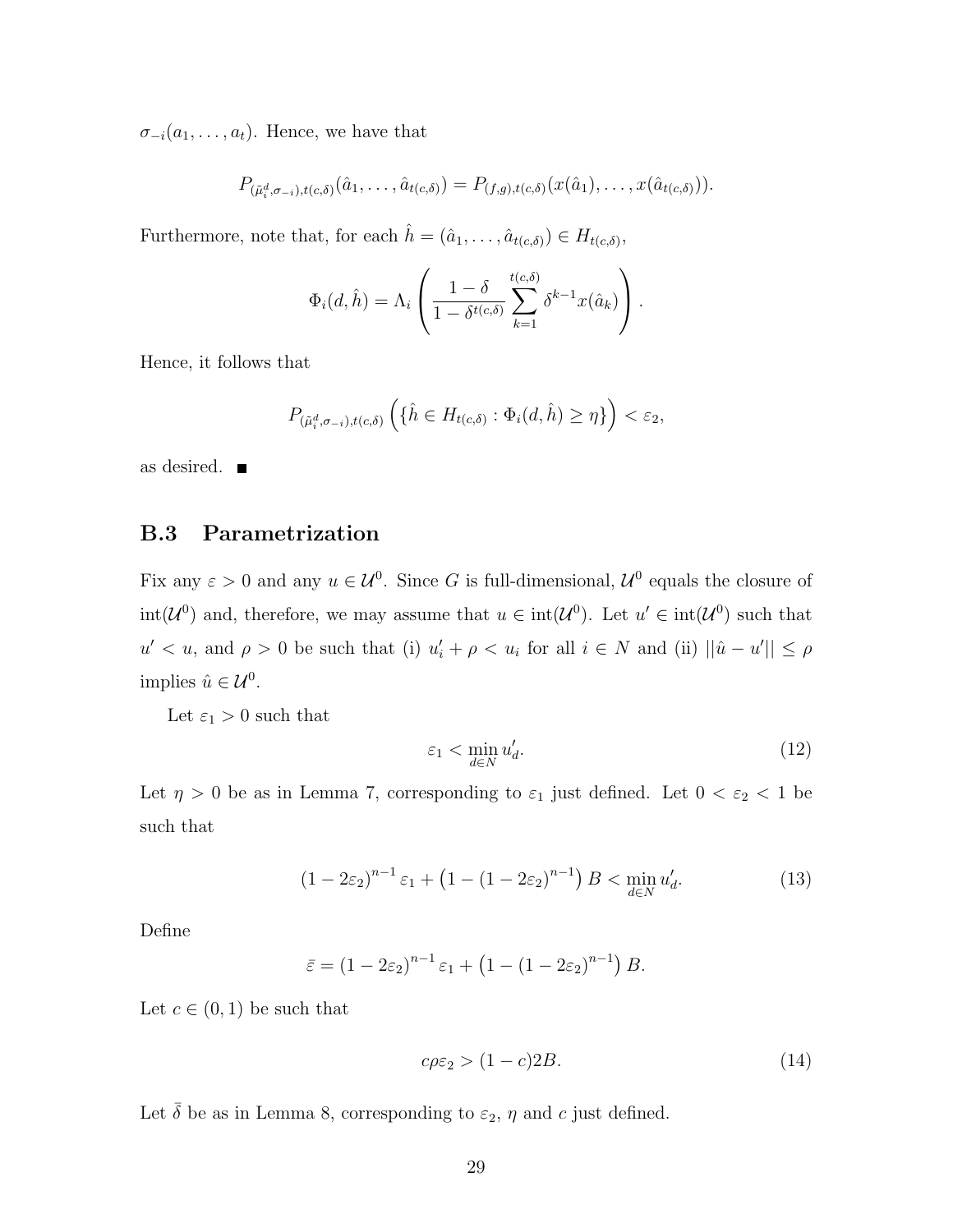$\sigma_{-i}(a_1, \ldots, a_t)$ . Hence, we have that

$$
P_{(\tilde{\mu}_i^d, \sigma_{-i}), t(c,\delta)}(\hat{a}_1, \ldots, \hat{a}_{t(c,\delta)}) = P_{(f,g), t(c,\delta)}(x(\hat{a}_1), \ldots, x(\hat{a}_{t(c,\delta)})).
$$

Furthermore, note that, for each  $\hat{h} = (\hat{a}_1, \dots, \hat{a}_{t(c,\delta)}) \in H_{t(c,\delta)}$ ,

$$
\Phi_i(d,\hat{h}) = \Lambda_i \left( \frac{1-\delta}{1-\delta^{t(c,\delta)}} \sum_{k=1}^{t(c,\delta)} \delta^{k-1} x(\hat{a}_k) \right).
$$

Hence, it follows that

$$
P_{(\tilde{\mu}_i^d, \sigma_{-i}), t(c,\delta)} \left( \{\hat{h} \in H_{t(c,\delta)} : \Phi_i(d, \hat{h}) \geq \eta \} \right) < \varepsilon_2,
$$

as desired.

### **B.3 Parametrization**

Fix any  $\varepsilon > 0$  and any  $u \in \mathcal{U}^0$ . Since *G* is full-dimensional,  $\mathcal{U}^0$  equals the closure of  $int(\mathcal{U}^0)$  and, therefore, we may assume that  $u \in int(\mathcal{U}^0)$ . Let  $u' \in int(\mathcal{U}^0)$  such that  $u' < u$ , and  $\rho > 0$  be such that (i)  $u'_i + \rho < u_i$  for all  $i \in N$  and (ii)  $||\hat{u} - u'|| \le \rho$ implies  $\hat{u} \in \mathcal{U}^0$ .

Let  $\varepsilon_1 > 0$  such that

$$
\varepsilon_1 < \min_{d \in N} u'_d. \tag{12}
$$

Let  $\eta > 0$  be as in Lemma 7, corresponding to  $\varepsilon_1$  just defined. Let  $0 < \varepsilon_2 < 1$  be such that

$$
(1 - 2\varepsilon_2)^{n-1} \varepsilon_1 + (1 - (1 - 2\varepsilon_2)^{n-1}) B < \min_{d \in N} u'_d.
$$
 (13)

Define

$$
\bar{\varepsilon} = (1 - 2\varepsilon_2)^{n-1} \varepsilon_1 + (1 - (1 - 2\varepsilon_2)^{n-1}) B.
$$

Let  $c \in (0,1)$  be such that

$$
c\rho\varepsilon_2 > (1 - c)2B.\tag{14}
$$

Let  $\bar{\delta}$  be as in Lemma 8, corresponding to  $\varepsilon_2$ ,  $\eta$  and  $c$  just defined.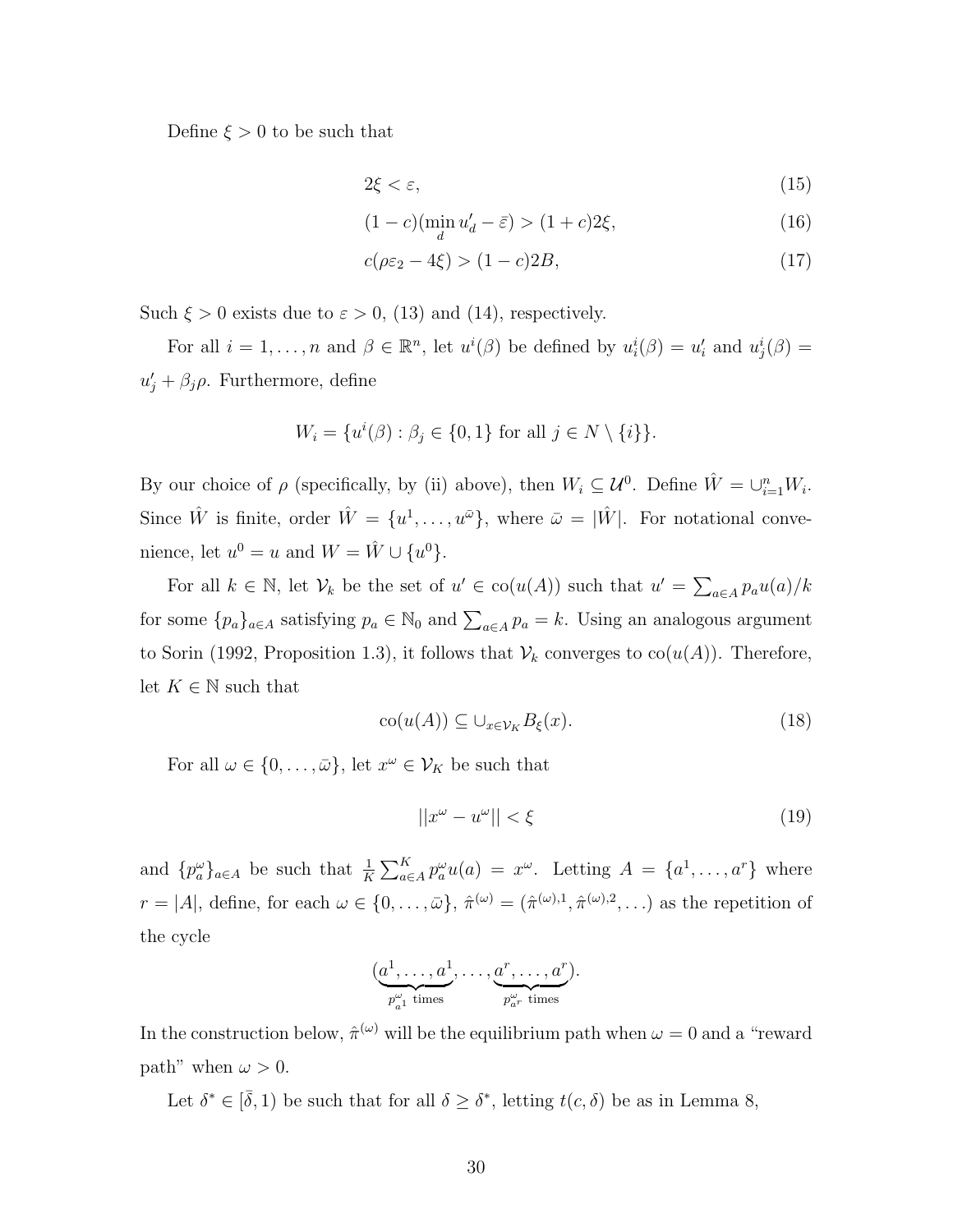Define  $\xi > 0$  to be such that

$$
2\xi < \varepsilon,\tag{15}
$$

$$
(1 - c)(\min_{d} u'_d - \bar{\varepsilon}) > (1 + c)2\xi,
$$
\n(16)

$$
c(\rho \varepsilon_2 - 4\xi) > (1 - c)2B,\tag{17}
$$

Such  $\xi > 0$  exists due to  $\varepsilon > 0$ , (13) and (14), respectively.

For all  $i = 1, ..., n$  and  $\beta \in \mathbb{R}^n$ , let  $u^i(\beta)$  be defined by  $u^i_i(\beta) = u'_i$  and  $u^i_j(\beta) =$  $u'_{j} + \beta_{j}\rho$ . Furthermore, define

$$
W_i = \{u^i(\beta) : \beta_j \in \{0, 1\} \text{ for all } j \in N \setminus \{i\}\}.
$$

By our choice of  $\rho$  (specifically, by (ii) above), then  $W_i \subseteq \mathcal{U}^0$ . Define  $\hat{W} = \bigcup_{i=1}^n W_i$ . Since  $\hat{W}$  is finite, order  $\hat{W} = \{u^1, \ldots, u^{\bar{\omega}}\}$ , where  $\bar{\omega} = |\hat{W}|$ . For notational convenience, let  $u^0 = u$  and  $W = \hat{W} \cup \{u^0\}.$ 

For all  $k \in \mathbb{N}$ , let  $\mathcal{V}_k$  be the set of  $u' \in \text{co}(u(A))$  such that  $u' = \sum_{a \in A} p_a u(a)/k$ for some  $\{p_a\}_{a \in A}$  satisfying  $p_a \in \mathbb{N}_0$  and  $\sum_{a \in A} p_a = k$ . Using an analogous argument to Sorin (1992, Proposition 1.3), it follows that  $V_k$  converges to  $co(u(A))$ . Therefore, let  $K \in \mathbb{N}$  such that

$$
co(u(A)) \subseteq \bigcup_{x \in \mathcal{V}_K} B_{\xi}(x). \tag{18}
$$

For all  $\omega \in \{0, \ldots, \bar{\omega}\}\,$  let  $x^{\omega} \in \mathcal{V}_K$  be such that

$$
||x^{\omega} - u^{\omega}|| < \xi \tag{19}
$$

and  $\{p_a^{\omega}\}_{a\in A}$  be such that  $\frac{1}{K}\sum_{a\in A}^K p_a^{\omega}u(a) = x^{\omega}$ . Letting  $A = \{a^1, \ldots, a^r\}$  where  $r = |A|$ , define, for each  $\omega \in \{0, \ldots, \bar{\omega}\}, \hat{\pi}^{(\omega)} = (\hat{\pi}^{(\omega),1}, \hat{\pi}^{(\omega),2}, \ldots)$  as the repetition of the cycle

$$
(\underbrace{a^1,\ldots,a^1}_{p_{a^1}^{\omega} \text{ times}},\ldots,\underbrace{a^r,\ldots,a^r}_{p_{a^r}^{\omega} \text{ times}}).
$$

In the construction below,  $\hat{\pi}^{(\omega)}$  will be the equilibrium path when  $\omega = 0$  and a "reward" path" when  $\omega > 0$ .

Let  $\delta^* \in [\bar{\delta}, 1]$  be such that for all  $\delta \geq \delta^*$ , letting  $t(c, \delta)$  be as in Lemma 8,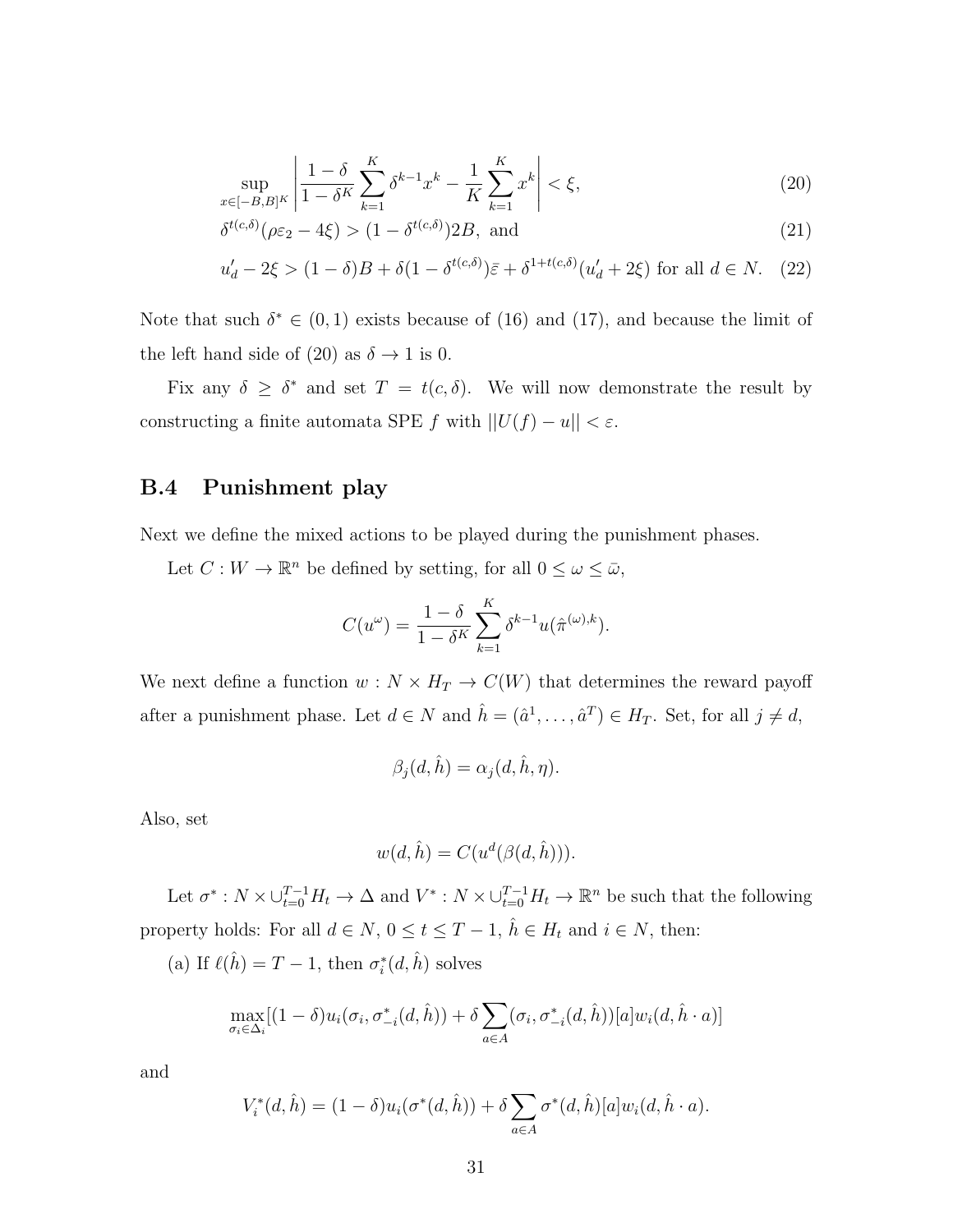$$
\sup_{x \in [-B,B]^K} \left| \frac{1 - \delta}{1 - \delta^K} \sum_{k=1}^K \delta^{k-1} x^k - \frac{1}{K} \sum_{k=1}^K x^k \right| < \xi,\tag{20}
$$

$$
\delta^{t(c,\delta)}(\rho \varepsilon_2 - 4\xi) > (1 - \delta^{t(c,\delta)}) 2B, \text{ and} \tag{21}
$$

$$
u'_d - 2\xi > (1 - \delta)B + \delta(1 - \delta^{t(c,\delta)})\bar{\varepsilon} + \delta^{1 + t(c,\delta)}(u'_d + 2\xi) \text{ for all } d \in N. \tag{22}
$$

Note that such  $\delta^* \in (0,1)$  exists because of (16) and (17), and because the limit of the left hand side of (20) as  $\delta \rightarrow 1$  is 0.

Fix any  $\delta \geq \delta^*$  and set  $T = t(c, \delta)$ . We will now demonstrate the result by constructing a finite automata SPE  $f$  with  $||U(f) - u|| < \varepsilon$ .

### **B.4 Punishment play**

Next we define the mixed actions to be played during the punishment phases.

Let  $C: W \to \mathbb{R}^n$  be defined by setting, for all  $0 \leq \omega \leq \bar{\omega}$ ,

$$
C(u^{\omega}) = \frac{1 - \delta}{1 - \delta^{K}} \sum_{k=1}^{K} \delta^{k-1} u(\hat{\pi}^{(\omega),k}).
$$

We next define a function  $w : N \times H_T \to C(W)$  that determines the reward payoff after a punishment phase. Let  $d \in N$  and  $\hat{h} = (\hat{a}^1, \dots, \hat{a}^T) \in H_T$ . Set, for all  $j \neq d$ ,

$$
\beta_j(d,\hat{h}) = \alpha_j(d,\hat{h},\eta).
$$

Also, set

$$
w(d, \hat{h}) = C(u^d(\beta(d, \hat{h}))).
$$

Let  $\sigma^*: N \times \bigcup_{t=0}^{T-1} H_t \to \Delta$  and  $V^*: N \times \bigcup_{t=0}^{T-1} H_t \to \mathbb{R}^n$  be such that the following property holds: For all  $d \in N$ ,  $0 \le t \le T - 1$ ,  $\hat{h} \in H_t$  and  $i \in N$ , then:

(a) If  $\ell(\hat{h}) = T - 1$ , then  $\sigma_i^*(d, \hat{h})$  solves

$$
\max_{\sigma_i \in \Delta_i} [(1-\delta)u_i(\sigma_i, \sigma_{-i}^*(d,\hat{h})) + \delta \sum_{a \in A} (\sigma_i, \sigma_{-i}^*(d,\hat{h}))[a]w_i(d,\hat{h} \cdot a)]
$$

and

$$
V_i^*(d, \hat{h}) = (1 - \delta)u_i(\sigma^*(d, \hat{h})) + \delta \sum_{a \in A} \sigma^*(d, \hat{h})[a]w_i(d, \hat{h} \cdot a).
$$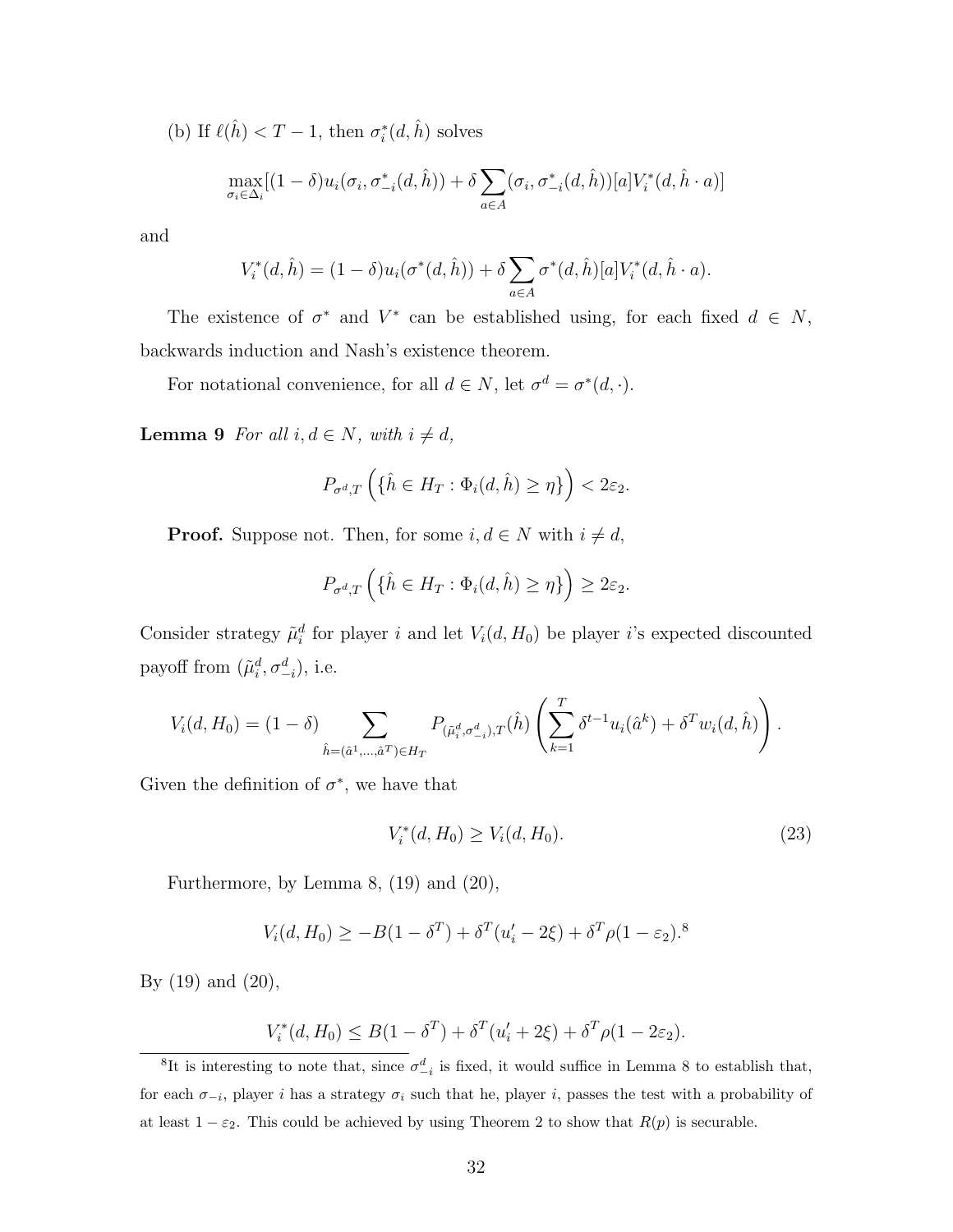(b) If  $\ell(\hat{h}) < T - 1$ , then  $\sigma_i^*(d, \hat{h})$  solves

$$
\max_{\sigma_i \in \Delta_i} [(1-\delta)u_i(\sigma_i, \sigma_{-i}^*(d,\hat{h})) + \delta \sum_{a \in A} (\sigma_i, \sigma_{-i}^*(d,\hat{h}))[a]V_i^*(d,\hat{h} \cdot a)]
$$

and

$$
V_i^*(d, \hat{h}) = (1 - \delta)u_i(\sigma^*(d, \hat{h})) + \delta \sum_{a \in A} \sigma^*(d, \hat{h})[a]V_i^*(d, \hat{h} \cdot a).
$$

The existence of  $\sigma^*$  and  $V^*$  can be established using, for each fixed  $d \in N$ , backwards induction and Nash's existence theorem.

For notational convenience, for all  $d \in N$ , let  $\sigma^d = \sigma^*(d, \cdot)$ .

**Lemma 9** *For all*  $i, d \in N$ *, with*  $i \neq d$ *,* 

$$
P_{\sigma^d,T}\left(\{\hat{h}\in H_T:\Phi_i(d,\hat{h})\geq\eta\}\right)<2\varepsilon_2.
$$

**Proof.** Suppose not. Then, for some  $i, d \in N$  with  $i \neq d$ ,

$$
P_{\sigma^d,T}\left(\{\hat{h}\in H_T: \Phi_i(d,\hat{h})\geq \eta\}\right)\geq 2\varepsilon_2.
$$

Consider strategy  $\tilde{\mu}_i^d$  for player *i* and let  $V_i(d, H_0)$  be player *i*'s expected discounted payoff from  $(\tilde{\mu}_i^d, \sigma_{-i}^d)$ , i.e.

$$
V_i(d, H_0) = (1 - \delta) \sum_{\hat{h} = (\hat{a}^1, \dots, \hat{a}^T) \in H_T} P_{(\tilde{\mu}_i^d, \sigma_{-i}^d), T}(\hat{h}) \left( \sum_{k=1}^T \delta^{t-1} u_i(\hat{a}^k) + \delta^T w_i(d, \hat{h}) \right).
$$

Given the definition of  $\sigma^*$ , we have that

$$
V_i^*(d, H_0) \ge V_i(d, H_0). \tag{23}
$$

Furthermore, by Lemma 8, (19) and (20),

$$
V_i(d, H_0) \ge -B(1 - \delta^T) + \delta^T (u'_i - 2\xi) + \delta^T \rho (1 - \varepsilon_2)^{8}
$$

By (19) and (20),

$$
V_i^*(d, H_0) \le B(1 - \delta^T) + \delta^T(u'_i + 2\xi) + \delta^T \rho (1 - 2\varepsilon_2).
$$

<sup>&</sup>lt;sup>8</sup>It is interesting to note that, since  $\sigma^d_{-i}$  is fixed, it would suffice in Lemma 8 to establish that, for each  $\sigma$ <sup>*-i*</sup>, player *i* has a strategy  $\sigma$ *<sub>i</sub>* such that he, player *i*, passes the test with a probability of at least  $1 - \varepsilon_2$ . This could be achieved by using Theorem 2 to show that  $R(p)$  is securable.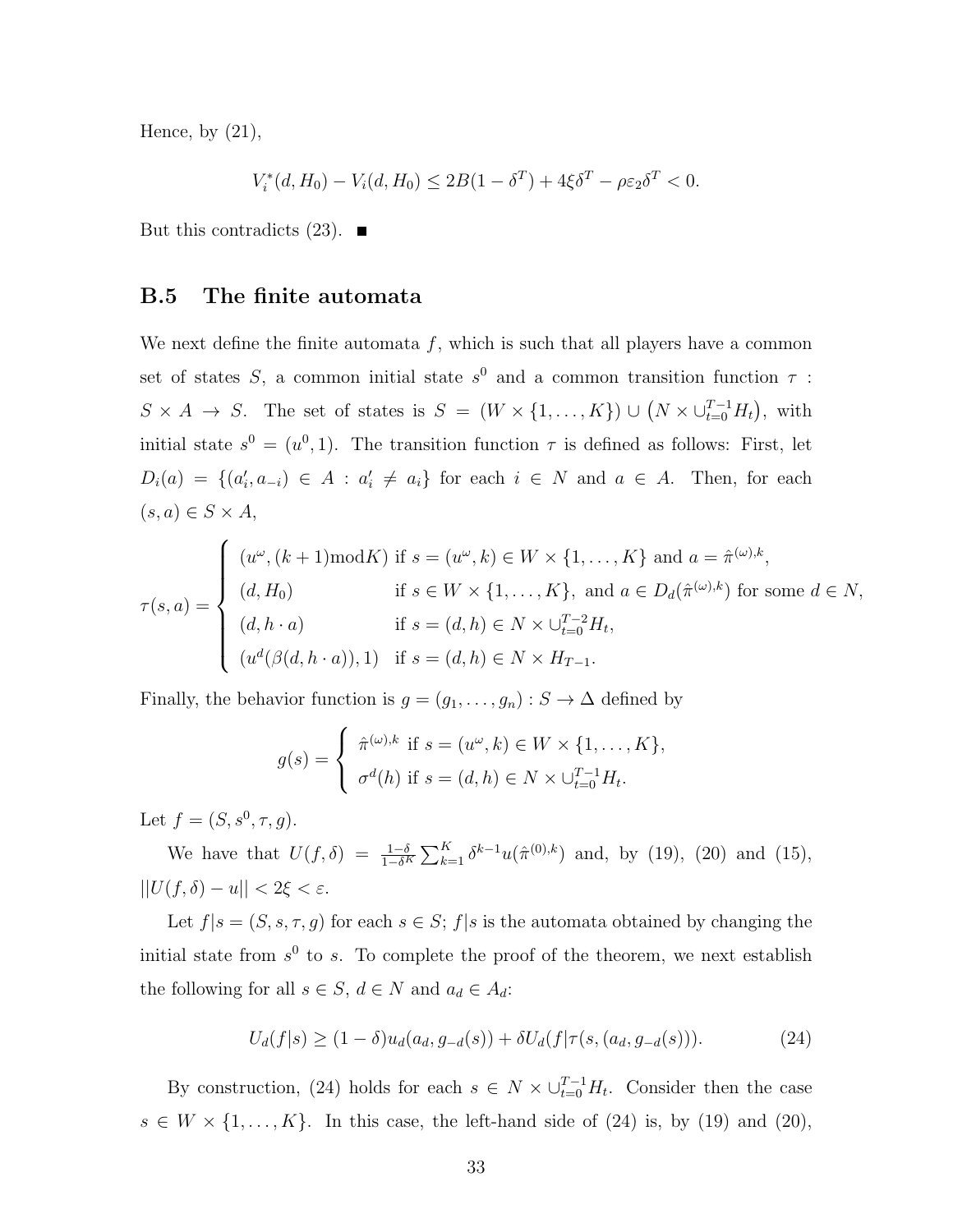Hence, by  $(21)$ ,

$$
V_i^*(d, H_0) - V_i(d, H_0) \le 2B(1 - \delta^T) + 4\xi \delta^T - \rho \varepsilon_2 \delta^T < 0.
$$

But this contradicts  $(23)$ .

#### **B.5 The finite automata**

We next define the finite automata  $f$ , which is such that all players have a common set of states *S*, a common initial state  $s^0$  and a common transition function  $\tau$ :  $S \times A \rightarrow S$ . The set of states is  $S = (W \times \{1, ..., K\}) \cup (N \times \bigcup_{t=0}^{T-1} H_t)$ , with initial state  $s^0 = (u^0, 1)$ . The transition function  $\tau$  is defined as follows: First, let  $D_i(a) = \{(a'_i, a_{-i}) \in A : a'_i \neq a_i\}$  for each  $i \in N$  and  $a \in A$ . Then, for each  $(s, a) \in S \times A$ ,

$$
\tau(s, a) = \begin{cases}\n(u^{\omega}, (k+1) \mod K) & \text{if } s = (u^{\omega}, k) \in W \times \{1, \dots, K\} \text{ and } a = \hat{\pi}^{(\omega), k}, \\
(d, H_0) & \text{if } s \in W \times \{1, \dots, K\}, \text{ and } a \in D_d(\hat{\pi}^{(\omega), k}) \text{ for some } d \in N, \\
(d, h \cdot a) & \text{if } s = (d, h) \in N \times \bigcup_{t=0}^{T-2} H_t, \\
(u^d(\beta(d, h \cdot a)), 1) & \text{if } s = (d, h) \in N \times H_{T-1}.\n\end{cases}
$$

Finally, the behavior function is  $g = (g_1, \ldots, g_n) : S \to \Delta$  defined by

$$
g(s) = \begin{cases} \hat{\pi}^{(\omega),k} & \text{if } s = (u^{\omega},k) \in W \times \{1,\ldots,K\}, \\ \sigma^d(h) & \text{if } s = (d,h) \in N \times \cup_{t=0}^{T-1} H_t. \end{cases}
$$

Let  $f = (S, s^0, \tau, g)$ .

We have that  $U(f, \delta) = \frac{1-\delta}{1-\delta^K} \sum_{k=1}^K \delta^{k-1} u(\hat{\pi}^{(0),k})$  and, by (19), (20) and (15), *||U*(*f, δ*) *− u|| <* 2*ξ < ε*.

Let  $f|s = (S, s, \tau, g)$  for each  $s \in S$ ;  $f|s$  is the automata obtained by changing the initial state from  $s^0$  to  $s$ . To complete the proof of the theorem, we next establish the following for all  $s \in S$ ,  $d \in N$  and  $a_d \in A_d$ :

$$
U_d(f|s) \ge (1 - \delta)u_d(a_d, g_{-d}(s)) + \delta U_d(f|\tau(s, (a_d, g_{-d}(s))).
$$
 (24)

By construction, (24) holds for each  $s \in N \times \bigcup_{t=0}^{T-1} H_t$ . Consider then the case  $s \in W \times \{1, \ldots, K\}$ . In this case, the left-hand side of (24) is, by (19) and (20),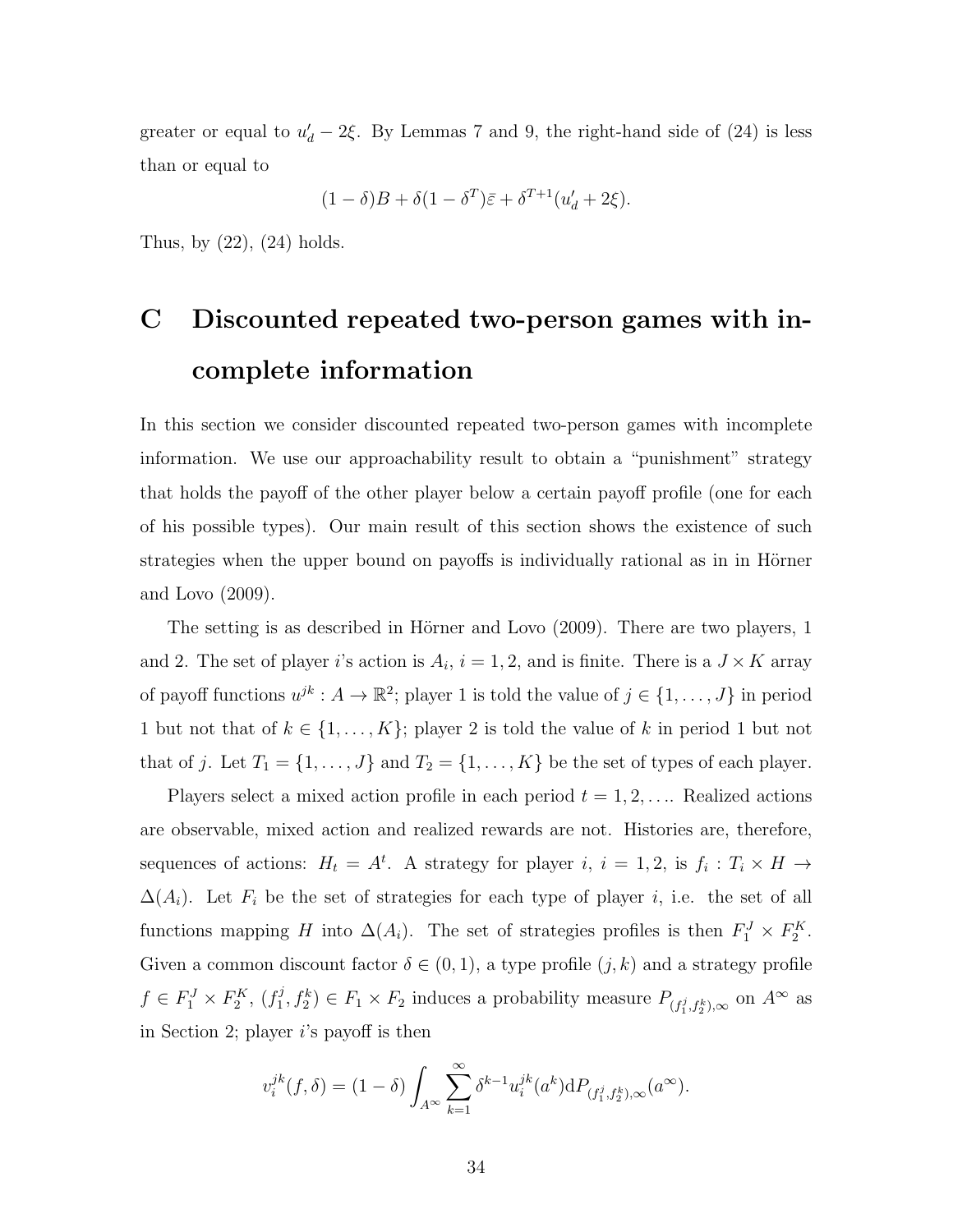greater or equal to  $u'_{d} - 2\xi$ . By Lemmas 7 and 9, the right-hand side of (24) is less than or equal to

$$
(1 - \delta)B + \delta(1 - \delta^T)\bar{\varepsilon} + \delta^{T+1}(u'_d + 2\xi).
$$

Thus, by  $(22)$ ,  $(24)$  holds.

## **C Discounted repeated two-person games with incomplete information**

In this section we consider discounted repeated two-person games with incomplete information. We use our approachability result to obtain a "punishment" strategy that holds the payoff of the other player below a certain payoff profile (one for each of his possible types). Our main result of this section shows the existence of such strategies when the upper bound on payoffs is individually rational as in in Hörner and Lovo (2009).

The setting is as described in Hörner and Lovo (2009). There are two players, 1 and 2. The set of player *i*'s action is  $A_i$ ,  $i = 1, 2$ , and is finite. There is a  $J \times K$  array of payoff functions  $u^{jk}: A \to \mathbb{R}^2$ ; player 1 is told the value of  $j \in \{1, \ldots, J\}$  in period 1 but not that of  $k \in \{1, \ldots, K\}$ ; player 2 is told the value of  $k$  in period 1 but not that of *j*. Let  $T_1 = \{1, \ldots, J\}$  and  $T_2 = \{1, \ldots, K\}$  be the set of types of each player.

Players select a mixed action profile in each period  $t = 1, 2, \ldots$ . Realized actions are observable, mixed action and realized rewards are not. Histories are, therefore, sequences of actions:  $H_t = A^t$ . A strategy for player *i*,  $i = 1, 2$ , is  $f_i : T_i \times H \rightarrow$  $\Delta(A_i)$ . Let  $F_i$  be the set of strategies for each type of player *i*, i.e. the set of all functions mapping *H* into  $\Delta(A_i)$ . The set of strategies profiles is then  $F_1^J \times F_2^K$ . Given a common discount factor  $\delta \in (0,1)$ , a type profile  $(j,k)$  and a strategy profile  $f \in F_1^J \times F_2^K$ ,  $(f_1^j)$  $F_1, f_2^k$   $\in F_1 \times F_2$  induces a probability measure  $P_{(f_1^j, f_2^k), \infty}$  on  $A^{\infty}$  as in Section 2; player *i*'s payoff is then

$$
v_i^{jk}(f,\delta) = (1-\delta) \int_{A^{\infty}} \sum_{k=1}^{\infty} \delta^{k-1} u_i^{jk}(a^k) dP_{(f_1^j, f_2^k),\infty}(a^{\infty}).
$$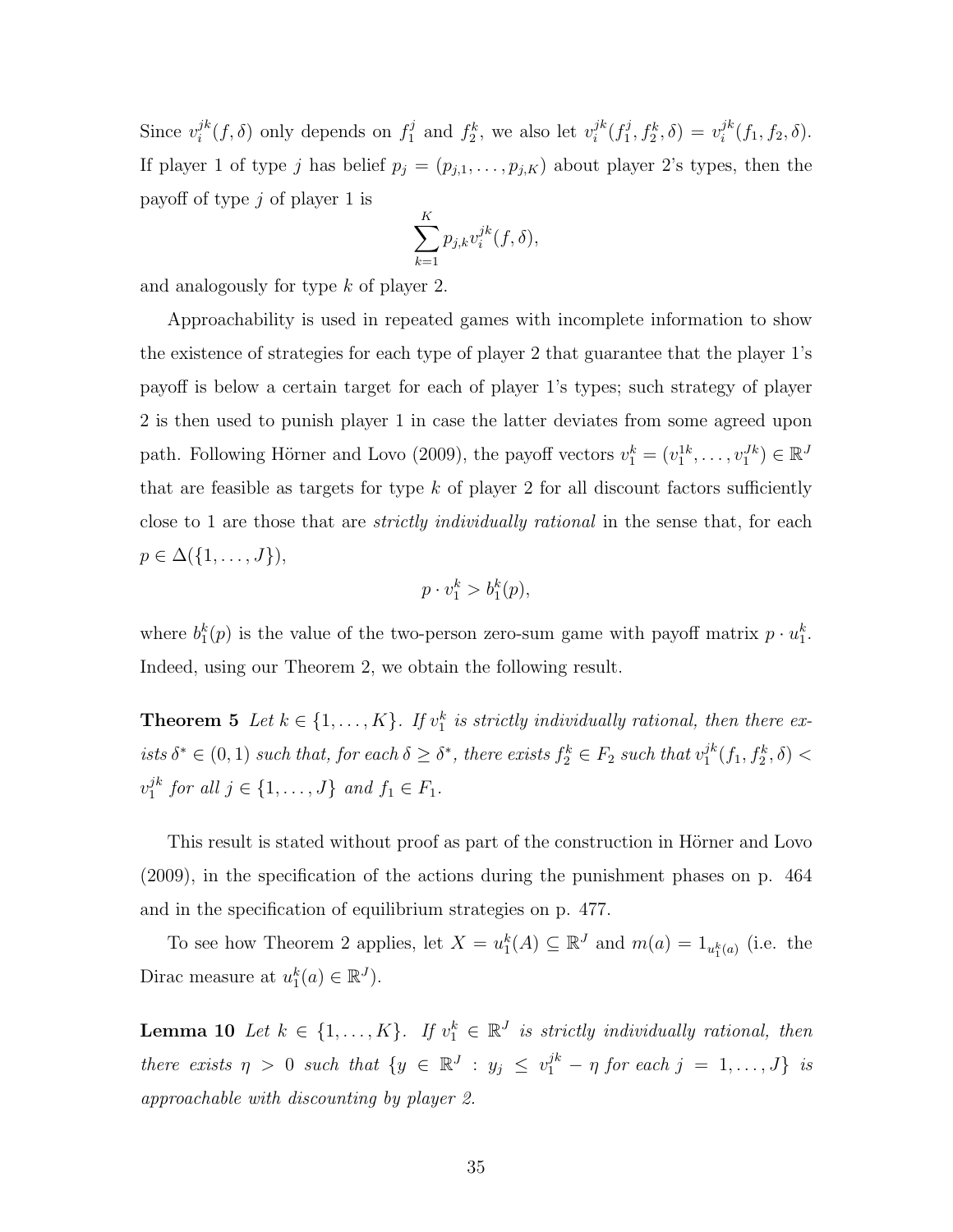Since  $v_i^{jk}$  $j^k(f, \delta)$  only depends on  $f_1^j$  $x_1^j$  and  $f_2^k$ , we also let  $v_i^{jk}$  $j^k$ <sub> $j$ </sub> $(f_1^j)$  $y_1^j, f_2^k, \delta) = v_i^{jk}$  $i^{jk}(f_1, f_2, \delta).$ If player 1 of type *j* has belief  $p_j = (p_{j,1}, \ldots, p_{j,K})$  about player 2's types, then the payoff of type *j* of player 1 is

$$
\sum_{k=1}^{K} p_{j,k} v_i^{jk}(f,\delta),
$$

and analogously for type *k* of player 2.

Approachability is used in repeated games with incomplete information to show the existence of strategies for each type of player 2 that guarantee that the player 1's payoff is below a certain target for each of player 1's types; such strategy of player 2 is then used to punish player 1 in case the latter deviates from some agreed upon path. Following Hörner and Lovo (2009), the payoff vectors  $v_1^k = (v_1^{1k}, \ldots, v_1^{Jk}) \in \mathbb{R}^J$ that are feasible as targets for type  $k$  of player 2 for all discount factors sufficiently close to 1 are those that are *strictly individually rational* in the sense that, for each  $p \in \Delta({1, ..., J}),$ 

$$
p \cdot v_1^k > b_1^k(p),
$$

where  $b_1^k(p)$  is the value of the two-person zero-sum game with payoff matrix  $p \cdot u_1^k$ . Indeed, using our Theorem 2, we obtain the following result.

**Theorem 5** *Let*  $k \in \{1, \ldots, K\}$ *. If*  $v_1^k$  *is strictly individually rational, then there ex* $i$ sts  $\delta^* \in (0, 1)$  *such that, for each*  $\delta \geq \delta^*$ , *there exists*  $f_2^k \in F_2$  *such that*  $v_1^{jk}$  $j^k_1(f_1, f_2^k, \delta)$  <  $v_1^{jk}$  $j^k$  *for all*  $j \in \{1, ..., J\}$  *and*  $f_1 \in F_1$ *.* 

This result is stated without proof as part of the construction in Hörner and Lovo (2009), in the specification of the actions during the punishment phases on p. 464 and in the specification of equilibrium strategies on p. 477.

To see how Theorem 2 applies, let  $X = u_1^k(A) \subseteq \mathbb{R}^J$  and  $m(a) = 1_{u_1^k(a)}$  (i.e. the Dirac measure at  $u_1^k(a) \in \mathbb{R}^J$ .

**Lemma 10** *Let*  $k \in \{1, ..., K\}$ *.* If  $v_1^k \in \mathbb{R}^J$  is strictly individually rational, then *there exists*  $\eta > 0$  *such that*  $\{y \in \mathbb{R}^J : y_j \leq v_1^{jk} - \eta \text{ for each } j = 1, \ldots, J\}$  *is approachable with discounting by player 2.*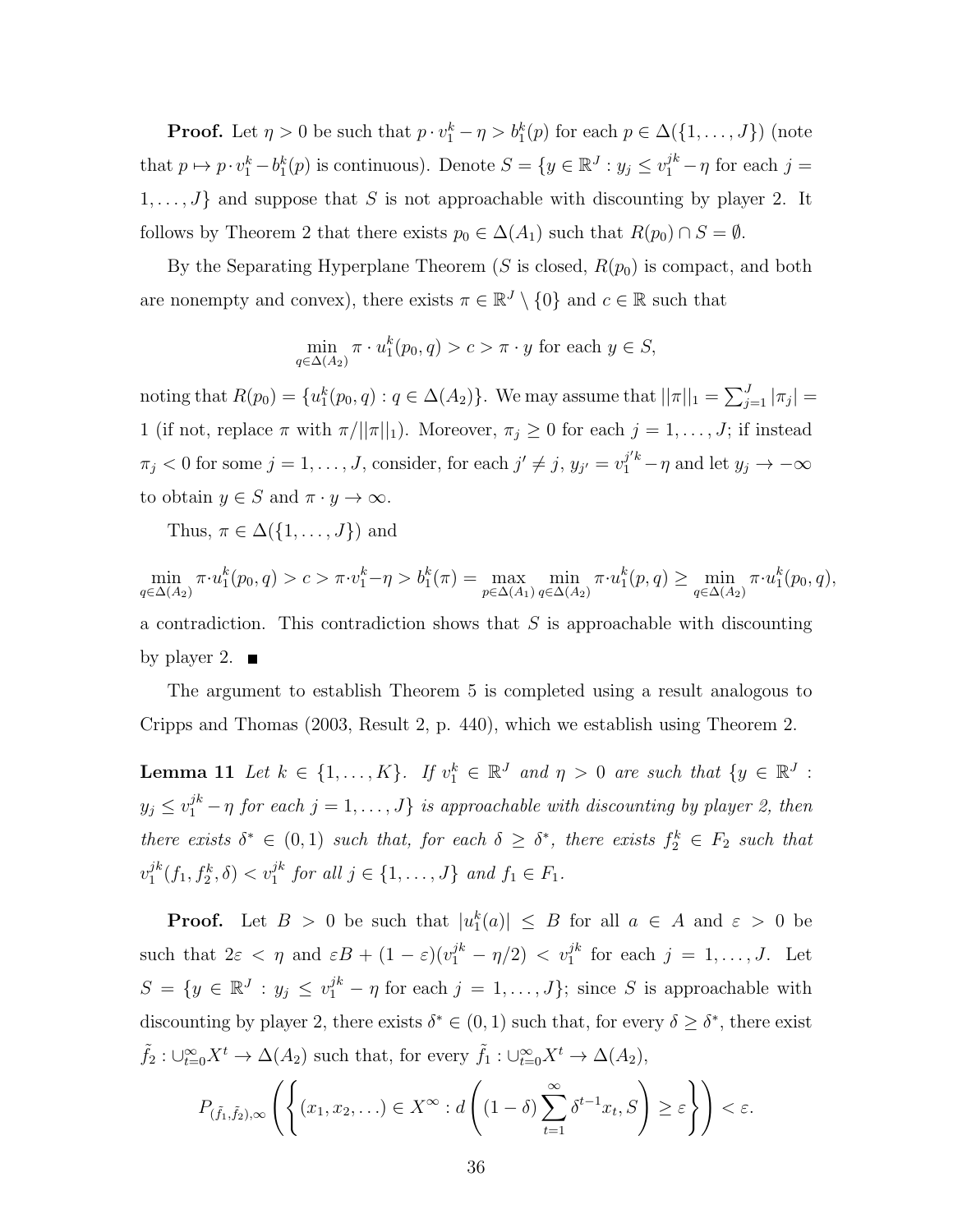**Proof.** Let  $\eta > 0$  be such that  $p \cdot v_1^k - \eta > b_1^k(p)$  for each  $p \in \Delta({1, \ldots, J})$  (note that  $p \mapsto p \cdot v_1^k - b_1^k(p)$  is continuous). Denote  $S = \{y \in \mathbb{R}^J : y_j \le v_1^{jk} - \eta \text{ for each } j = 1\}$  $1, \ldots, J$ *}* and suppose that *S* is not approachable with discounting by player 2. It follows by Theorem 2 that there exists  $p_0 \in \Delta(A_1)$  such that  $R(p_0) \cap S = \emptyset$ .

By the Separating Hyperplane Theorem  $(S$  is closed,  $R(p_0)$  is compact, and both are nonempty and convex), there exists  $\pi \in \mathbb{R}^J \setminus \{0\}$  and  $c \in \mathbb{R}$  such that

$$
\min_{q \in \Delta(A_2)} \pi \cdot u_1^k(p_0, q) > c > \pi \cdot y \text{ for each } y \in S,
$$

noting that  $R(p_0) = \{u_1^k(p_0, q) : q \in \Delta(A_2)\}\.$  We may assume that  $||\pi||_1 = \sum_{j=1}^J |\pi_j| =$ 1 (if not, replace  $\pi$  with  $\pi/||\pi||_1$ ). Moreover,  $\pi_j \geq 0$  for each  $j = 1, \ldots, J$ ; if instead  $\pi_j < 0$  for some  $j = 1, ..., J$ , consider, for each  $j' \neq j$ ,  $y_{j'} = v_1^{j'k} - \eta$  and let  $y_j \to -\infty$ to obtain  $y \in S$  and  $\pi \cdot y \to \infty$ .

Thus,  $\pi \in \Delta({1, \ldots, J})$  and

$$
\min_{q \in \Delta(A_2)} \pi \cdot u_1^k(p_0, q) > c > \pi \cdot v_1^k - \eta > b_1^k(\pi) = \max_{p \in \Delta(A_1)} \min_{q \in \Delta(A_2)} \pi \cdot u_1^k(p, q) \ge \min_{q \in \Delta(A_2)} \pi \cdot u_1^k(p_0, q),
$$
\na contradiction. This contradiction shows that  $S$  is approaches with discounting.

by player 2.  $\blacksquare$ 

The argument to establish Theorem 5 is completed using a result analogous to Cripps and Thomas (2003, Result 2, p. 440), which we establish using Theorem 2.

**Lemma 11** *Let*  $k \in \{1, \ldots, K\}$ *.* If  $v_1^k \in \mathbb{R}^J$  and  $\eta > 0$  are such that  $\{y \in \mathbb{R}^J$  :  $y_j \le v_1^{jk} - \eta$  for each  $j = 1, \ldots, J\}$  is approachable with discounting by player 2, then *there exists*  $\delta^* \in (0,1)$  *such that, for each*  $\delta \geq \delta^*$ , *there exists*  $f_2^k \in F_2$  *such that*  $v_1^{jk}$  $j^k(f_1, f_2^k, \delta) < v_1^{jk}$  *for all*  $j \in \{1, \ldots, J\}$  *and*  $f_1 \in F_1$ *.* 

**Proof.** Let  $B > 0$  be such that  $|u_1^k(a)| \leq B$  for all  $a \in A$  and  $\varepsilon > 0$  be such that  $2\varepsilon < \eta$  and  $\varepsilon B + (1 - \varepsilon)(v_1^{jk} - \eta/2) < v_1^{jk}$  for each  $j = 1, \ldots, J$ . Let  $S = \{y \in \mathbb{R}^J : y_j \le v_1^{jk} - \eta \text{ for each } j = 1, \ldots, J\};\text{ since } S \text{ is approaches with } J \text{ is a finite } J \text{ and } J \text{ is a finite } J \text{ is a finite } J \text{ is a finite } J \text{ is a finite } J \text{ is a finite } J \text{ is a finite } J \text{ is a finite } J \text{ is a finite } J \text{ is a finite } J \text{ is a finite } J \text{ is a finite } J \text{ is a finite } J \text{ is a finite } J \text{ is a finite } J \text{ is a finite } J \text{ is a finite } J \text{ is a finite } J \text{ is a finite } J \$ discounting by player 2, there exists  $\delta^* \in (0,1)$  such that, for every  $\delta \geq \delta^*$ , there exist  $\tilde{f}_2 : \bigcup_{t=0}^{\infty} X^t \to \Delta(A_2)$  such that, for every  $\tilde{f}_1 : \bigcup_{t=0}^{\infty} X^t \to \Delta(A_2)$ ,

$$
P_{(\tilde{f}_1,\tilde{f}_2),\infty}\left(\left\{(x_1,x_2,\ldots)\in X^\infty:d\left((1-\delta)\sum_{t=1}^\infty\delta^{t-1}x_t,S\right)\geq\varepsilon\right\}\right)<\varepsilon.
$$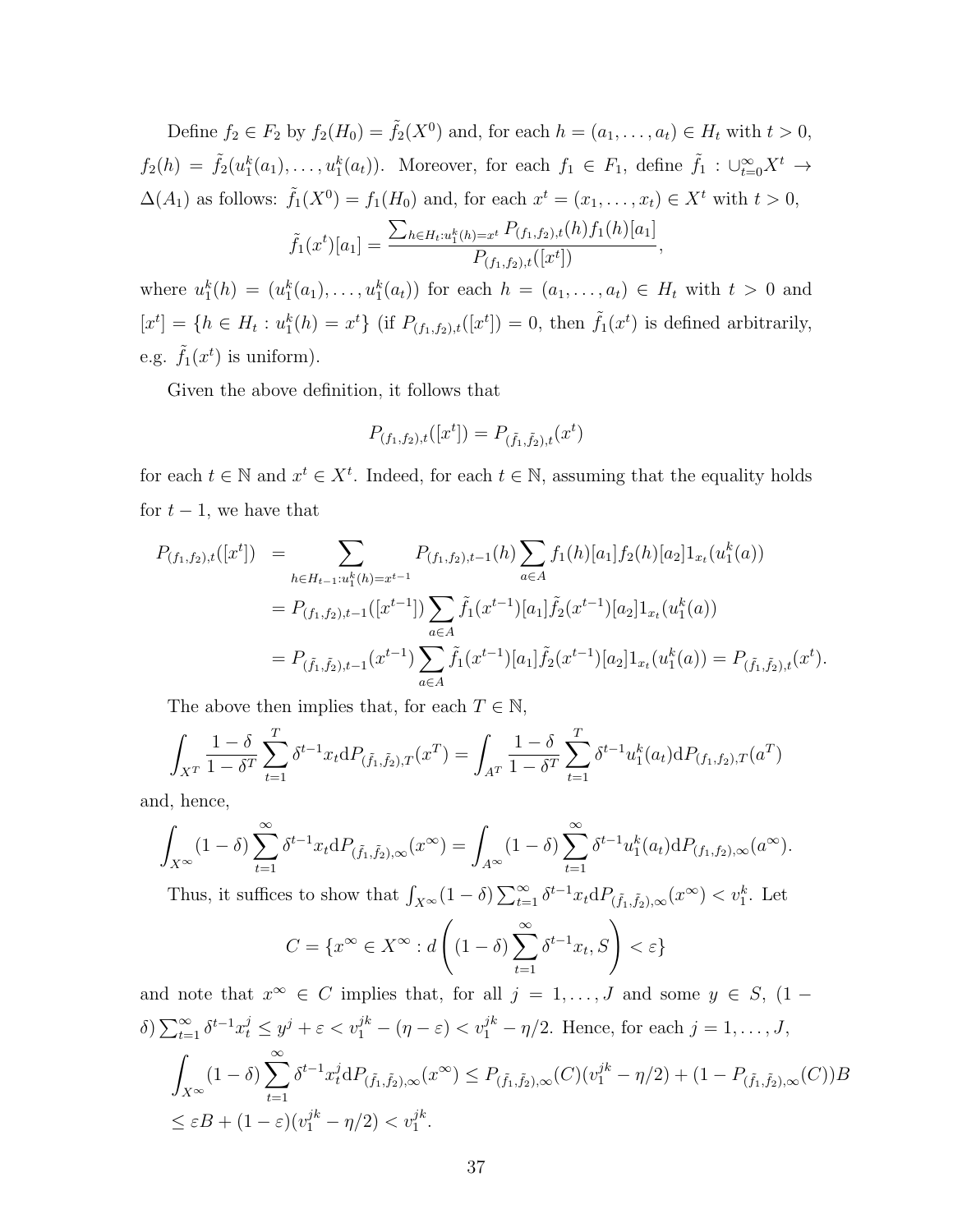Define  $f_2 \in F_2$  by  $f_2(H_0) = \tilde{f}_2(X^0)$  and, for each  $h = (a_1, \ldots, a_t) \in H_t$  with  $t > 0$ ,  $f_2(h) = \tilde{f}_2(u_1^k(a_1), \ldots, u_1^k(a_t)).$  Moreover, for each  $f_1 \in F_1$ , define  $\tilde{f}_1 : \bigcup_{t=0}^{\infty} X^t \to$  $\Delta(A_1)$  as follows:  $\tilde{f}_1(X^0) = f_1(H_0)$  and, for each  $x^t = (x_1, \ldots, x_t) \in X^t$  with  $t > 0$ ,  $\tilde{f}_1(x^t)[a_1] =$  $\sum_{h \in H_t: u_1^k(h) = x^t} P_{(f_1, f_2), t}(h) f_1(h)[a_1]$  $\frac{P_{(f_1,f_2),t}([x^t])}{P_{(f_1,f_2),t}([x^t])},$ 

where  $u_1^k(h) = (u_1^k(a_1), \ldots, u_1^k(a_t))$  for each  $h = (a_1, \ldots, a_t) \in H_t$  with  $t > 0$  and  $[x^t] = \{h \in H_t : u_1^k(h) = x^t\}$  (if  $P_{(f_1, f_2), t}([x^t]) = 0$ , then  $\tilde{f}_1(x^t)$  is defined arbitrarily, e.g.  $\tilde{f}_1(x^t)$  is uniform).

Given the above definition, it follows that

$$
P_{(f_1,f_2),t}([x^t]) = P_{(\tilde{f}_1,\tilde{f}_2),t}(x^t)
$$

for each  $t \in \mathbb{N}$  and  $x^t \in X^t$ . Indeed, for each  $t \in \mathbb{N}$ , assuming that the equality holds for  $t-1$ , we have that

$$
P_{(f_1, f_2), t}([x^t]) = \sum_{h \in H_{t-1}: u_1^k(h) = x^{t-1}} P_{(f_1, f_2), t-1}(h) \sum_{a \in A} f_1(h)[a_1] f_2(h)[a_2] 1_{x_t}(u_1^k(a))
$$
  

$$
= P_{(f_1, f_2), t-1}([x^{t-1}]) \sum_{a \in A} \tilde{f}_1(x^{t-1}) [a_1] \tilde{f}_2(x^{t-1}) [a_2] 1_{x_t}(u_1^k(a))
$$
  

$$
= P_{(\tilde{f}_1, \tilde{f}_2), t-1}(x^{t-1}) \sum_{a \in A} \tilde{f}_1(x^{t-1}) [a_1] \tilde{f}_2(x^{t-1}) [a_2] 1_{x_t}(u_1^k(a)) = P_{(\tilde{f}_1, \tilde{f}_2), t}(x^t).
$$

The above then implies that, for each  $T \in \mathbb{N}$ ,

$$
\int_{X^T} \frac{1-\delta}{1-\delta^T} \sum_{t=1}^T \delta^{t-1} x_t \mathrm{d}P_{(\tilde{f}_1,\tilde{f}_2),T}(x^T) = \int_{A^T} \frac{1-\delta}{1-\delta^T} \sum_{t=1}^T \delta^{t-1} u_1^k(a_t) \mathrm{d}P_{(f_1,f_2),T}(a^T)
$$

and, hence,

$$
\int_{X^{\infty}} (1-\delta) \sum_{t=1}^{\infty} \delta^{t-1} x_t dP_{(\tilde{f}_1,\tilde{f}_2),\infty}(x^{\infty}) = \int_{A^{\infty}} (1-\delta) \sum_{t=1}^{\infty} \delta^{t-1} u_1^{k}(a_t) dP_{(f_1,f_2),\infty}(a^{\infty}).
$$

Thus, it suffices to show that  $\int_{X^{\infty}} (1 - \delta) \sum_{t=1}^{\infty} \delta^{t-1} x_t dP_{(\tilde{f}_1, \tilde{f}_2), \infty}(x^{\infty}) < v_1^k$ . Let

$$
C = \{x^{\infty} \in X^{\infty} : d\left((1-\delta)\sum_{t=1}^{\infty} \delta^{t-1} x_t, S\right) < \varepsilon\}
$$

and note that  $x^{\infty} \in C$  implies that, for all  $j = 1, \ldots, J$  and some  $y \in S$ ,  $(1 \delta) \sum_{t=1}^{\infty} \delta^{t-1} x_t^j \leq y^j + \varepsilon < v_1^{jk} - (\eta - \varepsilon) < v_1^{jk} - \eta/2$ . Hence, for each  $j = 1, \ldots, J$ , Z *X∞*  $(1 - \delta)$  $\sum_{n=1}^{\infty}$ *t*=1  $\delta^{t-1} x_t^j dP_{(\tilde{f}_1,\tilde{f}_2),\infty}(x^{\infty}) \leq P_{(\tilde{f}_1,\tilde{f}_2),\infty}(C)(v_1^{jk} - \eta/2) + (1 - P_{(\tilde{f}_1,\tilde{f}_2),\infty}(C))B$  $\leq \varepsilon B + (1 - \varepsilon)(v_1^{jk} - \eta/2) < v_1^{jk}.$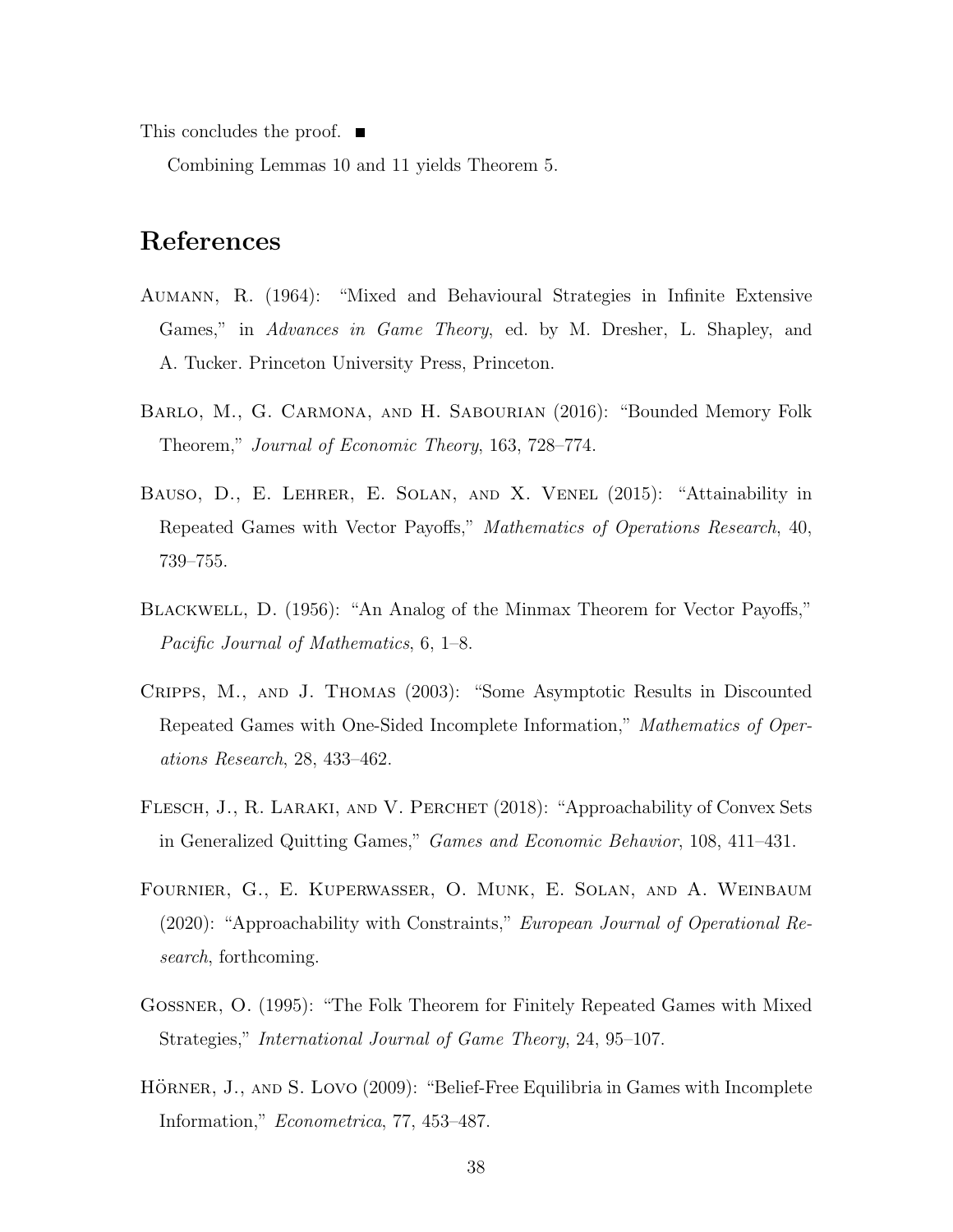This concludes the proof. ■

Combining Lemmas 10 and 11 yields Theorem 5.

## **References**

- Aumann, R. (1964): "Mixed and Behavioural Strategies in Infinite Extensive Games," in *Advances in Game Theory*, ed. by M. Dresher, L. Shapley, and A. Tucker. Princeton University Press, Princeton.
- Barlo, M., G. Carmona, and H. Sabourian (2016): "Bounded Memory Folk Theorem," *Journal of Economic Theory*, 163, 728–774.
- Bauso, D., E. Lehrer, E. Solan, and X. Venel (2015): "Attainability in Repeated Games with Vector Payoffs," *Mathematics of Operations Research*, 40, 739–755.
- Blackwell, D. (1956): "An Analog of the Minmax Theorem for Vector Payoffs," *Pacific Journal of Mathematics*, 6, 1–8.
- Cripps, M., and J. Thomas (2003): "Some Asymptotic Results in Discounted Repeated Games with One-Sided Incomplete Information," *Mathematics of Operations Research*, 28, 433–462.
- FLESCH, J., R. LARAKI, AND V. PERCHET (2018): "Approachability of Convex Sets in Generalized Quitting Games," *Games and Economic Behavior*, 108, 411–431.
- Fournier, G., E. Kuperwasser, O. Munk, E. Solan, and A. Weinbaum (2020): "Approachability with Constraints," *European Journal of Operational Research*, forthcoming.
- Gossner, O. (1995): "The Folk Theorem for Finitely Repeated Games with Mixed Strategies," *International Journal of Game Theory*, 24, 95–107.
- HÖRNER, J., AND S. LOVO (2009): "Belief-Free Equilibria in Games with Incomplete Information," *Econometrica*, 77, 453–487.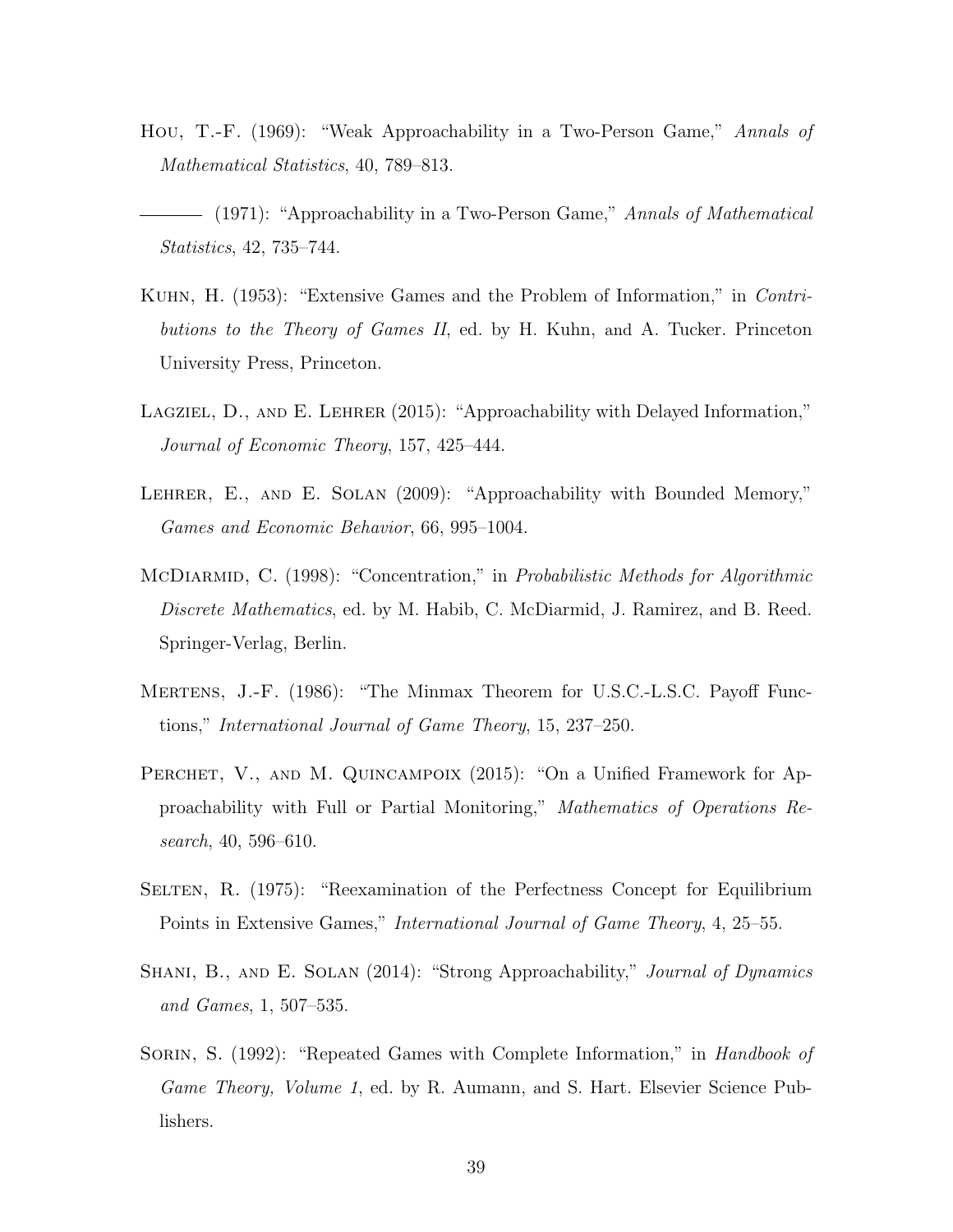- Hou, T.-F. (1969): "Weak Approachability in a Two-Person Game," *Annals of Mathematical Statistics*, 40, 789–813.
- (1971): "Approachability in a Two-Person Game," *Annals of Mathematical Statistics*, 42, 735–744.
- Kuhn, H. (1953): "Extensive Games and the Problem of Information," in *Contributions to the Theory of Games II*, ed. by H. Kuhn, and A. Tucker. Princeton University Press, Princeton.
- LAGZIEL, D., AND E. LEHRER (2015): "Approachability with Delayed Information," *Journal of Economic Theory*, 157, 425–444.
- LEHRER, E., AND E. SOLAN (2009): "Approachability with Bounded Memory," *Games and Economic Behavior*, 66, 995–1004.
- McDiarmid, C. (1998): "Concentration," in *Probabilistic Methods for Algorithmic Discrete Mathematics*, ed. by M. Habib, C. McDiarmid, J. Ramirez, and B. Reed. Springer-Verlag, Berlin.
- Mertens, J.-F. (1986): "The Minmax Theorem for U.S.C.-L.S.C. Payoff Functions," *International Journal of Game Theory*, 15, 237–250.
- PERCHET, V., AND M. QUINCAMPOIX (2015): "On a Unified Framework for Approachability with Full or Partial Monitoring," *Mathematics of Operations Research*, 40, 596–610.
- Selten, R. (1975): "Reexamination of the Perfectness Concept for Equilibrium Points in Extensive Games," *International Journal of Game Theory*, 4, 25–55.
- Shani, B., and E. Solan (2014): "Strong Approachability," *Journal of Dynamics and Games*, 1, 507–535.
- Sorin, S. (1992): "Repeated Games with Complete Information," in *Handbook of Game Theory, Volume 1*, ed. by R. Aumann, and S. Hart. Elsevier Science Publishers.